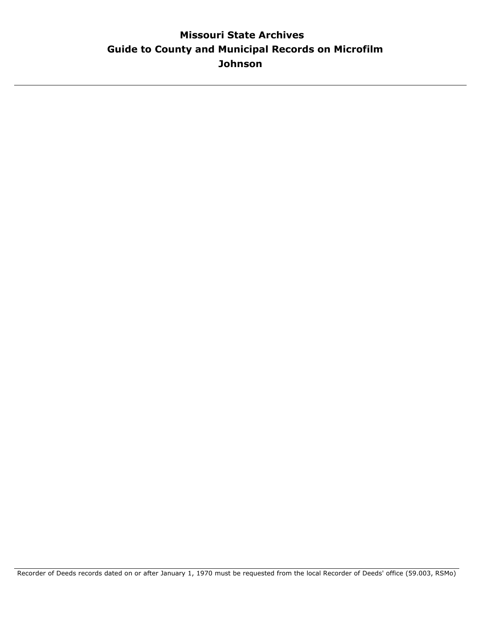## **Guide to County and Municipal Records on Microfilm Missouri State Archives Johnson**

Recorder of Deeds records dated on or after January 1, 1970 must be requested from the local Recorder of Deeds' office (59.003, RSMo)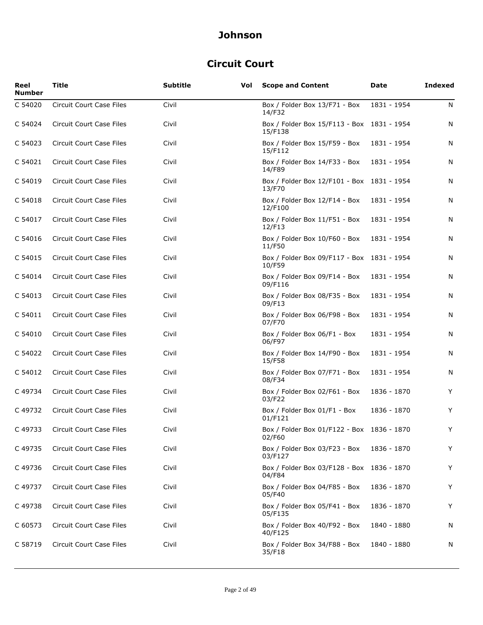## **Circuit Court**

| Reel<br><b>Number</b> | <b>Title</b>                    | <b>Subtitle</b> | Vol | <b>Scope and Content</b>                              | Date        | <b>Indexed</b> |
|-----------------------|---------------------------------|-----------------|-----|-------------------------------------------------------|-------------|----------------|
| C 54020               | <b>Circuit Court Case Files</b> | Civil           |     | Box / Folder Box 13/F71 - Box<br>14/F32               | 1831 - 1954 | N              |
| C 54024               | <b>Circuit Court Case Files</b> | Civil           |     | Box / Folder Box 15/F113 - Box 1831 - 1954<br>15/F138 |             | N              |
| C 54023               | Circuit Court Case Files        | Civil           |     | Box / Folder Box 15/F59 - Box<br>15/F112              | 1831 - 1954 | N              |
| C 54021               | Circuit Court Case Files        | Civil           |     | Box / Folder Box 14/F33 - Box<br>14/F89               | 1831 - 1954 | N              |
| C 54019               | <b>Circuit Court Case Files</b> | Civil           |     | Box / Folder Box 12/F101 - Box 1831 - 1954<br>13/F70  |             | N              |
| C 54018               | Circuit Court Case Files        | Civil           |     | Box / Folder Box 12/F14 - Box<br>12/F100              | 1831 - 1954 | N              |
| C 54017               | Circuit Court Case Files        | Civil           |     | Box / Folder Box 11/F51 - Box<br>12/F13               | 1831 - 1954 | N              |
| C 54016               | <b>Circuit Court Case Files</b> | Civil           |     | Box / Folder Box 10/F60 - Box<br>11/F50               | 1831 - 1954 | N              |
| C 54015               | Circuit Court Case Files        | Civil           |     | Box / Folder Box 09/F117 - Box 1831 - 1954<br>10/F59  |             | N              |
| C 54014               | Circuit Court Case Files        | Civil           |     | Box / Folder Box 09/F14 - Box<br>09/F116              | 1831 - 1954 | N              |
| C 54013               | Circuit Court Case Files        | Civil           |     | Box / Folder Box 08/F35 - Box<br>09/F13               | 1831 - 1954 | N              |
| C 54011               | Circuit Court Case Files        | Civil           |     | Box / Folder Box 06/F98 - Box<br>07/F70               | 1831 - 1954 | N              |
| C 54010               | Circuit Court Case Files        | Civil           |     | Box / Folder Box 06/F1 - Box<br>06/F97                | 1831 - 1954 | N              |
| C 54022               | <b>Circuit Court Case Files</b> | Civil           |     | Box / Folder Box 14/F90 - Box<br>15/F58               | 1831 - 1954 | N              |
| C 54012               | <b>Circuit Court Case Files</b> | Civil           |     | Box / Folder Box 07/F71 - Box<br>08/F34               | 1831 - 1954 | N              |
| C 49734               | <b>Circuit Court Case Files</b> | Civil           |     | Box / Folder Box 02/F61 - Box<br>03/F22               | 1836 - 1870 | Y              |
| C 49732               | Circuit Court Case Files        | Civil           |     | Box / Folder Box 01/F1 - Box<br>01/F121               | 1836 - 1870 | Y              |
| C 49733               | Circuit Court Case Files        | Civil           |     | Box / Folder Box 01/F122 - Box 1836 - 1870<br>02/F60  |             | Y              |
| C 49735               | Circuit Court Case Files        | Civil           |     | Box / Folder Box 03/F23 - Box<br>03/F127              | 1836 - 1870 | Y              |
| C 49736               | Circuit Court Case Files        | Civil           |     | Box / Folder Box 03/F128 - Box 1836 - 1870<br>04/F84  |             | Y              |
| C 49737               | Circuit Court Case Files        | Civil           |     | Box / Folder Box 04/F85 - Box<br>05/F40               | 1836 - 1870 | Y              |
| C49738                | Circuit Court Case Files        | Civil           |     | Box / Folder Box 05/F41 - Box<br>05/F135              | 1836 - 1870 | Y              |
| C 60573               | Circuit Court Case Files        | Civil           |     | Box / Folder Box 40/F92 - Box<br>40/F125              | 1840 - 1880 | N              |
| C 58719               | Circuit Court Case Files        | Civil           |     | Box / Folder Box 34/F88 - Box<br>35/F18               | 1840 - 1880 | N              |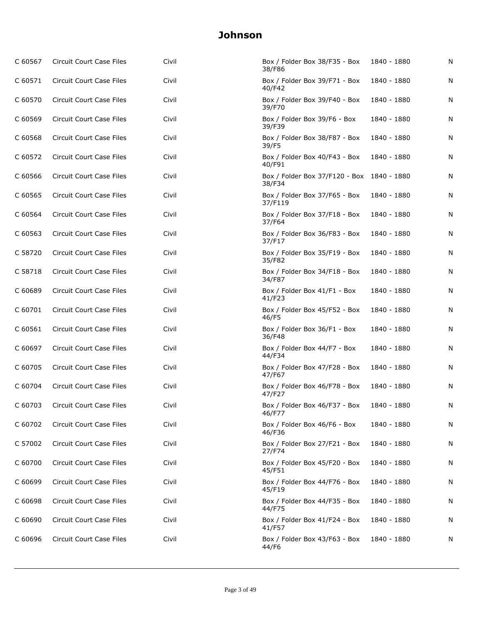| C 60567 | Circuit Court Case Files        | Civil | Box / Folder Box 38/F35 - Box<br>38/F86              | 1840 - 1880 | N |
|---------|---------------------------------|-------|------------------------------------------------------|-------------|---|
| C 60571 | Circuit Court Case Files        | Civil | Box / Folder Box 39/F71 - Box<br>40/F42              | 1840 - 1880 | N |
| C 60570 | Circuit Court Case Files        | Civil | Box / Folder Box 39/F40 - Box<br>39/F70              | 1840 - 1880 | N |
| C 60569 | Circuit Court Case Files        | Civil | Box / Folder Box 39/F6 - Box<br>39/F39               | 1840 - 1880 | N |
| C 60568 | Circuit Court Case Files        | Civil | Box / Folder Box 38/F87 - Box<br>39/F5               | 1840 - 1880 | N |
| C 60572 | Circuit Court Case Files        | Civil | Box / Folder Box 40/F43 - Box<br>40/F91              | 1840 - 1880 | N |
| C 60566 | Circuit Court Case Files        | Civil | Box / Folder Box 37/F120 - Box 1840 - 1880<br>38/F34 |             | N |
| C 60565 | Circuit Court Case Files        | Civil | Box / Folder Box 37/F65 - Box<br>37/F119             | 1840 - 1880 | N |
| C 60564 | <b>Circuit Court Case Files</b> | Civil | Box / Folder Box 37/F18 - Box<br>37/F64              | 1840 - 1880 | N |
| C 60563 | Circuit Court Case Files        | Civil | Box / Folder Box 36/F83 - Box<br>37/F17              | 1840 - 1880 | N |
| C 58720 | <b>Circuit Court Case Files</b> | Civil | Box / Folder Box 35/F19 - Box<br>35/F82              | 1840 - 1880 | N |
| C 58718 | <b>Circuit Court Case Files</b> | Civil | Box / Folder Box 34/F18 - Box<br>34/F87              | 1840 - 1880 | N |
| C 60689 | Circuit Court Case Files        | Civil | Box / Folder Box 41/F1 - Box<br>41/F23               | 1840 - 1880 | N |
| C 60701 | Circuit Court Case Files        | Civil | Box / Folder Box 45/F52 - Box<br>46/F5               | 1840 - 1880 | N |
| C 60561 | Circuit Court Case Files        | Civil | Box / Folder Box 36/F1 - Box<br>36/F48               | 1840 - 1880 | N |
| C 60697 | Circuit Court Case Files        | Civil | Box / Folder Box 44/F7 - Box<br>44/F34               | 1840 - 1880 | N |
| C 60705 | Circuit Court Case Files        | Civil | Box / Folder Box 47/F28 - Box<br>47/F67              | 1840 - 1880 | N |
| C 60704 | <b>Circuit Court Case Files</b> | Civil | Box / Folder Box 46/F78 - Box<br>47/F27              | 1840 - 1880 | N |
| C 60703 | Circuit Court Case Files        | Civil | Box / Folder Box 46/F37 - Box<br>46/F/7              | 1840 - 1880 | N |
| C 60702 | Circuit Court Case Files        | Civil | Box / Folder Box 46/F6 - Box<br>46/F36               | 1840 - 1880 | N |
| C 57002 | Circuit Court Case Files        | Civil | Box / Folder Box 27/F21 - Box<br>27/F74              | 1840 - 1880 | Ν |
| C 60700 | <b>Circuit Court Case Files</b> | Civil | Box / Folder Box 45/F20 - Box<br>45/F51              | 1840 - 1880 | N |
| C 60699 | Circuit Court Case Files        | Civil | Box / Folder Box 44/F76 - Box<br>45/F19              | 1840 - 1880 | N |
| C 60698 | Circuit Court Case Files        | Civil | Box / Folder Box 44/F35 - Box<br>44/F75              | 1840 - 1880 | N |
| C 60690 | Circuit Court Case Files        | Civil | Box / Folder Box 41/F24 - Box<br>41/F57              | 1840 - 1880 | N |
| C 60696 | Circuit Court Case Files        | Civil | Box / Folder Box 43/F63 - Box<br>44/F6               | 1840 - 1880 | N |
|         |                                 |       |                                                      |             |   |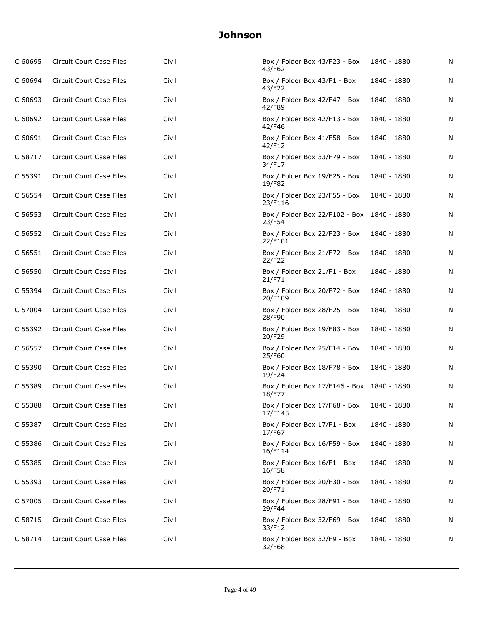| C 60695 | Circuit Court Case Files        | Civil | Box / Folder Box 43/F23 - Box<br>43/F62              | 1840 - 1880 | N |
|---------|---------------------------------|-------|------------------------------------------------------|-------------|---|
| C 60694 | <b>Circuit Court Case Files</b> | Civil | Box / Folder Box 43/F1 - Box<br>43/F22               | 1840 - 1880 | N |
| C 60693 | Circuit Court Case Files        | Civil | Box / Folder Box 42/F47 - Box<br>42/F89              | 1840 - 1880 | N |
| C 60692 | Circuit Court Case Files        | Civil | Box / Folder Box 42/F13 - Box<br>42/F46              | 1840 - 1880 | N |
| C 60691 | Circuit Court Case Files        | Civil | Box / Folder Box 41/F58 - Box<br>42/F12              | 1840 - 1880 | N |
| C 58717 | Circuit Court Case Files        | Civil | Box / Folder Box 33/F79 - Box<br>34/F17              | 1840 - 1880 | N |
| C 55391 | Circuit Court Case Files        | Civil | Box / Folder Box 19/F25 - Box<br>19/F82              | 1840 - 1880 | N |
| C 56554 | Circuit Court Case Files        | Civil | Box / Folder Box 23/F55 - Box<br>23/F116             | 1840 - 1880 | N |
| C 56553 | Circuit Court Case Files        | Civil | Box / Folder Box 22/F102 - Box 1840 - 1880<br>23/F54 |             | N |
| C 56552 | Circuit Court Case Files        | Civil | Box / Folder Box 22/F23 - Box<br>22/F101             | 1840 - 1880 | N |
| C 56551 | <b>Circuit Court Case Files</b> | Civil | Box / Folder Box 21/F72 - Box<br>22/F22              | 1840 - 1880 | N |
| C 56550 | Circuit Court Case Files        | Civil | Box / Folder Box 21/F1 - Box<br>21/F71               | 1840 - 1880 | N |
| C 55394 | Circuit Court Case Files        | Civil | Box / Folder Box 20/F72 - Box<br>20/F109             | 1840 - 1880 | N |
| C 57004 | Circuit Court Case Files        | Civil | Box / Folder Box 28/F25 - Box<br>28/F90              | 1840 - 1880 | N |
| C 55392 | Circuit Court Case Files        | Civil | Box / Folder Box 19/F83 - Box<br>20/F29              | 1840 - 1880 | N |
| C 56557 | Circuit Court Case Files        | Civil | Box / Folder Box 25/F14 - Box<br>25/F60              | 1840 - 1880 | N |
| C 55390 | Circuit Court Case Files        | Civil | Box / Folder Box 18/F78 - Box<br>19/F24              | 1840 - 1880 | N |
| C 55389 | Circuit Court Case Files        | Civil | Box / Folder Box 17/F146 - Box 1840 - 1880<br>18/F77 |             | N |
| C 55388 | Circuit Court Case Files        | Civil | Box / Folder Box 17/F68 - Box<br>17/F145             | 1840 - 1880 | N |
| C 55387 | Circuit Court Case Files        | Civil | Box / Folder Box 17/F1 - Box<br>17/F67               | 1840 - 1880 | N |
| C 55386 | Circuit Court Case Files        | Civil | Box / Folder Box 16/F59 - Box<br>16/F114             | 1840 - 1880 | N |
| C 55385 | Circuit Court Case Files        | Civil | Box / Folder Box 16/F1 - Box<br>16/F58               | 1840 - 1880 | N |
| C 55393 | Circuit Court Case Files        | Civil | Box / Folder Box 20/F30 - Box<br>20/F71              | 1840 - 1880 | N |
| C 57005 | Circuit Court Case Files        | Civil | Box / Folder Box 28/F91 - Box<br>29/F44              | 1840 - 1880 | N |
| C 58715 | Circuit Court Case Files        | Civil | Box / Folder Box 32/F69 - Box<br>33/F12              | 1840 - 1880 | N |
| C 58714 | Circuit Court Case Files        | Civil | Box / Folder Box 32/F9 - Box<br>32/F68               | 1840 - 1880 | N |
|         |                                 |       |                                                      |             |   |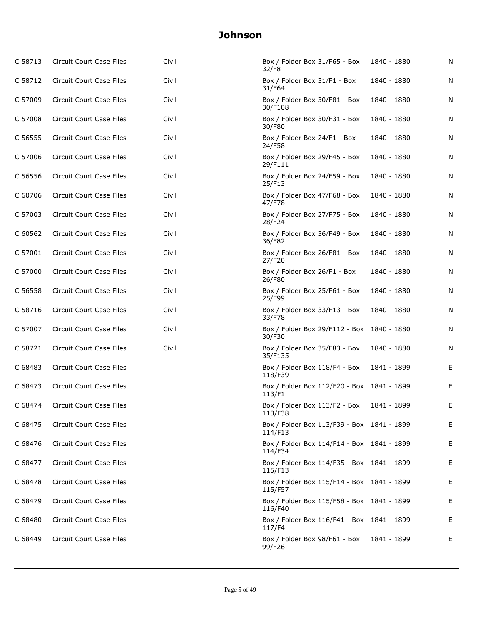| C 58713 | Circuit Court Case Files        | Civil | Box / Folder Box 31/F65 - Box<br>32/F8                | 1840 - 1880 | N |
|---------|---------------------------------|-------|-------------------------------------------------------|-------------|---|
| C 58712 | Circuit Court Case Files        | Civil | Box / Folder Box 31/F1 - Box<br>31/F64                | 1840 - 1880 | N |
| C 57009 | Circuit Court Case Files        | Civil | Box / Folder Box 30/F81 - Box<br>30/F108              | 1840 - 1880 | N |
| C 57008 | Circuit Court Case Files        | Civil | Box / Folder Box 30/F31 - Box<br>30/F80               | 1840 - 1880 | N |
| C 56555 | <b>Circuit Court Case Files</b> | Civil | Box / Folder Box 24/F1 - Box<br>24/F58                | 1840 - 1880 | N |
| C 57006 | Circuit Court Case Files        | Civil | Box / Folder Box 29/F45 - Box<br>29/F111              | 1840 - 1880 | N |
| C 56556 | Circuit Court Case Files        | Civil | Box / Folder Box 24/F59 - Box<br>25/F13               | 1840 - 1880 | N |
| C 60706 | Circuit Court Case Files        | Civil | Box / Folder Box 47/F68 - Box<br>47/F78               | 1840 - 1880 | N |
| C 57003 | Circuit Court Case Files        | Civil | Box / Folder Box 27/F75 - Box<br>28/F24               | 1840 - 1880 | N |
| C 60562 | Circuit Court Case Files        | Civil | Box / Folder Box 36/F49 - Box<br>36/F82               | 1840 - 1880 | N |
| C 57001 | <b>Circuit Court Case Files</b> | Civil | Box / Folder Box 26/F81 - Box<br>27/F20               | 1840 - 1880 | N |
| C 57000 | Circuit Court Case Files        | Civil | Box / Folder Box 26/F1 - Box<br>26/F80                | 1840 - 1880 | N |
| C 56558 | Circuit Court Case Files        | Civil | Box / Folder Box 25/F61 - Box<br>25/F99               | 1840 - 1880 | N |
| C 58716 | Circuit Court Case Files        | Civil | Box / Folder Box 33/F13 - Box<br>33/F78               | 1840 - 1880 | N |
| C 57007 | Circuit Court Case Files        | Civil | Box / Folder Box 29/F112 - Box 1840 - 1880<br>30/F30  |             | N |
| C 58721 | Circuit Court Case Files        | Civil | Box / Folder Box 35/F83 - Box<br>35/F135              | 1840 - 1880 | N |
| C 68483 | Circuit Court Case Files        |       | Box / Folder Box 118/F4 - Box<br>118/F39              | 1841 - 1899 | E |
| C 68473 | Circuit Court Case Files        |       | Box / Folder Box 112/F20 - Box 1841 - 1899<br>113/F1  |             | Е |
| C 68474 | <b>Circuit Court Case Files</b> |       | Box / Folder Box 113/F2 - Box<br>113/138              | 1841 - 1899 | Е |
| C 68475 | Circuit Court Case Files        |       | Box / Folder Box 113/F39 - Box 1841 - 1899<br>114/F13 |             | Е |
| C 68476 | Circuit Court Case Files        |       | Box / Folder Box 114/F14 - Box 1841 - 1899<br>114/F34 |             | E |
| C 68477 | Circuit Court Case Files        |       | Box / Folder Box 114/F35 - Box 1841 - 1899<br>115/F13 |             | Е |
| C 68478 | Circuit Court Case Files        |       | Box / Folder Box 115/F14 - Box 1841 - 1899<br>115/F57 |             | Е |
| C 68479 | Circuit Court Case Files        |       | Box / Folder Box 115/F58 - Box 1841 - 1899<br>116/F40 |             | Е |
| C 68480 | Circuit Court Case Files        |       | Box / Folder Box 116/F41 - Box 1841 - 1899<br>117/F4  |             | Е |
| C 68449 | Circuit Court Case Files        |       | Box / Folder Box 98/F61 - Box<br>99/F26               | 1841 - 1899 | Е |
|         |                                 |       |                                                       |             |   |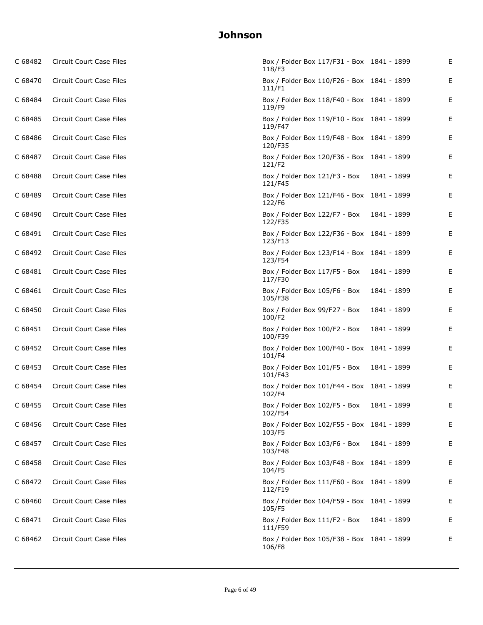| C 68482 | Circuit Court Case Files        | Box / Folder Box 117/F31 - Box 1841 - 1899<br>118/F3  |             | Е |
|---------|---------------------------------|-------------------------------------------------------|-------------|---|
| C 68470 | Circuit Court Case Files        | Box / Folder Box 110/F26 - Box 1841 - 1899<br>111/F1  |             | Е |
| C 68484 | Circuit Court Case Files        | Box / Folder Box 118/F40 - Box 1841 - 1899<br>119/F9  |             | Е |
| C 68485 | Circuit Court Case Files        | Box / Folder Box 119/F10 - Box 1841 - 1899<br>119/F47 |             | Е |
| C 68486 | Circuit Court Case Files        | Box / Folder Box 119/F48 - Box 1841 - 1899<br>120/F35 |             | Е |
| C 68487 | Circuit Court Case Files        | Box / Folder Box 120/F36 - Box 1841 - 1899<br>121/F2  |             | Е |
| C 68488 | Circuit Court Case Files        | Box / Folder Box 121/F3 - Box<br>121/F45              | 1841 - 1899 | Е |
| C 68489 | Circuit Court Case Files        | Box / Folder Box 121/F46 - Box 1841 - 1899<br>122/F6  |             | Е |
| C 68490 | Circuit Court Case Files        | Box / Folder Box 122/F7 - Box<br>122/F35              | 1841 - 1899 | Е |
| C 68491 | Circuit Court Case Files        | Box / Folder Box 122/F36 - Box 1841 - 1899<br>123/F13 |             | Е |
| C 68492 | Circuit Court Case Files        | Box / Folder Box 123/F14 - Box 1841 - 1899<br>123/F54 |             | Е |
| C 68481 | Circuit Court Case Files        | Box / Folder Box 117/F5 - Box<br>117/F30              | 1841 - 1899 | Е |
| C 68461 | Circuit Court Case Files        | Box / Folder Box 105/F6 - Box<br>105/F38              | 1841 - 1899 | Е |
| C 68450 | Circuit Court Case Files        | Box / Folder Box 99/F27 - Box<br>100/F2               | 1841 - 1899 | Е |
| C 68451 | Circuit Court Case Files        | Box / Folder Box 100/F2 - Box<br>100/F39              | 1841 - 1899 | Е |
| C 68452 | Circuit Court Case Files        | Box / Folder Box 100/F40 - Box 1841 - 1899<br>101/F4  |             | Е |
| C 68453 | Circuit Court Case Files        | Box / Folder Box 101/F5 - Box<br>101/F43              | 1841 - 1899 | Е |
| C 68454 | Circuit Court Case Files        | Box / Folder Box 101/F44 - Box 1841 - 1899<br>102/F4  |             | Е |
| C 68455 | Circuit Court Case Files        | Box / Folder Box 102/F5 - Box<br>102/F54              | 1841 - 1899 | Е |
| C 68456 | Circuit Court Case Files        | Box / Folder Box 102/F55 - Box 1841 - 1899<br>103/F5  |             | E |
| C 68457 | Circuit Court Case Files        | Box / Folder Box 103/F6 - Box<br>103/F48              | 1841 - 1899 | Е |
| C 68458 | <b>Circuit Court Case Files</b> | Box / Folder Box 103/F48 - Box 1841 - 1899<br>104/F5  |             | Ε |
| C 68472 | <b>Circuit Court Case Files</b> | Box / Folder Box 111/F60 - Box 1841 - 1899<br>112/F19 |             | E |
| C 68460 | <b>Circuit Court Case Files</b> | Box / Folder Box 104/F59 - Box 1841 - 1899<br>105/F5  |             | Ε |
| C 68471 | Circuit Court Case Files        | Box / Folder Box 111/F2 - Box<br>111/F59              | 1841 - 1899 | Ε |
| C 68462 | Circuit Court Case Files        | Box / Folder Box 105/F38 - Box 1841 - 1899<br>106/F8  |             | Ε |
|         |                                 |                                                       |             |   |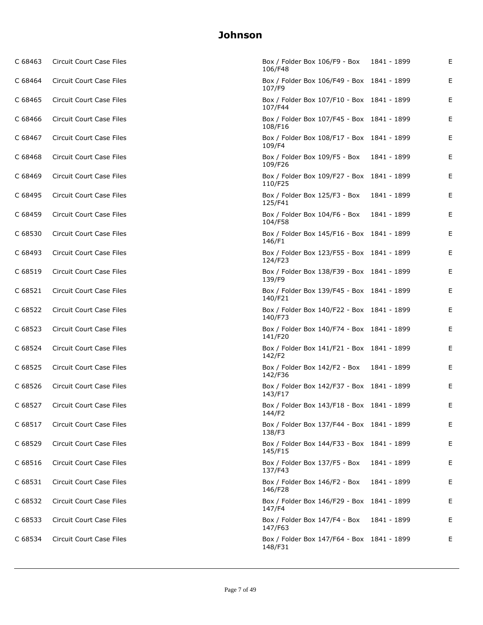| C 68463 | Circuit Court Case Files        | Box / Folder Box 106/F9 - Box<br>106/F48              | 1841 - 1899 | Е |
|---------|---------------------------------|-------------------------------------------------------|-------------|---|
| C 68464 | Circuit Court Case Files        | Box / Folder Box 106/F49 - Box 1841 - 1899<br>107/F9  |             | Е |
| C 68465 | Circuit Court Case Files        | Box / Folder Box 107/F10 - Box 1841 - 1899<br>107/F44 |             | Е |
| C 68466 | Circuit Court Case Files        | Box / Folder Box 107/F45 - Box 1841 - 1899<br>108/F16 |             | Е |
| C 68467 | Circuit Court Case Files        | Box / Folder Box 108/F17 - Box 1841 - 1899<br>109/F4  |             | Е |
| C 68468 | Circuit Court Case Files        | Box / Folder Box 109/F5 - Box<br>109/F26              | 1841 - 1899 | Е |
| C 68469 | Circuit Court Case Files        | Box / Folder Box 109/F27 - Box 1841 - 1899<br>110/F25 |             | Е |
| C 68495 | Circuit Court Case Files        | Box / Folder Box 125/F3 - Box<br>125/F41              | 1841 - 1899 | Е |
| C 68459 | Circuit Court Case Files        | Box / Folder Box 104/F6 - Box<br>104/F58              | 1841 - 1899 | Е |
| C 68530 | Circuit Court Case Files        | Box / Folder Box 145/F16 - Box 1841 - 1899<br>146/F1  |             | Е |
| C 68493 | Circuit Court Case Files        | Box / Folder Box 123/F55 - Box 1841 - 1899<br>124/F23 |             | Е |
| C 68519 | Circuit Court Case Files        | Box / Folder Box 138/F39 - Box 1841 - 1899<br>139/F9  |             | Е |
| C 68521 | Circuit Court Case Files        | Box / Folder Box 139/F45 - Box 1841 - 1899<br>140/F21 |             | Е |
| C 68522 | Circuit Court Case Files        | Box / Folder Box 140/F22 - Box 1841 - 1899<br>140/F73 |             | Е |
| C 68523 | Circuit Court Case Files        | Box / Folder Box 140/F74 - Box 1841 - 1899<br>141/F20 |             | Е |
| C 68524 | Circuit Court Case Files        | Box / Folder Box 141/F21 - Box 1841 - 1899<br>142/F2  |             | Е |
| C 68525 | Circuit Court Case Files        | Box / Folder Box 142/F2 - Box<br>142/F36              | 1841 - 1899 | Е |
| C 68526 | Circuit Court Case Files        | Box / Folder Box 142/F37 - Box 1841 - 1899<br>143/F17 |             | Е |
| C 68527 | Circuit Court Case Files        | Box / Folder Box 143/F18 - Box 1841 - 1899<br>144/F2  |             | Е |
| C 68517 | Circuit Court Case Files        | Box / Folder Box 137/F44 - Box 1841 - 1899<br>138/F3  |             | E |
| C 68529 | Circuit Court Case Files        | Box / Folder Box 144/F33 - Box 1841 - 1899<br>145/F15 |             | Е |
| C 68516 | Circuit Court Case Files        | Box / Folder Box 137/F5 - Box<br>137/F43              | 1841 - 1899 | Ε |
| C 68531 | <b>Circuit Court Case Files</b> | Box / Folder Box 146/F2 - Box<br>146/F28              | 1841 - 1899 | Ε |
| C 68532 | Circuit Court Case Files        | Box / Folder Box 146/F29 - Box 1841 - 1899<br>147/F4  |             | Ε |
| C 68533 | Circuit Court Case Files        | Box / Folder Box 147/F4 - Box<br>147/F63              | 1841 - 1899 | Ε |
| C 68534 | Circuit Court Case Files        | Box / Folder Box 147/F64 - Box 1841 - 1899<br>148/F31 |             | Ε |
|         |                                 |                                                       |             |   |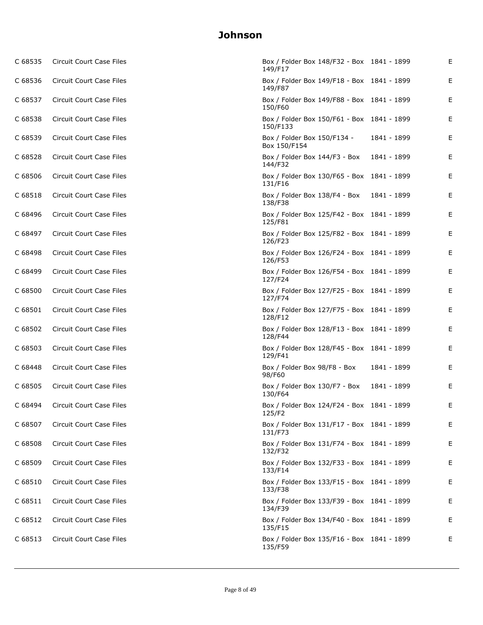| C 68535 | Circuit Court Case Files        | Box / Folder Box 148/F32 - Box 1841 - 1899<br>149/F17  |             | Е |
|---------|---------------------------------|--------------------------------------------------------|-------------|---|
| C 68536 | Circuit Court Case Files        | Box / Folder Box 149/F18 - Box 1841 - 1899<br>149/F87  |             | Е |
| C 68537 | Circuit Court Case Files        | Box / Folder Box 149/F88 - Box 1841 - 1899<br>150/F60  |             | Е |
| C 68538 | Circuit Court Case Files        | Box / Folder Box 150/F61 - Box 1841 - 1899<br>150/F133 |             | Е |
| C 68539 | Circuit Court Case Files        | Box / Folder Box 150/F134 -<br>Box 150/F154            | 1841 - 1899 | Е |
| C 68528 | Circuit Court Case Files        | Box / Folder Box 144/F3 - Box<br>144/F32               | 1841 - 1899 | Е |
| C 68506 | Circuit Court Case Files        | Box / Folder Box 130/F65 - Box 1841 - 1899<br>131/F16  |             | Е |
| C 68518 | Circuit Court Case Files        | Box / Folder Box 138/F4 - Box<br>138/F38               | 1841 - 1899 | Е |
| C 68496 | Circuit Court Case Files        | Box / Folder Box 125/F42 - Box 1841 - 1899<br>125/F81  |             | Е |
| C 68497 | Circuit Court Case Files        | Box / Folder Box 125/F82 - Box 1841 - 1899<br>126/F23  |             | Е |
| C 68498 | Circuit Court Case Files        | Box / Folder Box 126/F24 - Box 1841 - 1899<br>126/F53  |             | Е |
| C 68499 | Circuit Court Case Files        | Box / Folder Box 126/F54 - Box 1841 - 1899<br>127/F24  |             | Е |
| C 68500 | Circuit Court Case Files        | Box / Folder Box 127/F25 - Box 1841 - 1899<br>127/F74  |             | Е |
| C 68501 | Circuit Court Case Files        | Box / Folder Box 127/F75 - Box 1841 - 1899<br>128/F12  |             | Е |
| C 68502 | Circuit Court Case Files        | Box / Folder Box 128/F13 - Box 1841 - 1899<br>128/F44  |             | Е |
| C 68503 | Circuit Court Case Files        | Box / Folder Box 128/F45 - Box 1841 - 1899<br>129/F41  |             | Е |
| C 68448 | Circuit Court Case Files        | Box / Folder Box 98/F8 - Box<br>98/F60                 | 1841 - 1899 | Е |
| C 68505 | Circuit Court Case Files        | Box / Folder Box 130/F7 - Box<br>130/F64               | 1841 - 1899 | Е |
| C 68494 | Circuit Court Case Files        | Box / Folder Box 124/F24 - Box 1841 - 1899<br>125/F2   |             | Е |
| C 68507 | Circuit Court Case Files        | Box / Folder Box 131/F17 - Box 1841 - 1899<br>131/F73  |             | E |
| C 68508 | Circuit Court Case Files        | Box / Folder Box 131/F74 - Box 1841 - 1899<br>132/F32  |             | Е |
| C 68509 | Circuit Court Case Files        | Box / Folder Box 132/F33 - Box 1841 - 1899<br>133/F14  |             | E |
| C 68510 | Circuit Court Case Files        | Box / Folder Box 133/F15 - Box 1841 - 1899<br>133/F38  |             | E |
| C 68511 | <b>Circuit Court Case Files</b> | Box / Folder Box 133/F39 - Box 1841 - 1899<br>134/F39  |             | Ε |
| C 68512 | Circuit Court Case Files        | Box / Folder Box 134/F40 - Box 1841 - 1899<br>135/F15  |             | Ε |
| C 68513 | Circuit Court Case Files        | Box / Folder Box 135/F16 - Box 1841 - 1899<br>135/F59  |             | Ε |
|         |                                 |                                                        |             |   |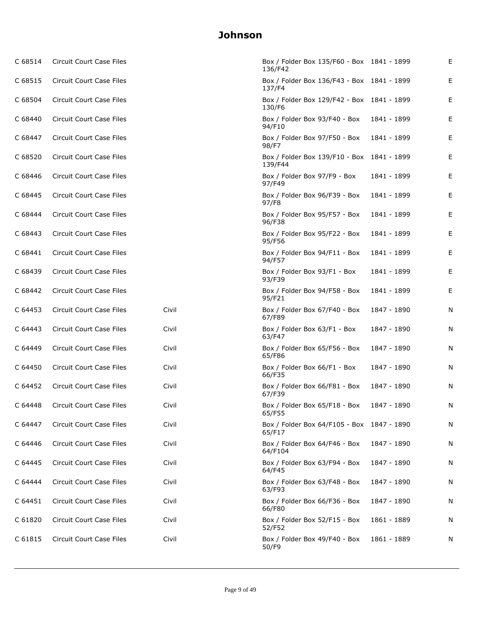| C 68514 | Circuit Court Case Files        |       | Box / Folder Box 135/F60 - Box 1841 - 1899<br>136/F42 |             | Е |
|---------|---------------------------------|-------|-------------------------------------------------------|-------------|---|
| C 68515 | Circuit Court Case Files        |       | Box / Folder Box 136/F43 - Box 1841 - 1899<br>137/F4  |             | Е |
| C 68504 | Circuit Court Case Files        |       | Box / Folder Box 129/F42 - Box 1841 - 1899<br>130/F6  |             | Е |
| C 68440 | Circuit Court Case Files        |       | Box / Folder Box 93/F40 - Box<br>94/F10               | 1841 - 1899 | Е |
| C 68447 | Circuit Court Case Files        |       | Box / Folder Box 97/F50 - Box<br>98/F7                | 1841 - 1899 | Е |
| C 68520 | Circuit Court Case Files        |       | Box / Folder Box 139/F10 - Box 1841 - 1899<br>139/F44 |             | Е |
| C 68446 | Circuit Court Case Files        |       | Box / Folder Box 97/F9 - Box<br>97/F49                | 1841 - 1899 | Е |
| C 68445 | Circuit Court Case Files        |       | Box / Folder Box 96/F39 - Box<br>97/F8                | 1841 - 1899 | Е |
| C 68444 | Circuit Court Case Files        |       | Box / Folder Box 95/F57 - Box<br>96/F38               | 1841 - 1899 | Е |
| C 68443 | Circuit Court Case Files        |       | Box / Folder Box 95/F22 - Box<br>95/F56               | 1841 - 1899 | Е |
| C 68441 | Circuit Court Case Files        |       | Box / Folder Box 94/F11 - Box<br>94/F57               | 1841 - 1899 | Е |
| C 68439 | Circuit Court Case Files        |       | Box / Folder Box 93/F1 - Box<br>93/F39                | 1841 - 1899 | Е |
| C 68442 | Circuit Court Case Files        |       | Box / Folder Box 94/F58 - Box<br>95/F21               | 1841 - 1899 | Е |
| C 64453 | Circuit Court Case Files        | Civil | Box / Folder Box 67/F40 - Box<br>67/F89               | 1847 - 1890 | N |
| C 64443 | Circuit Court Case Files        | Civil | Box / Folder Box 63/F1 - Box<br>63/F47                | 1847 - 1890 | N |
| C 64449 | Circuit Court Case Files        | Civil | Box / Folder Box 65/F56 - Box<br>65/F86               | 1847 - 1890 | N |
| C 64450 | Circuit Court Case Files        | Civil | Box / Folder Box 66/F1 - Box<br>66/F35                | 1847 - 1890 | N |
| C 64452 | Circuit Court Case Files        | Civil | Box / Folder Box 66/F81 - Box<br>67/F39               | 1847 - 1890 | N |
| C 64448 | Circuit Court Case Files        | Civil | Box / Folder Box 65/F18 - Box<br>65/F55               | 1847 - 1890 | N |
| C 64447 | Circuit Court Case Files        | Civil | Box / Folder Box 64/F105 - Box 1847 - 1890<br>65/F17  |             | N |
| C 64446 | Circuit Court Case Files        | Civil | Box / Folder Box 64/F46 - Box<br>64/F104              | 1847 - 1890 | N |
| C 64445 | Circuit Court Case Files        | Civil | Box / Folder Box 63/F94 - Box<br>64/F45               | 1847 - 1890 | N |
| C 64444 | <b>Circuit Court Case Files</b> | Civil | Box / Folder Box 63/F48 - Box<br>63/F93               | 1847 - 1890 | N |
| C 64451 | Circuit Court Case Files        | Civil | Box / Folder Box 66/F36 - Box<br>66/F80               | 1847 - 1890 | N |
| C 61820 | Circuit Court Case Files        | Civil | Box / Folder Box 52/F15 - Box<br>52/F52               | 1861 - 1889 | N |
| C 61815 | Circuit Court Case Files        | Civil | Box / Folder Box 49/F40 - Box<br>50/F9                | 1861 - 1889 | N |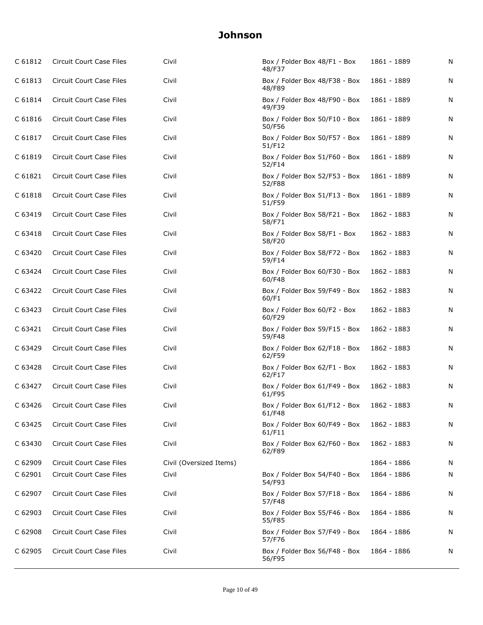| C 61812 | Circuit Court Case Files        | Civil                   | Box / Folder Box 48/F1 - Box<br>48/F37  | 1861 - 1889 | N |
|---------|---------------------------------|-------------------------|-----------------------------------------|-------------|---|
| C 61813 | Circuit Court Case Files        | Civil                   | Box / Folder Box 48/F38 - Box<br>48/F89 | 1861 - 1889 | N |
| C 61814 | Circuit Court Case Files        | Civil                   | Box / Folder Box 48/F90 - Box<br>49/F39 | 1861 - 1889 | N |
| C 61816 | Circuit Court Case Files        | Civil                   | Box / Folder Box 50/F10 - Box<br>50/F56 | 1861 - 1889 | N |
| C 61817 | Circuit Court Case Files        | Civil                   | Box / Folder Box 50/F57 - Box<br>51/F12 | 1861 - 1889 | N |
| C 61819 | <b>Circuit Court Case Files</b> | Civil                   | Box / Folder Box 51/F60 - Box<br>52/F14 | 1861 - 1889 | N |
| C 61821 | Circuit Court Case Files        | Civil                   | Box / Folder Box 52/F53 - Box<br>52/F88 | 1861 - 1889 | N |
| C 61818 | Circuit Court Case Files        | Civil                   | Box / Folder Box 51/F13 - Box<br>51/F59 | 1861 - 1889 | N |
| C 63419 | Circuit Court Case Files        | Civil                   | Box / Folder Box 58/F21 - Box<br>58/F71 | 1862 - 1883 | N |
| C 63418 | <b>Circuit Court Case Files</b> | Civil                   | Box / Folder Box 58/F1 - Box<br>58/F20  | 1862 - 1883 | N |
| C 63420 | Circuit Court Case Files        | Civil                   | Box / Folder Box 58/F72 - Box<br>59/F14 | 1862 - 1883 | N |
| C 63424 | Circuit Court Case Files        | Civil                   | Box / Folder Box 60/F30 - Box<br>60/F48 | 1862 - 1883 | N |
| C 63422 | Circuit Court Case Files        | Civil                   | Box / Folder Box 59/F49 - Box<br>60/F1  | 1862 - 1883 | N |
| C 63423 | Circuit Court Case Files        | Civil                   | Box / Folder Box 60/F2 - Box<br>60/F29  | 1862 - 1883 | N |
| C 63421 | Circuit Court Case Files        | Civil                   | Box / Folder Box 59/F15 - Box<br>59/F48 | 1862 - 1883 | N |
| C 63429 | Circuit Court Case Files        | Civil                   | Box / Folder Box 62/F18 - Box<br>62/F59 | 1862 - 1883 | N |
| C 63428 | <b>Circuit Court Case Files</b> | Civil                   | Box / Folder Box 62/F1 - Box<br>62/F17  | 1862 - 1883 | N |
| C 63427 | Circuit Court Case Files        | Civil                   | Box / Folder Box 61/F49 - Box<br>61/F95 | 1862 - 1883 | N |
| C 63426 | Circuit Court Case Files        | Civil                   | Box / Folder Box 61/F12 - Box<br>61/F48 | 1862 - 1883 | N |
| C 63425 | <b>Circuit Court Case Files</b> | Civil                   | Box / Folder Box 60/F49 - Box<br>61/F11 | 1862 - 1883 | N |
| C 63430 | Circuit Court Case Files        | Civil                   | Box / Folder Box 62/F60 - Box<br>62/F89 | 1862 - 1883 | N |
| C 62909 | Circuit Court Case Files        | Civil (Oversized Items) |                                         | 1864 - 1886 | N |
| C 62901 | Circuit Court Case Files        | Civil                   | Box / Folder Box 54/F40 - Box<br>54/F93 | 1864 - 1886 | N |
| C 62907 | <b>Circuit Court Case Files</b> | Civil                   | Box / Folder Box 57/F18 - Box<br>57/F48 | 1864 - 1886 | N |
| C 62903 | <b>Circuit Court Case Files</b> | Civil                   | Box / Folder Box 55/F46 - Box<br>55/F85 | 1864 - 1886 | N |
| C 62908 | Circuit Court Case Files        | Civil                   | Box / Folder Box 57/F49 - Box<br>57/F76 | 1864 - 1886 | N |
| C 62905 | Circuit Court Case Files        | Civil                   | Box / Folder Box 56/F48 - Box<br>56/F95 | 1864 - 1886 | N |
|         |                                 |                         |                                         |             |   |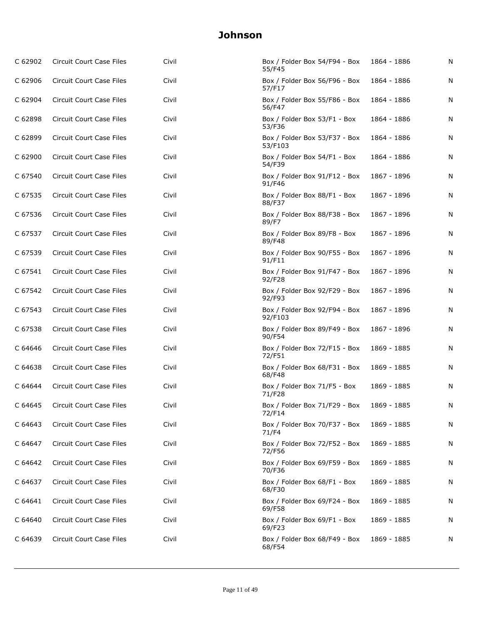| C 62902 | Circuit Court Case Files        | Civil | Box / Folder Box 54/F94 - Box<br>55/F45  | 1864 - 1886 | N |
|---------|---------------------------------|-------|------------------------------------------|-------------|---|
| C 62906 | Circuit Court Case Files        | Civil | Box / Folder Box 56/F96 - Box<br>57/F17  | 1864 - 1886 | N |
| C 62904 | Circuit Court Case Files        | Civil | Box / Folder Box 55/F86 - Box<br>56/F47  | 1864 - 1886 | N |
| C 62898 | Circuit Court Case Files        | Civil | Box / Folder Box 53/F1 - Box<br>53/F36   | 1864 - 1886 | N |
| C 62899 | Circuit Court Case Files        | Civil | Box / Folder Box 53/F37 - Box<br>53/F103 | 1864 - 1886 | N |
| C 62900 | <b>Circuit Court Case Files</b> | Civil | Box / Folder Box 54/F1 - Box<br>54/F39   | 1864 - 1886 | N |
| C 67540 | Circuit Court Case Files        | Civil | Box / Folder Box 91/F12 - Box<br>91/F46  | 1867 - 1896 | N |
| C 67535 | Circuit Court Case Files        | Civil | Box / Folder Box 88/F1 - Box<br>88/F37   | 1867 - 1896 | N |
| C 67536 | Circuit Court Case Files        | Civil | Box / Folder Box 88/F38 - Box<br>89/F7   | 1867 - 1896 | N |
| C 67537 | Circuit Court Case Files        | Civil | Box / Folder Box 89/F8 - Box<br>89/F48   | 1867 - 1896 | N |
| C 67539 | Circuit Court Case Files        | Civil | Box / Folder Box 90/F55 - Box<br>91/F11  | 1867 - 1896 | N |
| C 67541 | Circuit Court Case Files        | Civil | Box / Folder Box 91/F47 - Box<br>92/F28  | 1867 - 1896 | N |
| C 67542 | Circuit Court Case Files        | Civil | Box / Folder Box 92/F29 - Box<br>92/F93  | 1867 - 1896 | N |
| C 67543 | Circuit Court Case Files        | Civil | Box / Folder Box 92/F94 - Box<br>92/F103 | 1867 - 1896 | N |
| C 67538 | Circuit Court Case Files        | Civil | Box / Folder Box 89/F49 - Box<br>90/F54  | 1867 - 1896 | N |
| C 64646 | Circuit Court Case Files        | Civil | Box / Folder Box 72/F15 - Box<br>72/F51  | 1869 - 1885 | N |
| C 64638 | Circuit Court Case Files        | Civil | Box / Folder Box 68/F31 - Box<br>68/F48  | 1869 - 1885 | N |
| C 64644 | Circuit Court Case Files        | Civil | Box / Folder Box 71/F5 - Box<br>71/F28   | 1869 - 1885 | N |
| C 64645 | Circuit Court Case Files        | Civil | Box / Folder Box 71/F29 - Box<br>72/F14  | 1869 - 1885 | Ν |
| C 64643 | Circuit Court Case Files        | Civil | Box / Folder Box 70/F37 - Box<br>71/F4   | 1869 - 1885 | N |
| C 64647 | <b>Circuit Court Case Files</b> | Civil | Box / Folder Box 72/F52 - Box<br>72/F56  | 1869 - 1885 | N |
| C 64642 | <b>Circuit Court Case Files</b> | Civil | Box / Folder Box 69/F59 - Box<br>70/F36  | 1869 - 1885 | N |
| C 64637 | Circuit Court Case Files        | Civil | Box / Folder Box 68/F1 - Box<br>68/F30   | 1869 - 1885 | N |
| C 64641 | Circuit Court Case Files        | Civil | Box / Folder Box 69/F24 - Box<br>69/F58  | 1869 - 1885 | N |
| C 64640 | Circuit Court Case Files        | Civil | Box / Folder Box 69/F1 - Box<br>69/F23   | 1869 - 1885 | N |
| C 64639 | Circuit Court Case Files        | Civil | Box / Folder Box 68/F49 - Box<br>68/F54  | 1869 - 1885 | N |
|         |                                 |       |                                          |             |   |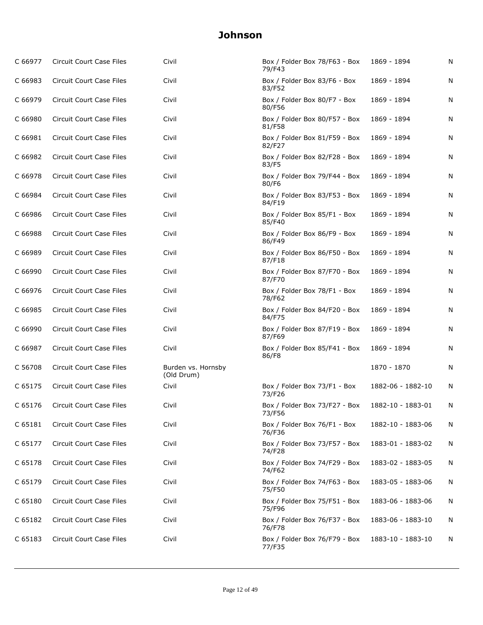| C 66977 | Circuit Court Case Files        | Civil                            | Box / Folder Box 78/F63 - Box<br>79/F43 | 1869 - 1894       | N |
|---------|---------------------------------|----------------------------------|-----------------------------------------|-------------------|---|
| C 66983 | Circuit Court Case Files        | Civil                            | Box / Folder Box 83/F6 - Box<br>83/F52  | 1869 - 1894       | N |
| C 66979 | Circuit Court Case Files        | Civil                            | Box / Folder Box 80/F7 - Box<br>80/F56  | 1869 - 1894       | N |
| C 66980 | Circuit Court Case Files        | Civil                            | Box / Folder Box 80/F57 - Box<br>81/F58 | 1869 - 1894       | N |
| C 66981 | Circuit Court Case Files        | Civil                            | Box / Folder Box 81/F59 - Box<br>82/F27 | 1869 - 1894       | N |
| C 66982 | Circuit Court Case Files        | Civil                            | Box / Folder Box 82/F28 - Box<br>83/F5  | 1869 - 1894       | N |
| C 66978 | Circuit Court Case Files        | Civil                            | Box / Folder Box 79/F44 - Box<br>80/F6  | 1869 - 1894       | N |
| C 66984 | Circuit Court Case Files        | Civil                            | Box / Folder Box 83/F53 - Box<br>84/F19 | 1869 - 1894       | N |
| C 66986 | <b>Circuit Court Case Files</b> | Civil                            | Box / Folder Box 85/F1 - Box<br>85/F40  | 1869 - 1894       | N |
| C 66988 | <b>Circuit Court Case Files</b> | Civil                            | Box / Folder Box 86/F9 - Box<br>86/F49  | 1869 - 1894       | N |
| C 66989 | <b>Circuit Court Case Files</b> | Civil                            | Box / Folder Box 86/F50 - Box<br>87/F18 | 1869 - 1894       | N |
| C 66990 | Circuit Court Case Files        | Civil                            | Box / Folder Box 87/F70 - Box<br>87/F70 | 1869 - 1894       | N |
| C 66976 | Circuit Court Case Files        | Civil                            | Box / Folder Box 78/F1 - Box<br>78/F62  | 1869 - 1894       | N |
| C 66985 | Circuit Court Case Files        | Civil                            | Box / Folder Box 84/F20 - Box<br>84/F75 | 1869 - 1894       | N |
| C 66990 | Circuit Court Case Files        | Civil                            | Box / Folder Box 87/F19 - Box<br>87/F69 | 1869 - 1894       | N |
| C 66987 | Circuit Court Case Files        | Civil                            | Box / Folder Box 85/F41 - Box<br>86/F8  | 1869 - 1894       | N |
| C 56708 | Circuit Court Case Files        | Burden vs. Hornsby<br>(Old Drum) |                                         | 1870 - 1870       | N |
| C 65175 | Circuit Court Case Files        | Civil                            | Box / Folder Box 73/F1 - Box<br>73/F26  | 1882-06 - 1882-10 | N |
| C 65176 | <b>Circuit Court Case Files</b> | Civil                            | Box / Folder Box 73/F27 - Box<br>73/F56 | 1882-10 - 1883-01 | N |
| C 65181 | <b>Circuit Court Case Files</b> | Civil                            | Box / Folder Box 76/F1 - Box<br>76/F36  | 1882-10 - 1883-06 | N |
| C 65177 | <b>Circuit Court Case Files</b> | Civil                            | Box / Folder Box 73/F57 - Box<br>74/F28 | 1883-01 - 1883-02 | N |
| C 65178 | <b>Circuit Court Case Files</b> | Civil                            | Box / Folder Box 74/F29 - Box<br>74/F62 | 1883-02 - 1883-05 | N |
| C 65179 | Circuit Court Case Files        | Civil                            | Box / Folder Box 74/F63 - Box<br>75/F50 | 1883-05 - 1883-06 | N |
| C 65180 | <b>Circuit Court Case Files</b> | Civil                            | Box / Folder Box 75/F51 - Box<br>75/F96 | 1883-06 - 1883-06 | N |
| C 65182 | Circuit Court Case Files        | Civil                            | Box / Folder Box 76/F37 - Box<br>76/F78 | 1883-06 - 1883-10 | N |
| C 65183 | Circuit Court Case Files        | Civil                            | Box / Folder Box 76/F79 - Box<br>77/F35 | 1883-10 - 1883-10 | N |
|         |                                 |                                  |                                         |                   |   |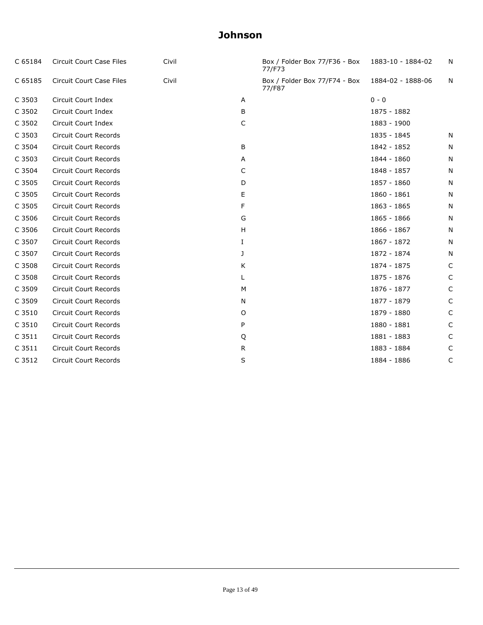| C 65184 | Circuit Court Case Files     | Civil |    | Box / Folder Box 77/F36 - Box 1883-10 - 1884-02<br>77/F73 |                   | N |
|---------|------------------------------|-------|----|-----------------------------------------------------------|-------------------|---|
| C 65185 | Circuit Court Case Files     | Civil |    | Box / Folder Box 77/F74 - Box<br>77/F87                   | 1884-02 - 1888-06 | N |
| C 3503  | Circuit Court Index          |       | A  |                                                           | $0 - 0$           |   |
| C 3502  | Circuit Court Index          |       | B  |                                                           | 1875 - 1882       |   |
| C 3502  | Circuit Court Index          |       | C  |                                                           | 1883 - 1900       |   |
| C 3503  | <b>Circuit Court Records</b> |       |    |                                                           | 1835 - 1845       | N |
| C 3504  | <b>Circuit Court Records</b> |       | B  |                                                           | 1842 - 1852       | N |
| C 3503  | <b>Circuit Court Records</b> |       | A  |                                                           | 1844 - 1860       | N |
| C 3504  | <b>Circuit Court Records</b> |       | C  |                                                           | 1848 - 1857       | N |
| C 3505  | <b>Circuit Court Records</b> |       | D  |                                                           | 1857 - 1860       | N |
| C 3505  | <b>Circuit Court Records</b> |       | Е  |                                                           | 1860 - 1861       | N |
| C 3505  | Circuit Court Records        |       | F  |                                                           | 1863 - 1865       | N |
| C 3506  | Circuit Court Records        |       | G  |                                                           | 1865 - 1866       | N |
| C 3506  | <b>Circuit Court Records</b> |       | H  |                                                           | 1866 - 1867       | N |
| C 3507  | Circuit Court Records        |       | Ι. |                                                           | 1867 - 1872       | N |
| C 3507  | Circuit Court Records        |       | J  |                                                           | 1872 - 1874       | N |
| C 3508  | <b>Circuit Court Records</b> |       | K  |                                                           | 1874 - 1875       | C |
| C 3508  | <b>Circuit Court Records</b> |       |    |                                                           | 1875 - 1876       | C |
| C 3509  | <b>Circuit Court Records</b> |       | М  |                                                           | 1876 - 1877       | C |
| C 3509  | <b>Circuit Court Records</b> |       | N  |                                                           | 1877 - 1879       | C |
| C 3510  | Circuit Court Records        |       | 0  |                                                           | 1879 - 1880       | C |
| C 3510  | Circuit Court Records        |       | P  |                                                           | 1880 - 1881       | C |
| C 3511  | <b>Circuit Court Records</b> |       | Q  |                                                           | 1881 - 1883       | C |
| C 3511  | <b>Circuit Court Records</b> |       | R  |                                                           | 1883 - 1884       | C |
| C 3512  | <b>Circuit Court Records</b> |       | S  |                                                           | 1884 - 1886       | C |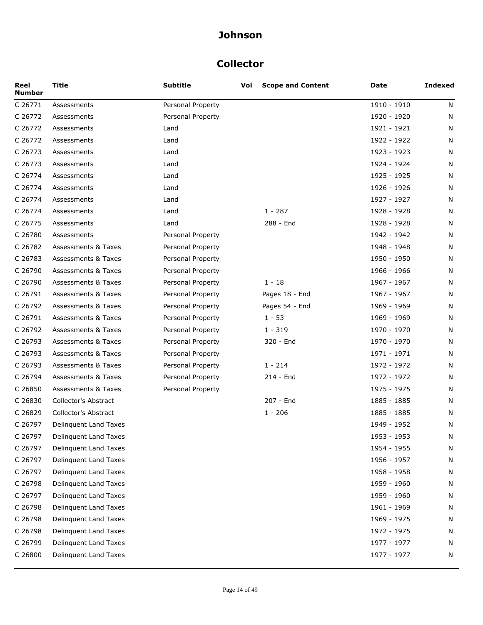### **Collector**

| Reel<br><b>Number</b> | <b>Title</b>                   | <b>Subtitle</b>   | Vol | <b>Scope and Content</b> | Date        | <b>Indexed</b> |
|-----------------------|--------------------------------|-------------------|-----|--------------------------|-------------|----------------|
| C 26771               | Assessments                    | Personal Property |     |                          | 1910 - 1910 | N              |
| C 26772               | Assessments                    | Personal Property |     |                          | 1920 - 1920 | N              |
| C 26772               | Assessments                    | Land              |     |                          | 1921 - 1921 | N              |
| C 26772               | Assessments                    | Land              |     |                          | 1922 - 1922 | N              |
| C 26773               | Assessments                    | Land              |     |                          | 1923 - 1923 | N              |
| C 26773               | Assessments                    | Land              |     |                          | 1924 - 1924 | N              |
| C 26774               | Assessments                    | Land              |     |                          | 1925 - 1925 | N              |
| C 26774               | Assessments                    | Land              |     |                          | 1926 - 1926 | N              |
| C 26774               | Assessments                    | Land              |     |                          | 1927 - 1927 | N              |
| C 26774               | Assessments                    | Land              |     | $1 - 287$                | 1928 - 1928 | N              |
| C 26775               | Assessments                    | Land              |     | 288 - End                | 1928 - 1928 | N              |
| C 26780               | Assessments                    | Personal Property |     |                          | 1942 - 1942 | N              |
| C 26782               | <b>Assessments &amp; Taxes</b> | Personal Property |     |                          | 1948 - 1948 | N              |
| C 26783               | <b>Assessments &amp; Taxes</b> | Personal Property |     |                          | 1950 - 1950 | N              |
| C 26790               | <b>Assessments &amp; Taxes</b> | Personal Property |     |                          | 1966 - 1966 | N              |
| C 26790               | <b>Assessments &amp; Taxes</b> | Personal Property |     | $1 - 18$                 | 1967 - 1967 | N              |
| C 26791               | <b>Assessments &amp; Taxes</b> | Personal Property |     | Pages 18 - End           | 1967 - 1967 | N              |
| C 26792               | <b>Assessments &amp; Taxes</b> | Personal Property |     | Pages 54 - End           | 1969 - 1969 | N              |
| C 26791               | <b>Assessments &amp; Taxes</b> | Personal Property |     | $1 - 53$                 | 1969 - 1969 | N              |
| C 26792               | <b>Assessments &amp; Taxes</b> | Personal Property |     | $1 - 319$                | 1970 - 1970 | N              |
| C 26793               | <b>Assessments &amp; Taxes</b> | Personal Property |     | 320 - End                | 1970 - 1970 | N              |
| C 26793               | <b>Assessments &amp; Taxes</b> | Personal Property |     |                          | 1971 - 1971 | N              |
| C 26793               | <b>Assessments &amp; Taxes</b> | Personal Property |     | $1 - 214$                | 1972 - 1972 | N              |
| C 26794               | <b>Assessments &amp; Taxes</b> | Personal Property |     | 214 - End                | 1972 - 1972 | N              |
| C 26850               | Assessments & Taxes            | Personal Property |     |                          | 1975 - 1975 | N              |
| C 26830               | Collector's Abstract           |                   |     | 207 - End                | 1885 - 1885 | N              |
| C 26829               | Collector's Abstract           |                   |     | $1 - 206$                | 1885 - 1885 | N              |
| C 26797               | Delinquent Land Taxes          |                   |     |                          | 1949 - 1952 | N              |
| C 26797               | Delinquent Land Taxes          |                   |     |                          | 1953 - 1953 | N              |
| C 26797               | Delinquent Land Taxes          |                   |     |                          | 1954 - 1955 | N              |
| C 26797               | Delinquent Land Taxes          |                   |     |                          | 1956 - 1957 | N              |
| C 26797               | Delinquent Land Taxes          |                   |     |                          | 1958 - 1958 | N              |
| C 26798               | Delinquent Land Taxes          |                   |     |                          | 1959 - 1960 | N              |
| C 26797               | Delinquent Land Taxes          |                   |     |                          | 1959 - 1960 | N              |
| C 26798               | Delinquent Land Taxes          |                   |     |                          | 1961 - 1969 | N              |
| C 26798               | Delinquent Land Taxes          |                   |     |                          | 1969 - 1975 | N              |
| C 26798               | Delinquent Land Taxes          |                   |     |                          | 1972 - 1975 | N              |
| C 26799               | Delinquent Land Taxes          |                   |     |                          | 1977 - 1977 | N              |
| C 26800               | Delinquent Land Taxes          |                   |     |                          | 1977 - 1977 | N              |
|                       |                                |                   |     |                          |             |                |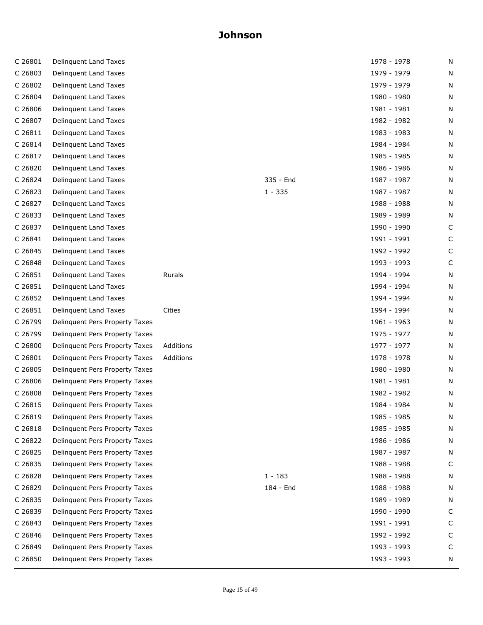| C 26801 | Delinquent Land Taxes          |           |           | 1978 - 1978 | N |
|---------|--------------------------------|-----------|-----------|-------------|---|
| C 26803 | Delinquent Land Taxes          |           |           | 1979 - 1979 | N |
| C 26802 | Delinquent Land Taxes          |           |           | 1979 - 1979 | N |
| C 26804 | Delinquent Land Taxes          |           |           | 1980 - 1980 | N |
| C 26806 | Delinquent Land Taxes          |           |           | 1981 - 1981 | N |
| C 26807 | Delinquent Land Taxes          |           |           | 1982 - 1982 | N |
| C 26811 | Delinquent Land Taxes          |           |           | 1983 - 1983 | N |
| C 26814 | Delinquent Land Taxes          |           |           | 1984 - 1984 | N |
| C 26817 | Delinquent Land Taxes          |           |           | 1985 - 1985 | N |
| C 26820 | Delinquent Land Taxes          |           |           | 1986 - 1986 | N |
| C 26824 | Delinquent Land Taxes          |           | 335 - End | 1987 - 1987 | N |
| C 26823 | Delinquent Land Taxes          |           | $1 - 335$ | 1987 - 1987 | N |
| C 26827 | Delinquent Land Taxes          |           |           | 1988 - 1988 | N |
| C 26833 | Delinquent Land Taxes          |           |           | 1989 - 1989 | N |
| C 26837 | Delinquent Land Taxes          |           |           | 1990 - 1990 | C |
| C 26841 | Delinquent Land Taxes          |           |           | 1991 - 1991 | С |
| C 26845 | Delinquent Land Taxes          |           |           | 1992 - 1992 | C |
| C 26848 | Delinquent Land Taxes          |           |           | 1993 - 1993 | C |
| C 26851 | Delinquent Land Taxes          | Rurals    |           | 1994 - 1994 | N |
| C 26851 | Delinquent Land Taxes          |           |           | 1994 - 1994 | N |
| C 26852 | Delinquent Land Taxes          |           |           | 1994 - 1994 | N |
| C 26851 | Delinquent Land Taxes          | Cities    |           | 1994 - 1994 | N |
| C 26799 | Delinquent Pers Property Taxes |           |           | 1961 - 1963 | N |
| C 26799 | Delinquent Pers Property Taxes |           |           | 1975 - 1977 | N |
| C 26800 | Delinquent Pers Property Taxes | Additions |           | 1977 - 1977 | N |
| C 26801 | Delinquent Pers Property Taxes | Additions |           | 1978 - 1978 | N |
| C 26805 | Delinquent Pers Property Taxes |           |           | 1980 - 1980 | N |
| C 26806 | Delinquent Pers Property Taxes |           |           | 1981 - 1981 | N |
| C 26808 | Delinquent Pers Property Taxes |           |           | 1982 - 1982 | N |
| C 26815 | Delinquent Pers Property Taxes |           |           | 1984 - 1984 | N |
| C 26819 | Delinquent Pers Property Taxes |           |           | 1985 - 1985 | N |
| C 26818 | Delinquent Pers Property Taxes |           |           | 1985 - 1985 | N |
| C 26822 | Delinquent Pers Property Taxes |           |           | 1986 - 1986 | N |
| C 26825 | Delinquent Pers Property Taxes |           |           | 1987 - 1987 | N |
| C 26835 | Delinquent Pers Property Taxes |           |           | 1988 - 1988 | C |
| C 26828 | Delinquent Pers Property Taxes |           | $1 - 183$ | 1988 - 1988 | N |
| C 26829 | Delinquent Pers Property Taxes |           | 184 - End | 1988 - 1988 | N |
| C 26835 | Delinquent Pers Property Taxes |           |           | 1989 - 1989 | N |
| C 26839 | Delinquent Pers Property Taxes |           |           | 1990 - 1990 | C |
| C 26843 | Delinquent Pers Property Taxes |           |           | 1991 - 1991 | C |
| C 26846 | Delinquent Pers Property Taxes |           |           | 1992 - 1992 | C |
| C 26849 | Delinquent Pers Property Taxes |           |           | 1993 - 1993 | C |
| C 26850 | Delinquent Pers Property Taxes |           |           | 1993 - 1993 | N |
|         |                                |           |           |             |   |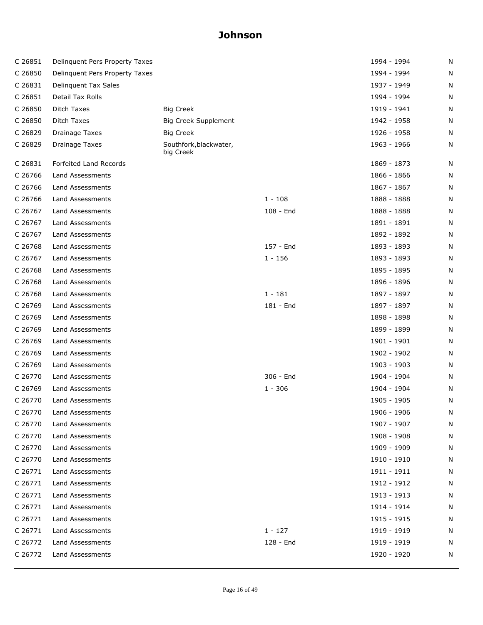| C 26851 | Delinquent Pers Property Taxes |                                     |           | 1994 - 1994 | N |
|---------|--------------------------------|-------------------------------------|-----------|-------------|---|
| C 26850 | Delinquent Pers Property Taxes |                                     |           | 1994 - 1994 | N |
| C 26831 | Delinquent Tax Sales           |                                     |           | 1937 - 1949 | N |
| C 26851 | Detail Tax Rolls               |                                     |           | 1994 - 1994 | N |
| C 26850 | Ditch Taxes                    | <b>Big Creek</b>                    |           | 1919 - 1941 | Ν |
| C 26850 | Ditch Taxes                    | Big Creek Supplement                |           | 1942 - 1958 | N |
| C 26829 | Drainage Taxes                 | Big Creek                           |           | 1926 - 1958 | N |
| C 26829 | <b>Drainage Taxes</b>          | Southfork, blackwater,<br>big Creek |           | 1963 - 1966 | N |
| C 26831 | Forfeited Land Records         |                                     |           | 1869 - 1873 | N |
| C 26766 | Land Assessments               |                                     |           | 1866 - 1866 | N |
| C 26766 | Land Assessments               |                                     |           | 1867 - 1867 | N |
| C 26766 | Land Assessments               |                                     | $1 - 108$ | 1888 - 1888 | N |
| C 26767 | Land Assessments               |                                     | 108 - End | 1888 - 1888 | N |
| C 26767 | Land Assessments               |                                     |           | 1891 - 1891 | N |
| C 26767 | Land Assessments               |                                     |           | 1892 - 1892 | N |
| C 26768 | Land Assessments               |                                     | 157 - End | 1893 - 1893 | N |
| C 26767 | Land Assessments               |                                     | $1 - 156$ | 1893 - 1893 | N |
| C 26768 | Land Assessments               |                                     |           | 1895 - 1895 | N |
| C 26768 | Land Assessments               |                                     |           | 1896 - 1896 | Ν |
| C 26768 | Land Assessments               |                                     | $1 - 181$ | 1897 - 1897 | N |
| C 26769 | Land Assessments               |                                     | 181 - End | 1897 - 1897 | N |
| C 26769 | Land Assessments               |                                     |           | 1898 - 1898 | N |
| C 26769 | Land Assessments               |                                     |           | 1899 - 1899 | Ν |
| C 26769 | Land Assessments               |                                     |           | 1901 - 1901 | N |
| C 26769 | Land Assessments               |                                     |           | 1902 - 1902 | N |
| C 26769 | Land Assessments               |                                     |           | 1903 - 1903 | N |
| C 26770 | Land Assessments               |                                     | 306 - End | 1904 - 1904 | N |
| C 26769 | Land Assessments               |                                     | $1 - 306$ | 1904 - 1904 | N |
| C 26770 | Land Assessments               |                                     |           | 1905 - 1905 | N |
| C 26770 | Land Assessments               |                                     |           | 1906 - 1906 | N |
| C 26770 | Land Assessments               |                                     |           | 1907 - 1907 | Ν |
| C 26770 | Land Assessments               |                                     |           | 1908 - 1908 | N |
| C 26770 | Land Assessments               |                                     |           | 1909 - 1909 | Ν |
| C 26770 | Land Assessments               |                                     |           | 1910 - 1910 | N |
| C 26771 | Land Assessments               |                                     |           | 1911 - 1911 | N |
| C 26771 | Land Assessments               |                                     |           | 1912 - 1912 | N |
| C 26771 | Land Assessments               |                                     |           | 1913 - 1913 | N |
| C 26771 | Land Assessments               |                                     |           | 1914 - 1914 | N |
| C 26771 | Land Assessments               |                                     |           | 1915 - 1915 | N |
| C 26771 | Land Assessments               |                                     | $1 - 127$ | 1919 - 1919 | N |
| C 26772 | Land Assessments               |                                     | 128 - End | 1919 - 1919 | N |
| C 26772 | Land Assessments               |                                     |           | 1920 - 1920 | N |
|         |                                |                                     |           |             |   |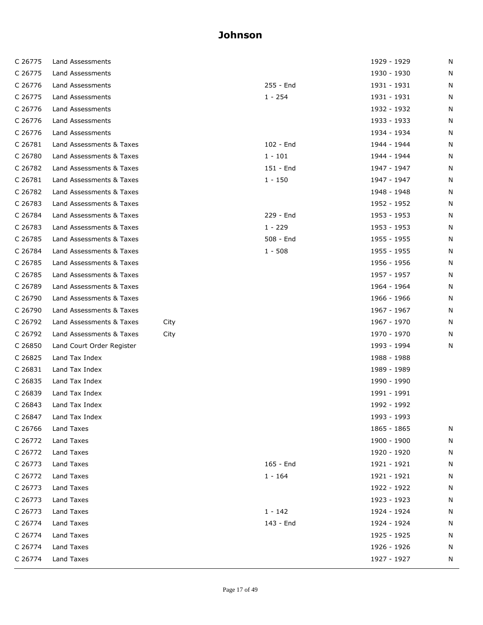| C 26775 | Land Assessments          |      |           | 1929 - 1929 | N |
|---------|---------------------------|------|-----------|-------------|---|
| C 26775 | Land Assessments          |      |           | 1930 - 1930 | N |
| C 26776 | Land Assessments          |      | 255 - End | 1931 - 1931 | N |
| C 26775 | Land Assessments          |      | $1 - 254$ | 1931 - 1931 | N |
| C 26776 | Land Assessments          |      |           | 1932 - 1932 | N |
| C 26776 | Land Assessments          |      |           | 1933 - 1933 | N |
| C 26776 | Land Assessments          |      |           | 1934 - 1934 | N |
| C 26781 | Land Assessments & Taxes  |      | 102 - End | 1944 - 1944 | N |
| C 26780 | Land Assessments & Taxes  |      | $1 - 101$ | 1944 - 1944 | N |
| C 26782 | Land Assessments & Taxes  |      | 151 - End | 1947 - 1947 | N |
| C 26781 | Land Assessments & Taxes  |      | $1 - 150$ | 1947 - 1947 | N |
| C 26782 | Land Assessments & Taxes  |      |           | 1948 - 1948 | N |
| C 26783 | Land Assessments & Taxes  |      |           | 1952 - 1952 | N |
| C 26784 | Land Assessments & Taxes  |      | 229 - End | 1953 - 1953 | N |
| C 26783 | Land Assessments & Taxes  |      | $1 - 229$ | 1953 - 1953 | N |
| C 26785 | Land Assessments & Taxes  |      | 508 - End | 1955 - 1955 | N |
| C 26784 | Land Assessments & Taxes  |      | $1 - 508$ | 1955 - 1955 | N |
| C 26785 | Land Assessments & Taxes  |      |           | 1956 - 1956 | N |
| C 26785 | Land Assessments & Taxes  |      |           | 1957 - 1957 | N |
| C 26789 | Land Assessments & Taxes  |      |           | 1964 - 1964 | N |
| C 26790 | Land Assessments & Taxes  |      |           | 1966 - 1966 | N |
| C 26790 | Land Assessments & Taxes  |      |           | 1967 - 1967 | N |
| C 26792 | Land Assessments & Taxes  | City |           | 1967 - 1970 | N |
| C 26792 | Land Assessments & Taxes  | City |           | 1970 - 1970 | N |
| C 26850 | Land Court Order Register |      |           | 1993 - 1994 | N |
| C 26825 | Land Tax Index            |      |           | 1988 - 1988 |   |
| C 26831 | Land Tax Index            |      |           | 1989 - 1989 |   |
| C 26835 | Land Tax Index            |      |           | 1990 - 1990 |   |
| C 26839 | Land Tax Index            |      |           | 1991 - 1991 |   |
| C 26843 | Land Tax Index            |      |           | 1992 - 1992 |   |
| C 26847 | Land Tax Index            |      |           | 1993 - 1993 |   |
| C 26766 | Land Taxes                |      |           | 1865 - 1865 | N |
| C 26772 | Land Taxes                |      |           | 1900 - 1900 | N |
| C 26772 | Land Taxes                |      |           | 1920 - 1920 | N |
| C 26773 | Land Taxes                |      | 165 - End | 1921 - 1921 | N |
| C 26772 | Land Taxes                |      | $1 - 164$ | 1921 - 1921 | N |
| C 26773 | Land Taxes                |      |           | 1922 - 1922 | N |
| C 26773 | Land Taxes                |      |           | 1923 - 1923 | N |
| C 26773 | Land Taxes                |      | $1 - 142$ | 1924 - 1924 | N |
| C 26774 | Land Taxes                |      | 143 - End | 1924 - 1924 | N |
| C 26774 | Land Taxes                |      |           | 1925 - 1925 | N |
| C 26774 | Land Taxes                |      |           | 1926 - 1926 | N |
| C 26774 | Land Taxes                |      |           | 1927 - 1927 | N |
|         |                           |      |           |             |   |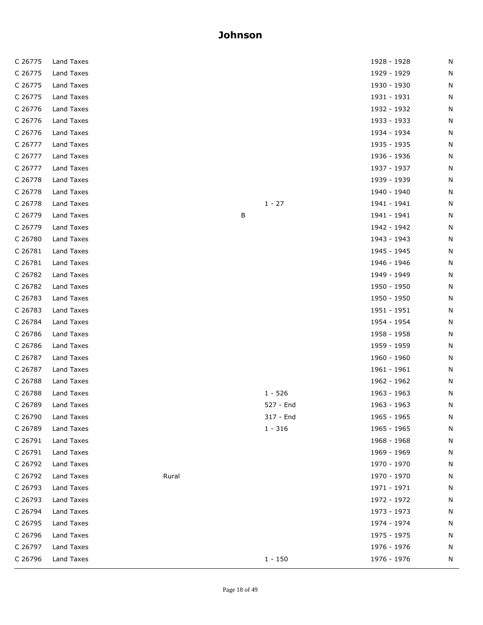| C 26775 | Land Taxes |       |   |           | 1928 - 1928 | N |
|---------|------------|-------|---|-----------|-------------|---|
| C 26775 | Land Taxes |       |   |           | 1929 - 1929 | N |
| C 26775 | Land Taxes |       |   |           | 1930 - 1930 | N |
| C 26775 | Land Taxes |       |   |           | 1931 - 1931 | N |
| C 26776 | Land Taxes |       |   |           | 1932 - 1932 | N |
| C 26776 | Land Taxes |       |   |           | 1933 - 1933 | N |
| C 26776 | Land Taxes |       |   |           | 1934 - 1934 | N |
| C 26777 | Land Taxes |       |   |           | 1935 - 1935 | N |
| C 26777 | Land Taxes |       |   |           | 1936 - 1936 | N |
| C 26777 | Land Taxes |       |   |           | 1937 - 1937 | N |
| C 26778 | Land Taxes |       |   |           | 1939 - 1939 | N |
| C 26778 | Land Taxes |       |   |           | 1940 - 1940 | N |
| C 26778 | Land Taxes |       |   | $1 - 27$  | 1941 - 1941 | N |
| C 26779 | Land Taxes |       | В |           | 1941 - 1941 | N |
| C 26779 | Land Taxes |       |   |           | 1942 - 1942 | N |
| C 26780 | Land Taxes |       |   |           | 1943 - 1943 | N |
| C 26781 | Land Taxes |       |   |           | 1945 - 1945 | N |
| C 26781 | Land Taxes |       |   |           | 1946 - 1946 | N |
| C 26782 | Land Taxes |       |   |           | 1949 - 1949 | N |
| C 26782 | Land Taxes |       |   |           | 1950 - 1950 | N |
| C 26783 | Land Taxes |       |   |           | 1950 - 1950 | N |
| C 26783 | Land Taxes |       |   |           | 1951 - 1951 | N |
| C 26784 | Land Taxes |       |   |           | 1954 - 1954 | N |
| C 26786 | Land Taxes |       |   |           | 1958 - 1958 | N |
| C 26786 | Land Taxes |       |   |           | 1959 - 1959 | N |
| C 26787 | Land Taxes |       |   |           | 1960 - 1960 | N |
| C 26787 | Land Taxes |       |   |           | 1961 - 1961 | N |
| C 26788 | Land Taxes |       |   |           | 1962 - 1962 | N |
| C 26788 | Land Taxes |       |   | $1 - 526$ | 1963 - 1963 | N |
| C 26789 | Land Taxes |       |   | 527 - End | 1963 - 1963 | N |
| C 26790 | Land Taxes |       |   | 317 - End | 1965 - 1965 | N |
| C 26789 | Land Taxes |       |   | $1 - 316$ | 1965 - 1965 | N |
| C 26791 | Land Taxes |       |   |           | 1968 - 1968 | N |
| C 26791 | Land Taxes |       |   |           | 1969 - 1969 | N |
| C 26792 | Land Taxes |       |   |           | 1970 - 1970 | N |
| C 26792 | Land Taxes | Rural |   |           | 1970 - 1970 | N |
| C 26793 | Land Taxes |       |   |           | 1971 - 1971 | N |
| C 26793 | Land Taxes |       |   |           | 1972 - 1972 | N |
| C 26794 | Land Taxes |       |   |           | 1973 - 1973 | N |
| C 26795 | Land Taxes |       |   |           | 1974 - 1974 | N |
| C 26796 | Land Taxes |       |   |           | 1975 - 1975 | N |
| C 26797 | Land Taxes |       |   |           | 1976 - 1976 | N |
| C 26796 | Land Taxes |       |   | $1 - 150$ | 1976 - 1976 | N |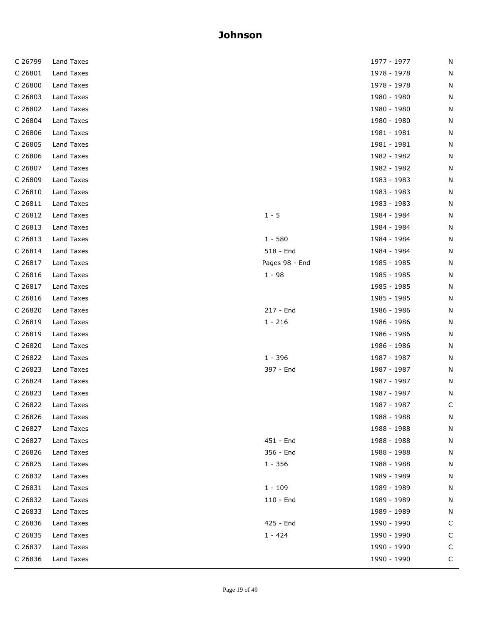| C 26799 | Land Taxes |                | 1977 - 1977 | N |
|---------|------------|----------------|-------------|---|
| C 26801 | Land Taxes |                | 1978 - 1978 | N |
| C 26800 | Land Taxes |                | 1978 - 1978 | N |
| C 26803 | Land Taxes |                | 1980 - 1980 | N |
| C 26802 | Land Taxes |                | 1980 - 1980 | N |
| C 26804 | Land Taxes |                | 1980 - 1980 | N |
| C 26806 | Land Taxes |                | 1981 - 1981 | N |
| C 26805 | Land Taxes |                | 1981 - 1981 | N |
| C 26806 | Land Taxes |                | 1982 - 1982 | N |
| C 26807 | Land Taxes |                | 1982 - 1982 | N |
| C 26809 | Land Taxes |                | 1983 - 1983 | N |
| C 26810 | Land Taxes |                | 1983 - 1983 | N |
| C 26811 | Land Taxes |                | 1983 - 1983 | N |
| C 26812 | Land Taxes | $1 - 5$        | 1984 - 1984 | N |
| C 26813 | Land Taxes |                | 1984 - 1984 | N |
| C 26813 | Land Taxes | $1 - 580$      | 1984 - 1984 | N |
| C 26814 | Land Taxes | 518 - End      | 1984 - 1984 | N |
| C 26817 | Land Taxes | Pages 98 - End | 1985 - 1985 | N |
| C 26816 | Land Taxes | $1 - 98$       | 1985 - 1985 | N |
| C 26817 | Land Taxes |                | 1985 - 1985 | N |
| C 26816 | Land Taxes |                | 1985 - 1985 | N |
| C 26820 | Land Taxes | 217 - End      | 1986 - 1986 | N |
| C 26819 | Land Taxes | $1 - 216$      | 1986 - 1986 | N |
| C 26819 | Land Taxes |                | 1986 - 1986 | N |
| C 26820 | Land Taxes |                | 1986 - 1986 | N |
| C 26822 | Land Taxes | $1 - 396$      | 1987 - 1987 | N |
| C 26823 | Land Taxes | 397 - End      | 1987 - 1987 | N |
| C 26824 | Land Taxes |                | 1987 - 1987 | N |
| C 26823 | Land Taxes |                | 1987 - 1987 | N |
| C 26822 | Land Taxes |                | 1987 - 1987 | C |
| C 26826 | Land Taxes |                | 1988 - 1988 | N |
| C 26827 | Land Taxes |                | 1988 - 1988 | N |
| C 26827 | Land Taxes | 451 - End      | 1988 - 1988 | N |
| C 26826 | Land Taxes | 356 - End      | 1988 - 1988 | N |
| C 26825 | Land Taxes | $1 - 356$      | 1988 - 1988 | N |
| C 26832 | Land Taxes |                | 1989 - 1989 | N |
| C 26831 | Land Taxes | $1 - 109$      | 1989 - 1989 | N |
| C 26832 | Land Taxes | 110 - End      | 1989 - 1989 | N |
| C 26833 | Land Taxes |                | 1989 - 1989 | N |
| C 26836 | Land Taxes | 425 - End      | 1990 - 1990 | C |
| C 26835 | Land Taxes | $1 - 424$      | 1990 - 1990 | С |
| C 26837 | Land Taxes |                | 1990 - 1990 | C |
| C 26836 | Land Taxes |                | 1990 - 1990 | C |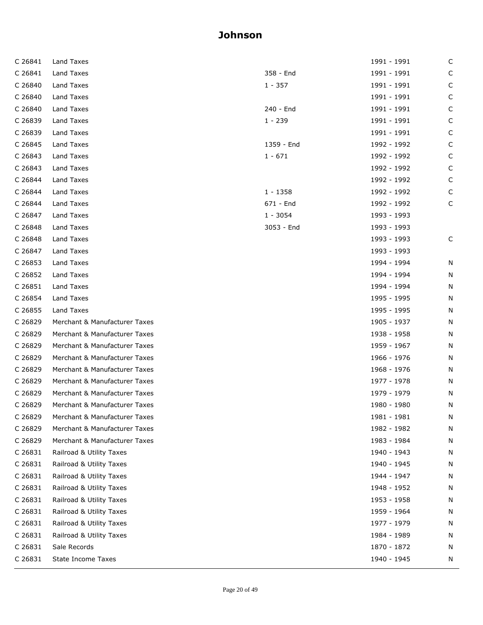| Land Taxes                    |            | 1991 - 1991 | C           |
|-------------------------------|------------|-------------|-------------|
| Land Taxes                    | 358 - End  | 1991 - 1991 | C           |
| Land Taxes                    | 1 - 357    | 1991 - 1991 | C           |
| Land Taxes                    |            | 1991 - 1991 | C           |
| Land Taxes                    | 240 - End  | 1991 - 1991 | C           |
| Land Taxes                    | $1 - 239$  | 1991 - 1991 | C           |
| Land Taxes                    |            | 1991 - 1991 | C           |
| Land Taxes                    | 1359 - End | 1992 - 1992 | C           |
| Land Taxes                    | $1 - 671$  | 1992 - 1992 | C           |
| Land Taxes                    |            | 1992 - 1992 | $\mathsf C$ |
| Land Taxes                    |            | 1992 - 1992 | C           |
| Land Taxes                    | $1 - 1358$ | 1992 - 1992 | C           |
| Land Taxes                    | 671 - End  | 1992 - 1992 | C           |
| Land Taxes                    | $1 - 3054$ | 1993 - 1993 |             |
| Land Taxes                    | 3053 - End | 1993 - 1993 |             |
| Land Taxes                    |            | 1993 - 1993 | C           |
| Land Taxes                    |            | 1993 - 1993 |             |
| Land Taxes                    |            | 1994 - 1994 | N           |
| Land Taxes                    |            | 1994 - 1994 | N           |
| Land Taxes                    |            | 1994 - 1994 | N           |
| Land Taxes                    |            | 1995 - 1995 | N           |
| Land Taxes                    |            | 1995 - 1995 | N           |
| Merchant & Manufacturer Taxes |            | 1905 - 1937 | N           |
| Merchant & Manufacturer Taxes |            | 1938 - 1958 | N           |
| Merchant & Manufacturer Taxes |            | 1959 - 1967 | N           |
| Merchant & Manufacturer Taxes |            | 1966 - 1976 | N           |
| Merchant & Manufacturer Taxes |            | 1968 - 1976 | N           |
| Merchant & Manufacturer Taxes |            | 1977 - 1978 | N           |
| Merchant & Manufacturer Taxes |            | 1979 - 1979 | N           |
| Merchant & Manufacturer Taxes |            | 1980 - 1980 | N           |
| Merchant & Manufacturer Taxes |            | 1981 - 1981 | N           |
| Merchant & Manufacturer Taxes |            | 1982 - 1982 | N           |
| Merchant & Manufacturer Taxes |            | 1983 - 1984 | N           |
| Railroad & Utility Taxes      |            | 1940 - 1943 | N           |
| Railroad & Utility Taxes      |            | 1940 - 1945 | N           |
| Railroad & Utility Taxes      |            | 1944 - 1947 | N           |
| Railroad & Utility Taxes      |            | 1948 - 1952 | N           |
| Railroad & Utility Taxes      |            | 1953 - 1958 | N           |
| Railroad & Utility Taxes      |            | 1959 - 1964 | N           |
| Railroad & Utility Taxes      |            | 1977 - 1979 | N           |
| Railroad & Utility Taxes      |            | 1984 - 1989 | N           |
| Sale Records                  |            | 1870 - 1872 | N           |
| State Income Taxes            |            | 1940 - 1945 | N           |
|                               |            |             |             |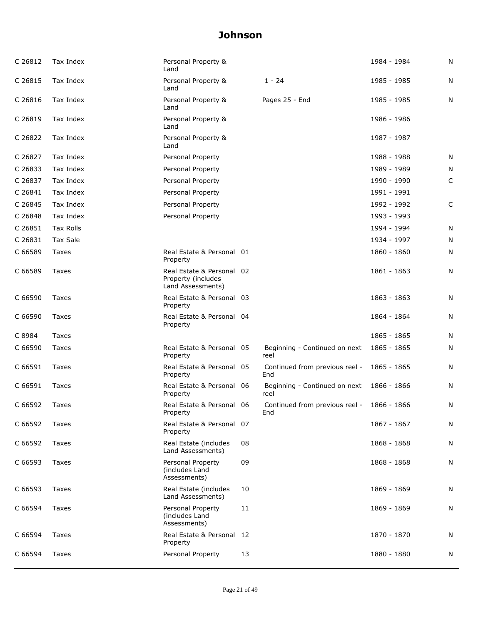| C 26812 | Tax Index        | Personal Property &<br>Land                                          |    |                                       | 1984 - 1984 | N |
|---------|------------------|----------------------------------------------------------------------|----|---------------------------------------|-------------|---|
| C 26815 | Tax Index        | Personal Property &<br>Land                                          |    | $1 - 24$                              | 1985 - 1985 | N |
| C 26816 | Tax Index        | Personal Property &<br>Land                                          |    | Pages 25 - End                        | 1985 - 1985 | N |
| C 26819 | Tax Index        | Personal Property &<br>Land                                          |    |                                       | 1986 - 1986 |   |
| C 26822 | Tax Index        | Personal Property &<br>Land                                          |    |                                       | 1987 - 1987 |   |
| C 26827 | Tax Index        | Personal Property                                                    |    |                                       | 1988 - 1988 | N |
| C 26833 | Tax Index        | Personal Property                                                    |    |                                       | 1989 - 1989 | N |
| C 26837 | Tax Index        | Personal Property                                                    |    |                                       | 1990 - 1990 | C |
| C 26841 | Tax Index        | Personal Property                                                    |    |                                       | 1991 - 1991 |   |
| C 26845 | Tax Index        | Personal Property                                                    |    |                                       | 1992 - 1992 | C |
| C 26848 | Tax Index        | Personal Property                                                    |    |                                       | 1993 - 1993 |   |
| C 26851 | <b>Tax Rolls</b> |                                                                      |    |                                       | 1994 - 1994 | N |
| C 26831 | <b>Tax Sale</b>  |                                                                      |    |                                       | 1934 - 1997 | N |
| C 66589 | Taxes            | Real Estate & Personal 01<br>Property                                |    |                                       | 1860 - 1860 | N |
| C 66589 | Taxes            | Real Estate & Personal 02<br>Property (includes<br>Land Assessments) |    |                                       | 1861 - 1863 | N |
| C 66590 | Taxes            | Real Estate & Personal 03<br>Property                                |    |                                       | 1863 - 1863 | N |
| C 66590 | Taxes            | Real Estate & Personal 04<br>Property                                |    |                                       | 1864 - 1864 | N |
| C 8984  | <b>Taxes</b>     |                                                                      |    |                                       | 1865 - 1865 | N |
| C 66590 | Taxes            | Real Estate & Personal 05<br>Property                                |    | Beginning - Continued on next<br>reel | 1865 - 1865 | N |
| C 66591 | Taxes            | Real Estate & Personal 05<br>Property                                |    | Continued from previous reel -<br>End | 1865 - 1865 | N |
| C 66591 | <b>Taxes</b>     | Real Estate & Personal 06<br>Property                                |    | Beginning - Continued on next<br>reel | 1866 - 1866 | N |
| C 66592 | Taxes            | Real Estate & Personal 06<br>Property                                |    | Continued from previous reel -<br>End | 1866 - 1866 | N |
| C 66592 | <b>Taxes</b>     | Real Estate & Personal 07<br>Property                                |    |                                       | 1867 - 1867 | N |
| C 66592 | Taxes            | Real Estate (includes<br>Land Assessments)                           | 08 |                                       | 1868 - 1868 | N |
| C 66593 | Taxes            | Personal Property<br>(includes Land<br>Assessments)                  | 09 |                                       | 1868 - 1868 | N |
| C 66593 | Taxes            | Real Estate (includes<br>Land Assessments)                           | 10 |                                       | 1869 - 1869 | N |
| C 66594 | <b>Taxes</b>     | Personal Property<br>(includes Land<br>Assessments)                  | 11 |                                       | 1869 - 1869 | N |
| C 66594 | Taxes            | Real Estate & Personal 12<br>Property                                |    |                                       | 1870 - 1870 | N |
| C 66594 | Taxes            | Personal Property                                                    | 13 |                                       | 1880 - 1880 | N |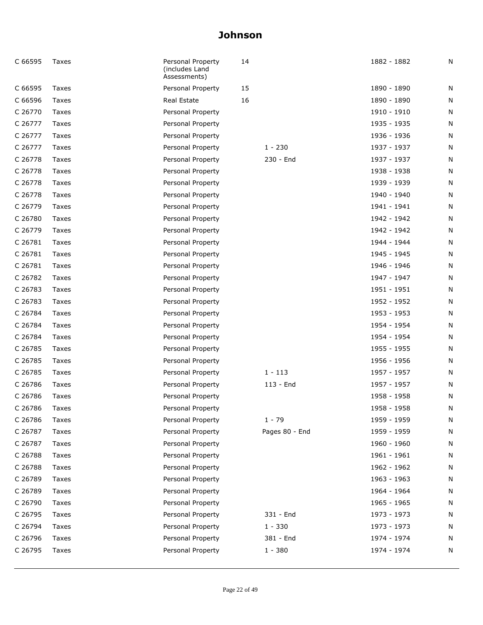| C 66595 | Taxes | Personal Property<br>(includes Land<br>Assessments) | 14 |                | 1882 - 1882 | N |
|---------|-------|-----------------------------------------------------|----|----------------|-------------|---|
| C 66595 | Taxes | Personal Property                                   | 15 |                | 1890 - 1890 | N |
| C 66596 | Taxes | Real Estate                                         | 16 |                | 1890 - 1890 | N |
| C 26770 | Taxes | Personal Property                                   |    |                | 1910 - 1910 | N |
| C 26777 | Taxes | Personal Property                                   |    |                | 1935 - 1935 | N |
| C 26777 | Taxes | Personal Property                                   |    |                | 1936 - 1936 | N |
| C 26777 | Taxes | Personal Property                                   |    | $1 - 230$      | 1937 - 1937 | N |
| C 26778 | Taxes | Personal Property                                   |    | 230 - End      | 1937 - 1937 | N |
| C 26778 | Taxes | Personal Property                                   |    |                | 1938 - 1938 | N |
| C 26778 | Taxes | Personal Property                                   |    |                | 1939 - 1939 | N |
| C 26778 | Taxes | Personal Property                                   |    |                | 1940 - 1940 | N |
| C 26779 | Taxes | Personal Property                                   |    |                | 1941 - 1941 | N |
| C 26780 | Taxes | Personal Property                                   |    |                | 1942 - 1942 | N |
| C 26779 | Taxes | Personal Property                                   |    |                | 1942 - 1942 | N |
| C 26781 | Taxes | Personal Property                                   |    |                | 1944 - 1944 | N |
| C 26781 | Taxes | Personal Property                                   |    |                | 1945 - 1945 | N |
| C 26781 | Taxes | Personal Property                                   |    |                | 1946 - 1946 | N |
| C 26782 | Taxes | Personal Property                                   |    |                | 1947 - 1947 | N |
| C 26783 | Taxes | Personal Property                                   |    |                | 1951 - 1951 | N |
| C 26783 | Taxes | Personal Property                                   |    |                | 1952 - 1952 | N |
| C 26784 | Taxes | Personal Property                                   |    |                | 1953 - 1953 | N |
| C 26784 | Taxes | Personal Property                                   |    |                | 1954 - 1954 | N |
| C 26784 | Taxes | Personal Property                                   |    |                | 1954 - 1954 | N |
| C 26785 | Taxes | Personal Property                                   |    |                | 1955 - 1955 | N |
| C 26785 | Taxes | Personal Property                                   |    |                | 1956 - 1956 | N |
| C 26785 | Taxes | Personal Property                                   |    | $1 - 113$      | 1957 - 1957 | N |
| C 26786 | Taxes | Personal Property                                   |    | 113 - End      | 1957 - 1957 | N |
| C 26786 | Taxes | Personal Property                                   |    |                | 1958 - 1958 | N |
| C 26786 | Taxes | Personal Property                                   |    |                | 1958 - 1958 | N |
| C 26786 | Taxes | Personal Property                                   |    | $1 - 79$       | 1959 - 1959 | N |
| C 26787 | Taxes | Personal Property                                   |    | Pages 80 - End | 1959 - 1959 | N |
| C 26787 | Taxes | Personal Property                                   |    |                | 1960 - 1960 | N |
| C 26788 | Taxes | Personal Property                                   |    |                | 1961 - 1961 | N |
| C 26788 | Taxes | Personal Property                                   |    |                | 1962 - 1962 | N |
| C 26789 | Taxes | Personal Property                                   |    |                | 1963 - 1963 | N |
| C 26789 | Taxes | Personal Property                                   |    |                | 1964 - 1964 | N |
| C 26790 | Taxes | Personal Property                                   |    |                | 1965 - 1965 | N |
| C 26795 | Taxes | Personal Property                                   |    | 331 - End      | 1973 - 1973 | N |
| C 26794 | Taxes | Personal Property                                   |    | $1 - 330$      | 1973 - 1973 | N |
| C 26796 | Taxes | Personal Property                                   |    | 381 - End      | 1974 - 1974 | N |
| C 26795 | Taxes | Personal Property                                   |    | $1 - 380$      | 1974 - 1974 | N |
|         |       |                                                     |    |                |             |   |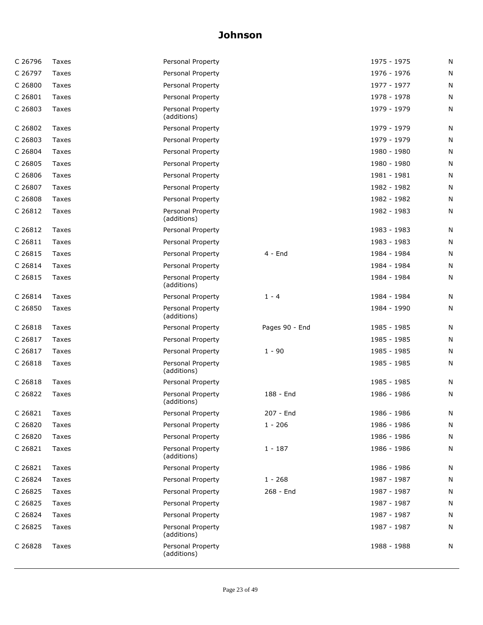| C 26796 | Taxes | Personal Property                |                | 1975 - 1975 | N |
|---------|-------|----------------------------------|----------------|-------------|---|
| C 26797 | Taxes | Personal Property                |                | 1976 - 1976 | Ν |
| C 26800 | Taxes | Personal Property                |                | 1977 - 1977 | N |
| C 26801 | Taxes | Personal Property                |                | 1978 - 1978 | N |
| C 26803 | Taxes | Personal Property<br>(additions) |                | 1979 - 1979 | N |
| C 26802 | Taxes | Personal Property                |                | 1979 - 1979 | N |
| C 26803 | Taxes | Personal Property                |                | 1979 - 1979 | N |
| C 26804 | Taxes | Personal Property                |                | 1980 - 1980 | N |
| C 26805 | Taxes | Personal Property                |                | 1980 - 1980 | Ν |
| C 26806 | Taxes | Personal Property                |                | 1981 - 1981 | N |
| C 26807 | Taxes | Personal Property                |                | 1982 - 1982 | N |
| C 26808 | Taxes | Personal Property                |                | 1982 - 1982 | N |
| C 26812 | Taxes | Personal Property<br>(additions) |                | 1982 - 1983 | Ν |
| C 26812 | Taxes | Personal Property                |                | 1983 - 1983 | N |
| C 26811 | Taxes | Personal Property                |                | 1983 - 1983 | N |
| C 26815 | Taxes | Personal Property                | $4 - End$      | 1984 - 1984 | N |
| C 26814 | Taxes | Personal Property                |                | 1984 - 1984 | N |
| C 26815 | Taxes | Personal Property<br>(additions) |                | 1984 - 1984 | Ν |
| C 26814 | Taxes | Personal Property                | $1 - 4$        | 1984 - 1984 | Ν |
| C 26850 | Taxes | Personal Property<br>(additions) |                | 1984 - 1990 | N |
| C 26818 | Taxes | Personal Property                | Pages 90 - End | 1985 - 1985 | N |
| C 26817 | Taxes | Personal Property                |                | 1985 - 1985 | N |
| C 26817 | Taxes | Personal Property                | $1 - 90$       | 1985 - 1985 | N |
| C 26818 | Taxes | Personal Property<br>(additions) |                | 1985 - 1985 | Ν |
| C 26818 | Taxes | Personal Property                |                | 1985 - 1985 | N |
| C 26822 | Taxes | Personal Property<br>(additions) | 188 - End      | 1986 - 1986 | N |
| C 26821 | Taxes | Personal Property                | 207 - End      | 1986 - 1986 | N |
| C 26820 | Taxes | Personal Property                | $1 - 206$      | 1986 - 1986 | N |
| C 26820 | Taxes | Personal Property                |                | 1986 - 1986 | N |
| C 26821 | Taxes | Personal Property<br>(additions) | $1 - 187$      | 1986 - 1986 | N |
| C 26821 | Taxes | Personal Property                |                | 1986 - 1986 | N |
| C 26824 | Taxes | Personal Property                | $1 - 268$      | 1987 - 1987 | N |
| C 26825 | Taxes | Personal Property                | 268 - End      | 1987 - 1987 | N |
| C 26825 | Taxes | Personal Property                |                | 1987 - 1987 | N |
| C 26824 | Taxes | Personal Property                |                | 1987 - 1987 | Ν |
| C 26825 | Taxes | Personal Property<br>(additions) |                | 1987 - 1987 | N |
| C 26828 | Taxes | Personal Property<br>(additions) |                | 1988 - 1988 | N |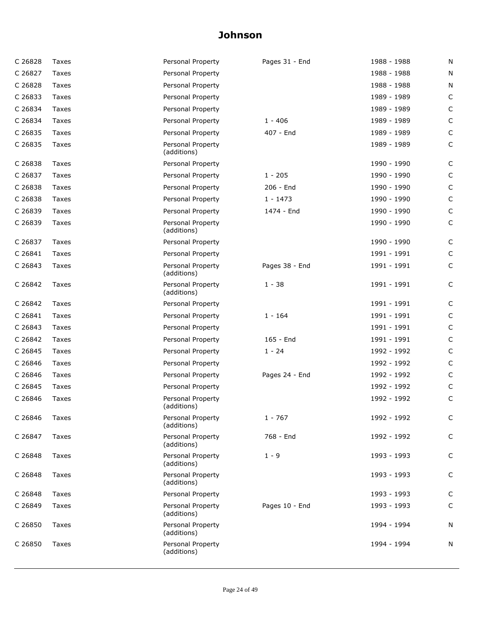| C 26828 | Taxes | Personal Property                | Pages 31 - End | 1988 - 1988 | N            |
|---------|-------|----------------------------------|----------------|-------------|--------------|
| C 26827 | Taxes | Personal Property                |                | 1988 - 1988 | N            |
| C 26828 | Taxes | Personal Property                |                | 1988 - 1988 | N            |
| C 26833 | Taxes | Personal Property                |                | 1989 - 1989 | $\mathsf C$  |
| C 26834 | Taxes | Personal Property                |                | 1989 - 1989 | $\mathsf{C}$ |
| C 26834 | Taxes | Personal Property                | $1 - 406$      | 1989 - 1989 | $\mathsf C$  |
| C 26835 | Taxes | Personal Property                | 407 - End      | 1989 - 1989 | $\mathsf C$  |
| C 26835 | Taxes | Personal Property<br>(additions) |                | 1989 - 1989 | $\mathsf C$  |
| C 26838 | Taxes | Personal Property                |                | 1990 - 1990 | C            |
| C 26837 | Taxes | Personal Property                | $1 - 205$      | 1990 - 1990 | $\mathsf{C}$ |
| C 26838 | Taxes | Personal Property                | 206 - End      | 1990 - 1990 | $\mathsf C$  |
| C 26838 | Taxes | Personal Property                | $1 - 1473$     | 1990 - 1990 | $\mathsf C$  |
| C 26839 | Taxes | Personal Property                | 1474 - End     | 1990 - 1990 | $\mathsf C$  |
| C 26839 | Taxes | Personal Property<br>(additions) |                | 1990 - 1990 | $\mathsf{C}$ |
| C 26837 | Taxes | Personal Property                |                | 1990 - 1990 | C            |
| C 26841 | Taxes | Personal Property                |                | 1991 - 1991 | C            |
| C 26843 | Taxes | Personal Property<br>(additions) | Pages 38 - End | 1991 - 1991 | $\mathsf{C}$ |
| C 26842 | Taxes | Personal Property<br>(additions) | $1 - 38$       | 1991 - 1991 | C            |
| C 26842 | Taxes | Personal Property                |                | 1991 - 1991 | C            |
| C 26841 | Taxes | Personal Property                | $1 - 164$      | 1991 - 1991 | C            |
| C 26843 | Taxes | Personal Property                |                | 1991 - 1991 | $\mathsf C$  |
| C 26842 | Taxes | Personal Property                | 165 - End      | 1991 - 1991 | $\mathsf C$  |
| C 26845 | Taxes | Personal Property                | $1 - 24$       | 1992 - 1992 | $\mathsf C$  |
| C 26846 | Taxes | Personal Property                |                | 1992 - 1992 | C            |
| C 26846 | Taxes | Personal Property                | Pages 24 - End | 1992 - 1992 | C            |
| C 26845 | Taxes | Personal Property                |                | 1992 - 1992 | C            |
| C 26846 | Taxes | Personal Property<br>(additions) |                | 1992 - 1992 | C            |
| C 26846 | Taxes | Personal Property<br>(additions) | $1 - 767$      | 1992 - 1992 | C            |
| C 26847 | Taxes | Personal Property<br>(additions) | 768 - End      | 1992 - 1992 | C            |
| C 26848 | Taxes | Personal Property<br>(additions) | $1 - 9$        | 1993 - 1993 | C            |
| C 26848 | Taxes | Personal Property<br>(additions) |                | 1993 - 1993 | C            |
| C 26848 | Taxes | Personal Property                |                | 1993 - 1993 | C            |
| C 26849 | Taxes | Personal Property<br>(additions) | Pages 10 - End | 1993 - 1993 | $\mathsf C$  |
| C 26850 | Taxes | Personal Property<br>(additions) |                | 1994 - 1994 | N            |
| C 26850 | Taxes | Personal Property<br>(additions) |                | 1994 - 1994 | N            |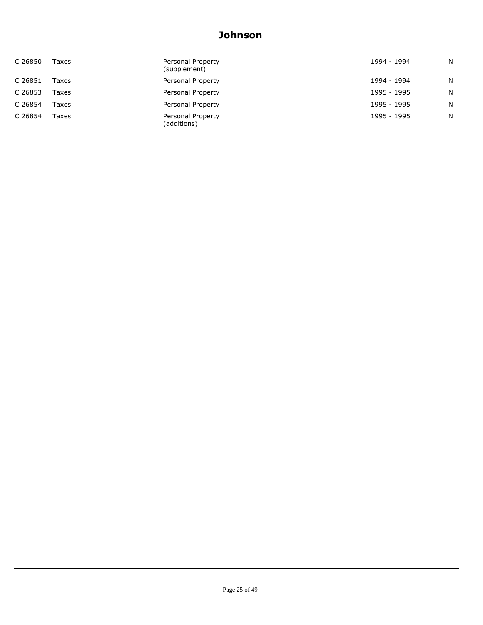| C 26850 | Taxes | Personal Property<br>(supplement) | 1994 - 1994 | N |
|---------|-------|-----------------------------------|-------------|---|
| C 26851 | Taxes | Personal Property                 | 1994 - 1994 | N |
| C 26853 | Taxes | Personal Property                 | 1995 - 1995 | N |
| C 26854 | Taxes | Personal Property                 | 1995 - 1995 | N |
| C 26854 | Taxes | Personal Property<br>(additions)  | 1995 - 1995 | N |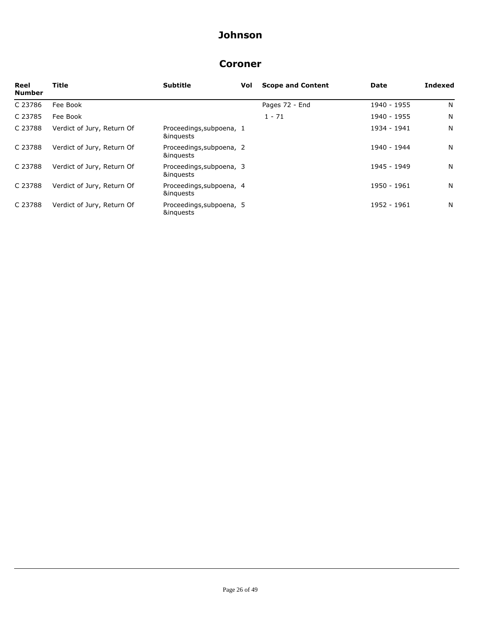#### **Coroner**

| Reel<br><b>Number</b> | Title                      | <b>Subtitle</b>                       | Vol | <b>Scope and Content</b> | Date        | <b>Indexed</b> |
|-----------------------|----------------------------|---------------------------------------|-----|--------------------------|-------------|----------------|
| C 23786               | Fee Book                   |                                       |     | Pages 72 - End           | 1940 - 1955 | N              |
| C 23785               | Fee Book                   |                                       |     | $1 - 71$                 | 1940 - 1955 | N              |
| C 23788               | Verdict of Jury, Return Of | Proceedings, subpoena, 1<br>&inguests |     |                          | 1934 - 1941 | N              |
| C 23788               | Verdict of Jury, Return Of | Proceedings, subpoena, 2<br>&inguests |     |                          | 1940 - 1944 | N              |
| C 23788               | Verdict of Jury, Return Of | Proceedings, subpoena, 3<br>&inguests |     |                          | 1945 - 1949 | N              |
| C 23788               | Verdict of Jury, Return Of | Proceedings, subpoena, 4<br>&inguests |     |                          | 1950 - 1961 | N              |
| C 23788               | Verdict of Jury, Return Of | Proceedings, subpoena, 5<br>&inguests |     |                          | 1952 - 1961 | N              |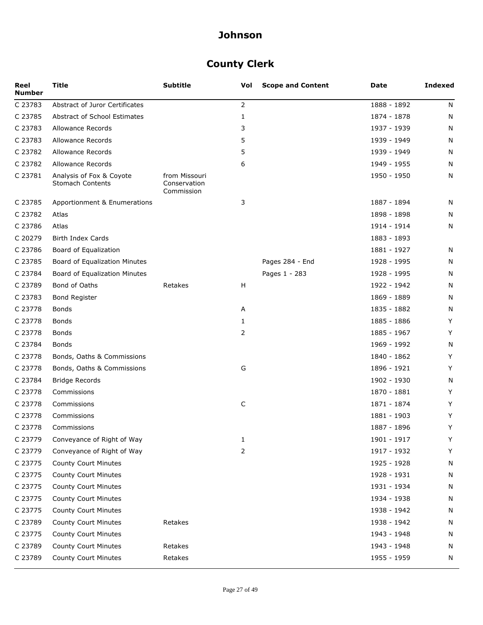## **County Clerk**

| Reel<br><b>Number</b> | <b>Title</b>                                        | <b>Subtitle</b>                             | Vol | <b>Scope and Content</b> | Date        | <b>Indexed</b> |
|-----------------------|-----------------------------------------------------|---------------------------------------------|-----|--------------------------|-------------|----------------|
| C 23783               | Abstract of Juror Certificates                      |                                             | 2   |                          | 1888 - 1892 | N              |
| C 23785               | Abstract of School Estimates                        |                                             | 1   |                          | 1874 - 1878 | N              |
| C 23783               | Allowance Records                                   |                                             | 3   |                          | 1937 - 1939 | N              |
| C 23783               | Allowance Records                                   |                                             | 5   |                          | 1939 - 1949 | N              |
| C 23782               | <b>Allowance Records</b>                            |                                             | 5   |                          | 1939 - 1949 | N              |
| C 23782               | Allowance Records                                   |                                             | 6   |                          | 1949 - 1955 | N              |
| C 23781               | Analysis of Fox & Coyote<br><b>Stomach Contents</b> | from Missouri<br>Conservation<br>Commission |     |                          | 1950 - 1950 | N              |
| C 23785               | Apportionment & Enumerations                        |                                             | 3   |                          | 1887 - 1894 | N              |
| C 23782               | Atlas                                               |                                             |     |                          | 1898 - 1898 | N              |
| C 23786               | Atlas                                               |                                             |     |                          | 1914 - 1914 | N              |
| C 20279               | Birth Index Cards                                   |                                             |     |                          | 1883 - 1893 |                |
| C 23786               | Board of Equalization                               |                                             |     |                          | 1881 - 1927 | N              |
| C 23785               | Board of Equalization Minutes                       |                                             |     | Pages 284 - End          | 1928 - 1995 | N              |
| C 23784               | Board of Equalization Minutes                       |                                             |     | Pages 1 - 283            | 1928 - 1995 | N              |
| C 23789               | Bond of Oaths                                       | Retakes                                     | H   |                          | 1922 - 1942 | N              |
| C 23783               | Bond Register                                       |                                             |     |                          | 1869 - 1889 | N              |
| C 23778               | Bonds                                               |                                             | Α   |                          | 1835 - 1882 | N              |
| C 23778               | Bonds                                               |                                             | 1   |                          | 1885 - 1886 | Y              |
| C 23778               | Bonds                                               |                                             | 2   |                          | 1885 - 1967 | Υ              |
| C 23784               | Bonds                                               |                                             |     |                          | 1969 - 1992 | N              |
| C 23778               | Bonds, Oaths & Commissions                          |                                             |     |                          | 1840 - 1862 | Y              |
| C 23778               | Bonds, Oaths & Commissions                          |                                             | G   |                          | 1896 - 1921 | Y              |
| C 23784               | <b>Bridge Records</b>                               |                                             |     |                          | 1902 - 1930 | N              |
| C 23778               | Commissions                                         |                                             |     |                          | 1870 - 1881 | Υ              |
| C 23778               | Commissions                                         |                                             | C   |                          | 1871 - 1874 | Y              |
| C 23778               | Commissions                                         |                                             |     |                          | 1881 - 1903 | Y              |
| C 23778               | Commissions                                         |                                             |     |                          | 1887 - 1896 | Y              |
| C 23779               | Conveyance of Right of Way                          |                                             | 1   |                          | 1901 - 1917 | Y              |
| C 23779               | Conveyance of Right of Way                          |                                             | 2   |                          | 1917 - 1932 | Υ              |
| C 23775               | County Court Minutes                                |                                             |     |                          | 1925 - 1928 | N              |
| C 23775               | County Court Minutes                                |                                             |     |                          | 1928 - 1931 | N              |
| C 23775               | County Court Minutes                                |                                             |     |                          | 1931 - 1934 | N              |
| C 23775               | County Court Minutes                                |                                             |     |                          | 1934 - 1938 | N              |
| C 23775               | County Court Minutes                                |                                             |     |                          | 1938 - 1942 | N              |
| C 23789               | County Court Minutes                                | Retakes                                     |     |                          | 1938 - 1942 | N              |
| C 23775               | County Court Minutes                                |                                             |     |                          | 1943 - 1948 | N              |
| C 23789               | County Court Minutes                                | Retakes                                     |     |                          | 1943 - 1948 | N              |
| C 23789               | County Court Minutes                                | Retakes                                     |     |                          | 1955 - 1959 | N              |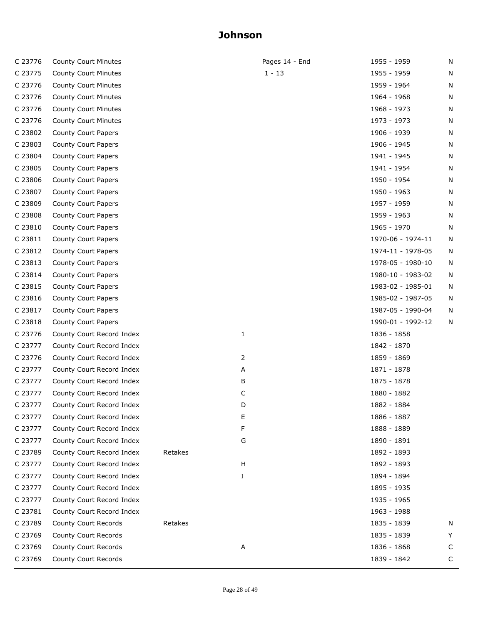| C 23776 | County Court Minutes      |         | Pages 14 - End | 1955 - 1959       | N |
|---------|---------------------------|---------|----------------|-------------------|---|
| C 23775 | County Court Minutes      |         | $1 - 13$       | 1955 - 1959       | N |
| C 23776 | County Court Minutes      |         |                | 1959 - 1964       | N |
| C 23776 | County Court Minutes      |         |                | 1964 - 1968       | N |
| C 23776 | County Court Minutes      |         |                | 1968 - 1973       | N |
| C 23776 | County Court Minutes      |         |                | 1973 - 1973       | N |
| C 23802 | County Court Papers       |         |                | 1906 - 1939       | N |
| C 23803 | County Court Papers       |         |                | 1906 - 1945       | N |
| C 23804 | County Court Papers       |         |                | 1941 - 1945       | N |
| C 23805 | County Court Papers       |         |                | 1941 - 1954       | N |
| C 23806 | County Court Papers       |         |                | 1950 - 1954       | N |
| C 23807 | County Court Papers       |         |                | 1950 - 1963       | N |
| C 23809 | County Court Papers       |         |                | 1957 - 1959       | N |
| C 23808 | County Court Papers       |         |                | 1959 - 1963       | N |
| C 23810 | County Court Papers       |         |                | 1965 - 1970       | N |
| C 23811 | County Court Papers       |         |                | 1970-06 - 1974-11 | N |
| C 23812 | County Court Papers       |         |                | 1974-11 - 1978-05 | N |
| C 23813 | County Court Papers       |         |                | 1978-05 - 1980-10 | N |
| C 23814 | County Court Papers       |         |                | 1980-10 - 1983-02 | N |
| C 23815 | County Court Papers       |         |                | 1983-02 - 1985-01 | N |
| C 23816 | County Court Papers       |         |                | 1985-02 - 1987-05 | N |
| C 23817 | County Court Papers       |         |                | 1987-05 - 1990-04 | N |
| C 23818 | County Court Papers       |         |                | 1990-01 - 1992-12 | N |
| C 23776 | County Court Record Index |         | 1              | 1836 - 1858       |   |
| C 23777 | County Court Record Index |         |                | 1842 - 1870       |   |
| C 23776 | County Court Record Index |         | 2              | 1859 - 1869       |   |
| C 23777 | County Court Record Index |         | Α              | 1871 - 1878       |   |
| C 23777 | County Court Record Index |         | В              | 1875 - 1878       |   |
| C 23777 | County Court Record Index |         | C              | 1880 - 1882       |   |
| C 23777 | County Court Record Index |         | D              | 1882 - 1884       |   |
| C 23777 | County Court Record Index |         | Ε              | 1886 - 1887       |   |
| C 23777 | County Court Record Index |         | F              | 1888 - 1889       |   |
| C 23777 | County Court Record Index |         | G              | 1890 - 1891       |   |
| C 23789 | County Court Record Index | Retakes |                | 1892 - 1893       |   |
| C 23777 | County Court Record Index |         | H              | 1892 - 1893       |   |
| C 23777 | County Court Record Index |         | Ι              | 1894 - 1894       |   |
| C 23777 | County Court Record Index |         |                | 1895 - 1935       |   |
| C 23777 | County Court Record Index |         |                | 1935 - 1965       |   |
| C 23781 | County Court Record Index |         |                | 1963 - 1988       |   |
| C 23789 | County Court Records      | Retakes |                | 1835 - 1839       | N |
| C 23769 | County Court Records      |         |                | 1835 - 1839       | Y |
| C 23769 | County Court Records      |         | А              | 1836 - 1868       | С |
| C 23769 | County Court Records      |         |                | 1839 - 1842       | C |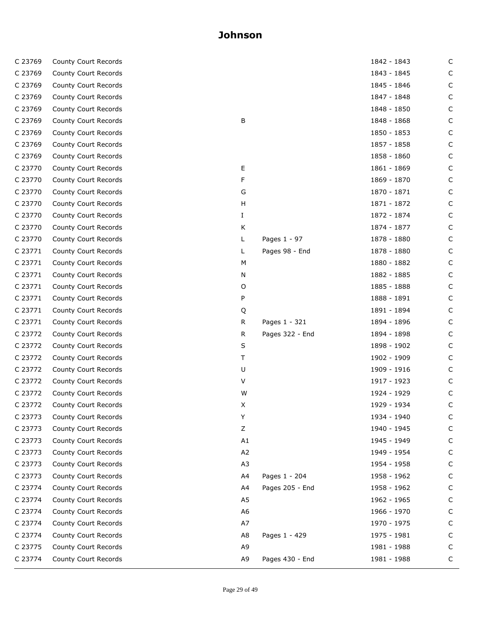| C 23769 | County Court Records |                |                 | 1842 - 1843 | C |
|---------|----------------------|----------------|-----------------|-------------|---|
| C 23769 | County Court Records |                |                 | 1843 - 1845 | C |
| C 23769 | County Court Records |                |                 | 1845 - 1846 | C |
| C 23769 | County Court Records |                |                 | 1847 - 1848 | C |
| C 23769 | County Court Records |                |                 | 1848 - 1850 | C |
| C 23769 | County Court Records | В              |                 | 1848 - 1868 | C |
| C 23769 | County Court Records |                |                 | 1850 - 1853 | C |
| C 23769 | County Court Records |                |                 | 1857 - 1858 | C |
| C 23769 | County Court Records |                |                 | 1858 - 1860 | C |
| C 23770 | County Court Records | E              |                 | 1861 - 1869 | C |
| C 23770 | County Court Records | F              |                 | 1869 - 1870 | C |
| C 23770 | County Court Records | G              |                 | 1870 - 1871 | С |
| C 23770 | County Court Records | н              |                 | 1871 - 1872 | C |
| C 23770 | County Court Records | Ι.             |                 | 1872 - 1874 | C |
| C 23770 | County Court Records | K              |                 | 1874 - 1877 | C |
| C 23770 | County Court Records | L              | Pages 1 - 97    | 1878 - 1880 | С |
| C 23771 | County Court Records | L              | Pages 98 - End  | 1878 - 1880 | С |
| C 23771 | County Court Records | М              |                 | 1880 - 1882 | С |
| C 23771 | County Court Records | Ν              |                 | 1882 - 1885 | C |
| C 23771 | County Court Records | O              |                 | 1885 - 1888 | С |
| C 23771 | County Court Records | P              |                 | 1888 - 1891 | C |
| C 23771 | County Court Records | Q              |                 | 1891 - 1894 | C |
| C 23771 | County Court Records | R.             | Pages 1 - 321   | 1894 - 1896 | C |
| C 23772 | County Court Records | R              | Pages 322 - End | 1894 - 1898 | С |
| C 23772 | County Court Records | S              |                 | 1898 - 1902 | C |
| C 23772 | County Court Records | Τ              |                 | 1902 - 1909 | С |
| C 23772 | County Court Records | U              |                 | 1909 - 1916 | C |
| C 23772 | County Court Records | V              |                 | 1917 - 1923 | С |
| C 23772 | County Court Records | W              |                 | 1924 - 1929 | C |
| C 23772 | County Court Records | X              |                 | 1929 - 1934 | С |
| C 23773 | County Court Records | Y              |                 | 1934 - 1940 | С |
| C 23773 | County Court Records | Ζ              |                 | 1940 - 1945 | C |
| C 23773 | County Court Records | A1             |                 | 1945 - 1949 | С |
| C 23773 | County Court Records | A <sub>2</sub> |                 | 1949 - 1954 | С |
| C 23773 | County Court Records | A <sub>3</sub> |                 | 1954 - 1958 | C |
| C 23773 | County Court Records | A4             | Pages 1 - 204   | 1958 - 1962 | C |
| C 23774 | County Court Records | A4             | Pages 205 - End | 1958 - 1962 | С |
| C 23774 | County Court Records | A5             |                 | 1962 - 1965 | С |
| C 23774 | County Court Records | A6             |                 | 1966 - 1970 | C |
| C 23774 | County Court Records | A7             |                 | 1970 - 1975 | C |
| C 23774 | County Court Records | A8             | Pages 1 - 429   | 1975 - 1981 | С |
| C 23775 | County Court Records | A <sub>9</sub> |                 | 1981 - 1988 | C |
| C 23774 | County Court Records | A9             | Pages 430 - End | 1981 - 1988 | C |
|         |                      |                |                 |             |   |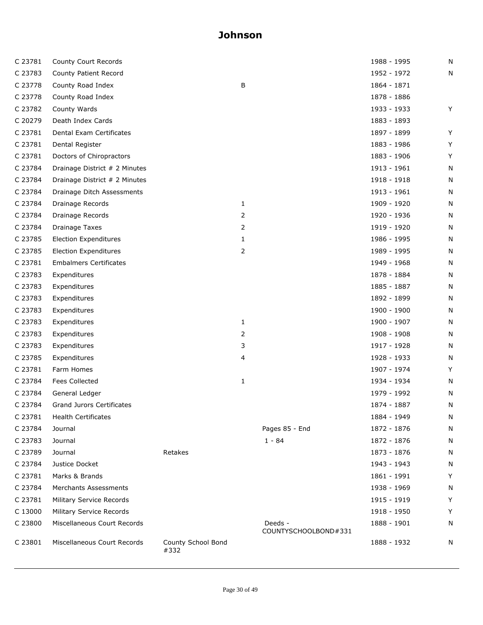| C 23781 | County Court Records          |                            |              |                                 | 1988 - 1995 | N |
|---------|-------------------------------|----------------------------|--------------|---------------------------------|-------------|---|
| C 23783 | County Patient Record         |                            |              |                                 | 1952 - 1972 | N |
| C 23778 | County Road Index             |                            | В            |                                 | 1864 - 1871 |   |
| C 23778 | County Road Index             |                            |              |                                 | 1878 - 1886 |   |
| C 23782 | County Wards                  |                            |              |                                 | 1933 - 1933 | Y |
| C 20279 | Death Index Cards             |                            |              |                                 | 1883 - 1893 |   |
| C 23781 | Dental Exam Certificates      |                            |              |                                 | 1897 - 1899 | Y |
| C 23781 | Dental Register               |                            |              |                                 | 1883 - 1986 | Y |
| C 23781 | Doctors of Chiropractors      |                            |              |                                 | 1883 - 1906 | Y |
| C 23784 | Drainage District # 2 Minutes |                            |              |                                 | 1913 - 1961 | N |
| C 23784 | Drainage District # 2 Minutes |                            |              |                                 | 1918 - 1918 | N |
| C 23784 | Drainage Ditch Assessments    |                            |              |                                 | 1913 - 1961 | N |
| C 23784 | Drainage Records              |                            | $\mathbf{1}$ |                                 | 1909 - 1920 | N |
| C 23784 | Drainage Records              |                            | 2            |                                 | 1920 - 1936 | N |
| C 23784 | <b>Drainage Taxes</b>         |                            | 2            |                                 | 1919 - 1920 | N |
| C 23785 | <b>Election Expenditures</b>  |                            | $\mathbf{1}$ |                                 | 1986 - 1995 | N |
| C 23785 | <b>Election Expenditures</b>  |                            | 2            |                                 | 1989 - 1995 | N |
| C 23781 | <b>Embalmers Certificates</b> |                            |              |                                 | 1949 - 1968 | N |
| C 23783 | Expenditures                  |                            |              |                                 | 1878 - 1884 | N |
| C 23783 | Expenditures                  |                            |              |                                 | 1885 - 1887 | N |
| C 23783 | Expenditures                  |                            |              |                                 | 1892 - 1899 | N |
| C 23783 | Expenditures                  |                            |              |                                 | 1900 - 1900 | N |
| C 23783 | Expenditures                  |                            | $\mathbf{1}$ |                                 | 1900 - 1907 | N |
| C 23783 | Expenditures                  |                            | 2            |                                 | 1908 - 1908 | N |
| C 23783 | Expenditures                  |                            | 3            |                                 | 1917 - 1928 | N |
| C 23785 | Expenditures                  |                            | 4            |                                 | 1928 - 1933 | N |
| C 23781 | Farm Homes                    |                            |              |                                 | 1907 - 1974 | Y |
| C 23784 | <b>Fees Collected</b>         |                            | $\mathbf{1}$ |                                 | 1934 - 1934 | N |
| C 23784 | General Ledger                |                            |              |                                 | 1979 - 1992 | N |
| C 23784 | Grand Jurors Certificates     |                            |              |                                 | 1874 - 1887 | N |
| C 23781 | <b>Health Certificates</b>    |                            |              |                                 | 1884 - 1949 | N |
| C 23784 | Journal                       |                            |              | Pages 85 - End                  | 1872 - 1876 | N |
| C 23783 | Journal                       |                            |              | $1 - 84$                        | 1872 - 1876 | N |
| C 23789 | Journal                       | Retakes                    |              |                                 | 1873 - 1876 | N |
| C 23784 | Justice Docket                |                            |              |                                 | 1943 - 1943 | N |
| C 23781 | Marks & Brands                |                            |              |                                 | 1861 - 1991 | Υ |
| C 23784 | Merchants Assessments         |                            |              |                                 | 1938 - 1969 | Ν |
| C 23781 | Military Service Records      |                            |              |                                 | 1915 - 1919 | Υ |
| C 13000 | Military Service Records      |                            |              |                                 | 1918 - 1950 | Y |
| C 23800 | Miscellaneous Court Records   |                            |              | Deeds -<br>COUNTYSCHOOLBOND#331 | 1888 - 1901 | N |
| C 23801 | Miscellaneous Court Records   | County School Bond<br>#332 |              |                                 | 1888 - 1932 | N |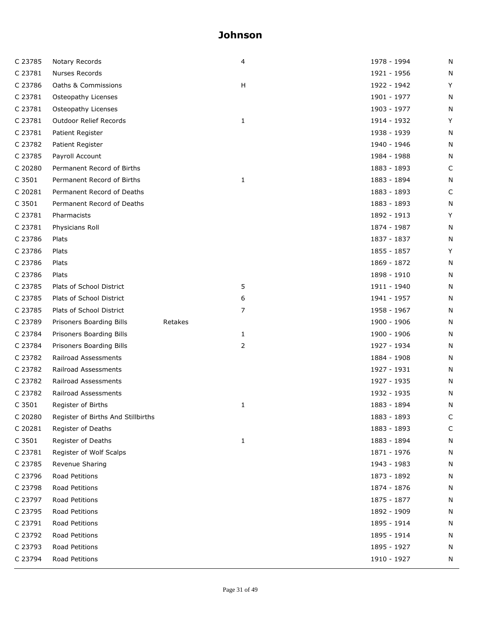| C 23785 | Notary Records                     |         | 4            | 1978 - 1994 | N |
|---------|------------------------------------|---------|--------------|-------------|---|
| C 23781 | Nurses Records                     |         |              | 1921 - 1956 | N |
| C 23786 | Oaths & Commissions                |         | H            | 1922 - 1942 | Y |
| C 23781 | Osteopathy Licenses                |         |              | 1901 - 1977 | N |
| C 23781 | Osteopathy Licenses                |         |              | 1903 - 1977 | N |
| C 23781 | Outdoor Relief Records             |         | 1            | 1914 - 1932 | Y |
| C 23781 | Patient Register                   |         |              | 1938 - 1939 | N |
| C 23782 | Patient Register                   |         |              | 1940 - 1946 | N |
| C 23785 | Payroll Account                    |         |              | 1984 - 1988 | N |
| C 20280 | Permanent Record of Births         |         |              | 1883 - 1893 | C |
| C 3501  | Permanent Record of Births         |         | 1            | 1883 - 1894 | N |
| C 20281 | Permanent Record of Deaths         |         |              | 1883 - 1893 | C |
| C 3501  | Permanent Record of Deaths         |         |              | 1883 - 1893 | N |
| C 23781 | Pharmacists                        |         |              | 1892 - 1913 | Y |
| C 23781 | Physicians Roll                    |         |              | 1874 - 1987 | N |
| C 23786 | Plats                              |         |              | 1837 - 1837 | N |
| C 23786 | Plats                              |         |              | 1855 - 1857 | Y |
| C 23786 | Plats                              |         |              | 1869 - 1872 | N |
| C 23786 | Plats                              |         |              | 1898 - 1910 | N |
| C 23785 | Plats of School District           |         | 5            | 1911 - 1940 | N |
| C 23785 | Plats of School District           |         | 6            | 1941 - 1957 | N |
| C 23785 | Plats of School District           |         | 7            | 1958 - 1967 | N |
| C 23789 | Prisoners Boarding Bills           | Retakes |              | 1900 - 1906 | N |
| C 23784 | Prisoners Boarding Bills           |         | 1            | 1900 - 1906 | N |
| C 23784 | Prisoners Boarding Bills           |         | 2            | 1927 - 1934 | N |
| C 23782 | Railroad Assessments               |         |              | 1884 - 1908 | N |
| C 23782 | Railroad Assessments               |         |              | 1927 - 1931 | N |
| C 23782 | Railroad Assessments               |         |              | 1927 - 1935 | N |
| C 23782 | Railroad Assessments               |         |              | 1932 - 1935 | N |
| C 3501  | Register of Births                 |         | 1            | 1883 - 1894 | N |
| C 20280 | Register of Births And Stillbirths |         |              | 1883 - 1893 | С |
| C 20281 | Register of Deaths                 |         |              | 1883 - 1893 | C |
| C 3501  | Register of Deaths                 |         | $\mathbf{1}$ | 1883 - 1894 | N |
| C 23781 | Register of Wolf Scalps            |         |              | 1871 - 1976 | N |
| C 23785 | Revenue Sharing                    |         |              | 1943 - 1983 | N |
| C 23796 | Road Petitions                     |         |              | 1873 - 1892 | N |
| C 23798 | Road Petitions                     |         |              | 1874 - 1876 | N |
| C 23797 | Road Petitions                     |         |              | 1875 - 1877 | N |
| C 23795 | Road Petitions                     |         |              | 1892 - 1909 | N |
| C 23791 | Road Petitions                     |         |              | 1895 - 1914 | N |
| C 23792 | Road Petitions                     |         |              | 1895 - 1914 | N |
| C 23793 | Road Petitions                     |         |              | 1895 - 1927 | N |
| C 23794 | Road Petitions                     |         |              | 1910 - 1927 | N |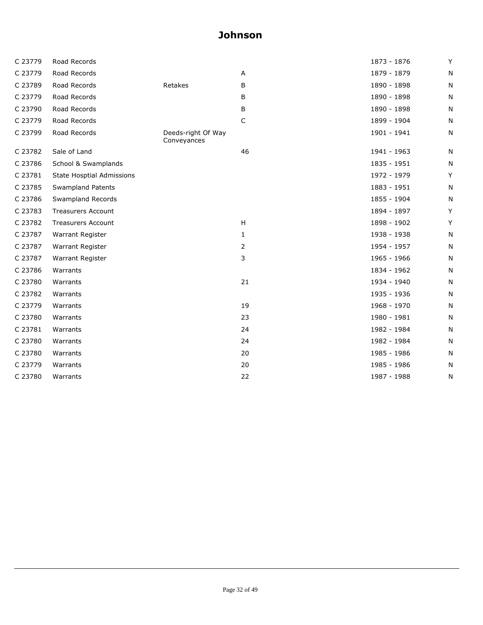| C 23779 | Road Records                     |                                   |    | 1873 - 1876 | Y |
|---------|----------------------------------|-----------------------------------|----|-------------|---|
| C 23779 | Road Records                     |                                   | Α  | 1879 - 1879 | N |
| C 23789 | Road Records                     | Retakes                           | В  | 1890 - 1898 | N |
| C 23779 | Road Records                     |                                   | B  | 1890 - 1898 | N |
| C 23790 | Road Records                     |                                   | В  | 1890 - 1898 | N |
| C 23779 | Road Records                     |                                   | C  | 1899 - 1904 | N |
| C 23799 | Road Records                     | Deeds-right Of Way<br>Conveyances |    | 1901 - 1941 | N |
| C 23782 | Sale of Land                     |                                   | 46 | 1941 - 1963 | N |
| C 23786 | School & Swamplands              |                                   |    | 1835 - 1951 | N |
| C 23781 | <b>State Hosptial Admissions</b> |                                   |    | 1972 - 1979 | Y |
| C 23785 | <b>Swampland Patents</b>         |                                   |    | 1883 - 1951 | N |
| C 23786 | Swampland Records                |                                   |    | 1855 - 1904 | N |
| C 23783 | <b>Treasurers Account</b>        |                                   |    | 1894 - 1897 | Y |
| C 23782 | <b>Treasurers Account</b>        |                                   | H  | 1898 - 1902 | Y |
| C 23787 | Warrant Register                 |                                   | 1  | 1938 - 1938 | N |
| C 23787 | Warrant Register                 |                                   | 2  | 1954 - 1957 | N |
| C 23787 | Warrant Register                 |                                   | 3  | 1965 - 1966 | N |
| C 23786 | Warrants                         |                                   |    | 1834 - 1962 | N |
| C 23780 | Warrants                         |                                   | 21 | 1934 - 1940 | N |
| C 23782 | Warrants                         |                                   |    | 1935 - 1936 | N |
| C 23779 | Warrants                         |                                   | 19 | 1968 - 1970 | N |
| C 23780 | Warrants                         |                                   | 23 | 1980 - 1981 | N |
| C 23781 | Warrants                         |                                   | 24 | 1982 - 1984 | N |
| C 23780 | Warrants                         |                                   | 24 | 1982 - 1984 | N |
| C 23780 | Warrants                         |                                   | 20 | 1985 - 1986 | N |
| C 23779 | Warrants                         |                                   | 20 | 1985 - 1986 | N |
| C 23780 | Warrants                         |                                   | 22 | 1987 - 1988 | Ν |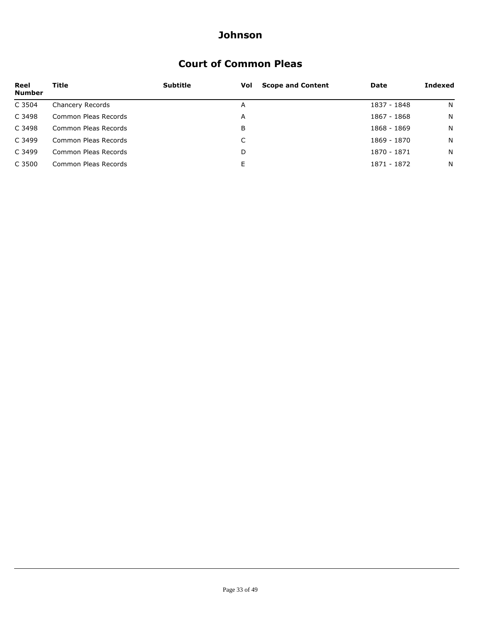### **Court of Common Pleas**

| Reel<br><b>Number</b> | Title                | <b>Subtitle</b> | <b>Scope and Content</b><br>Vol | Date        | Indexed |
|-----------------------|----------------------|-----------------|---------------------------------|-------------|---------|
| C 3504                | Chancery Records     |                 | A                               | 1837 - 1848 | N       |
| C 3498                | Common Pleas Records |                 | Α                               | 1867 - 1868 | N       |
| C 3498                | Common Pleas Records |                 | B                               | 1868 - 1869 | N       |
| C 3499                | Common Pleas Records |                 |                                 | 1869 - 1870 | N       |
| C 3499                | Common Pleas Records |                 | D                               | 1870 - 1871 | N       |
| C 3500                | Common Pleas Records |                 | E                               | 1871 - 1872 | N       |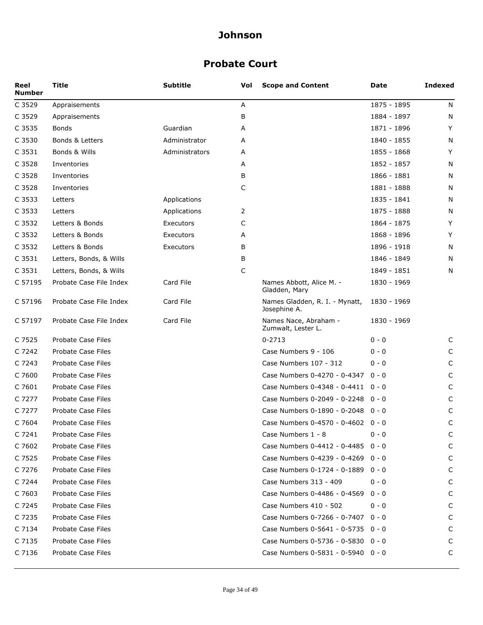### **Probate Court**

| Reel<br><b>Number</b> | Title                   | Subtitle       | Vol | <b>Scope and Content</b>                       | Date        | <b>Indexed</b> |
|-----------------------|-------------------------|----------------|-----|------------------------------------------------|-------------|----------------|
| C 3529                | Appraisements           |                | Α   |                                                | 1875 - 1895 | N              |
| C 3529                | Appraisements           |                | B   |                                                | 1884 - 1897 | N              |
| C 3535                | <b>Bonds</b>            | Guardian       | A   |                                                | 1871 - 1896 | Y              |
| C 3530                | Bonds & Letters         | Administrator  | А   |                                                | 1840 - 1855 | N              |
| C 3531                | Bonds & Wills           | Administrators | А   |                                                | 1855 - 1868 | Y              |
| C 3528                | Inventories             |                | А   |                                                | 1852 - 1857 | N              |
| C 3528                | Inventories             |                | В   |                                                | 1866 - 1881 | N              |
| C 3528                | Inventories             |                | C   |                                                | 1881 - 1888 | N              |
| C 3533                | Letters                 | Applications   |     |                                                | 1835 - 1841 | N              |
| C 3533                | Letters                 | Applications   | 2   |                                                | 1875 - 1888 | N              |
| C 3532                | Letters & Bonds         | Executors      | C   |                                                | 1864 - 1875 | Y              |
| C 3532                | Letters & Bonds         | Executors      | А   |                                                | 1868 - 1896 | Y              |
| C 3532                | Letters & Bonds         | Executors      | B   |                                                | 1896 - 1918 | N              |
| C 3531                | Letters, Bonds, & Wills |                | В   |                                                | 1846 - 1849 | N              |
| C 3531                | Letters, Bonds, & Wills |                | C   |                                                | 1849 - 1851 | N              |
| C 57195               | Probate Case File Index | Card File      |     | Names Abbott, Alice M. -<br>Gladden, Mary      | 1830 - 1969 |                |
| C 57196               | Probate Case File Index | Card File      |     | Names Gladden, R. I. - Mynatt,<br>Josephine A. | 1830 - 1969 |                |
| C 57197               | Probate Case File Index | Card File      |     | Names Nace, Abraham -<br>Zumwalt, Lester L.    | 1830 - 1969 |                |
| C 7525                | Probate Case Files      |                |     | $0 - 2713$                                     | 0 - 0       | C              |
| C 7242                | Probate Case Files      |                |     | Case Numbers 9 - 106                           | 0 - 0       | C              |
| C 7243                | Probate Case Files      |                |     | Case Numbers 107 - 312                         | $0 - 0$     | C              |
| C 7600                | Probate Case Files      |                |     | Case Numbers 0-4270 - 0-4347                   | 0 - 0       | C              |
| C 7601                | Probate Case Files      |                |     | Case Numbers 0-4348 - 0-4411 0 - 0             |             | C              |
| C 7277                | Probate Case Files      |                |     | Case Numbers 0-2049 - 0-2248 0 - 0             |             | C              |
| C 7277                | Probate Case Files      |                |     | Case Numbers 0-1890 - 0-2048 0 - 0             |             | C              |
| C 7604                | Probate Case Files      |                |     | Case Numbers 0-4570 - 0-4602 0 - 0             |             | C              |
| C 7241                | Probate Case Files      |                |     | Case Numbers 1 - 8                             | 0 - 0       | C              |
| C 7602                | Probate Case Files      |                |     | Case Numbers 0-4412 - 0-4485 0 - 0             |             | C              |
| C 7525                | Probate Case Files      |                |     | Case Numbers 0-4239 - 0-4269 0 - 0             |             | C              |
| C 7276                | Probate Case Files      |                |     | Case Numbers 0-1724 - 0-1889                   | $0 - 0$     | C              |
| C 7244                | Probate Case Files      |                |     | Case Numbers 313 - 409                         | 0 - 0       | C              |
| C 7603                | Probate Case Files      |                |     | Case Numbers 0-4486 - 0-4569                   | $0 - 0$     | C              |
| C 7245                | Probate Case Files      |                |     | Case Numbers 410 - 502                         | $0 - 0$     | C              |
| C 7235                | Probate Case Files      |                |     | Case Numbers 0-7266 - 0-7407                   | $0 - 0$     | C              |
| C 7134                | Probate Case Files      |                |     | Case Numbers 0-5641 - 0-5735 0 - 0             |             | C              |
| C 7135                | Probate Case Files      |                |     | Case Numbers 0-5736 - 0-5830 0 - 0             |             | C              |
| C 7136                | Probate Case Files      |                |     | Case Numbers 0-5831 - 0-5940 0 - 0             |             | C              |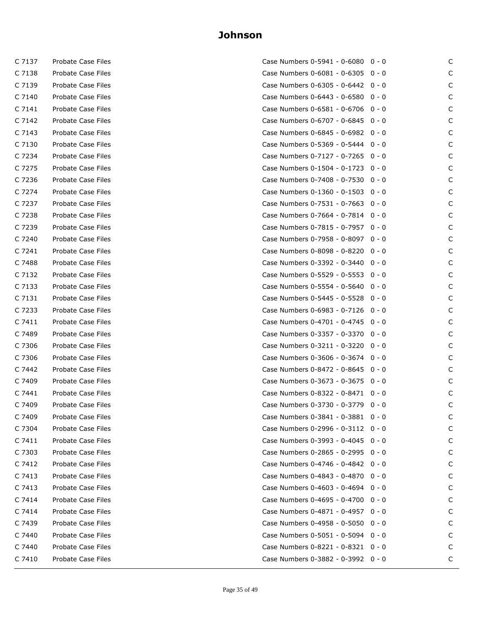| C 7137 | Probate Case Files        |
|--------|---------------------------|
|        | C 7138 Probate Case Files |
|        | C 7139 Probate Case Files |
|        | C 7140 Probate Case Files |
|        | C 7141 Probate Case Files |
|        | C 7142 Probate Case Files |
|        | C 7143 Probate Case Files |
| C 7130 | Probate Case Files        |
|        | C 7234 Probate Case Files |
|        | C 7275 Probate Case Files |
|        | C 7236 Probate Case Files |
|        | C 7274 Probate Case Files |
|        | C 7237 Probate Case Files |
|        | C 7238 Probate Case Files |
| C 7239 | Probate Case Files        |
|        | C 7240 Probate Case Files |
|        | C 7241 Probate Case Files |
|        | C 7488 Probate Case Files |
| C 7132 | Probate Case Files        |
| C 7133 | Probate Case Files        |
| C 7131 | Probate Case Files        |
|        | C 7233 Probate Case Files |
| C 7411 | Probate Case Files        |
|        | C 7489 Probate Case Files |
| C 7306 | Probate Case Files        |
|        | C 7306 Probate Case Files |
| C 7442 | Probate Case Files        |
|        | C 7409 Probate Case Files |
| C 7441 | Probate Case Files        |
|        | C 7409 Probate Case Files |
| C 7409 | Probate Case Files        |
| C 7304 | Probate Case Files        |
| C 7411 | Probate Case Files        |
| C 7303 | Probate Case Files        |
| C 7412 | Probate Case Files        |
| C 7413 | Probate Case Files        |
| C 7413 | Probate Case Files        |
| C 7414 | Probate Case Files        |
| C 7414 | Probate Case Files        |
| C 7439 | Probate Case Files        |
| C 7440 | Probate Case Files        |
| C 7440 | Probate Case Files        |
| C 7410 | Probate Case Files        |

| C 7137 | Probate Case Files | Case Numbers 0-5941 - 0-6080 0 - 0             | C |
|--------|--------------------|------------------------------------------------|---|
| C 7138 | Probate Case Files | Case Numbers 0-6081 - 0-6305 0 - 0             | C |
| C 7139 | Probate Case Files | Case Numbers 0-6305 - 0-6442 0 - 0             | C |
| C 7140 | Probate Case Files | Case Numbers 0-6443 - 0-6580 0 - 0             | C |
| C 7141 | Probate Case Files | Case Numbers 0-6581 - 0-6706 0 - 0             | C |
| C 7142 | Probate Case Files | Case Numbers 0-6707 - 0-6845 0 - 0             | C |
| C 7143 | Probate Case Files | Case Numbers $0 - 6845 - 0 - 6982 \quad 0 - 0$ | C |
| C 7130 | Probate Case Files | Case Numbers 0-5369 - 0-5444 0 - 0             | C |
| C 7234 | Probate Case Files | Case Numbers 0-7127 - 0-7265 0 - 0             | C |
| C 7275 | Probate Case Files | Case Numbers 0-1504 - 0-1723 0 - 0             | C |
| C 7236 | Probate Case Files | Case Numbers 0-7408 - 0-7530 0 - 0             | C |
| C 7274 | Probate Case Files | Case Numbers 0-1360 - 0-1503 0 - 0             | C |
| C 7237 | Probate Case Files | Case Numbers 0-7531 - 0-7663 0 - 0             | C |
| C 7238 | Probate Case Files | Case Numbers $0-7664 - 0-7814$ 0 - 0           | C |
| C 7239 | Probate Case Files | Case Numbers 0-7815 - 0-7957 0 - 0             | C |
| C 7240 | Probate Case Files | Case Numbers 0-7958 - 0-8097 0 - 0             | C |
| C 7241 | Probate Case Files | Case Numbers 0-8098 - 0-8220 0 - 0             | C |
| C 7488 | Probate Case Files | Case Numbers $0-3392 - 0-3440 - 0 - 0$         | C |
| C 7132 | Probate Case Files | Case Numbers 0-5529 - 0-5553 0 - 0             | C |
| C 7133 | Probate Case Files | Case Numbers 0-5554 - 0-5640 0 - 0             | C |
| C 7131 | Probate Case Files | Case Numbers 0-5445 - 0-5528 0 - 0             | C |
| C 7233 | Probate Case Files | Case Numbers 0-6983 - 0-7126 0 - 0             | C |
| C 7411 | Probate Case Files | Case Numbers 0-4701 - 0-4745 0 - 0             | C |
| C 7489 | Probate Case Files | Case Numbers 0-3357 - 0-3370 0 - 0             | C |
| C 7306 | Probate Case Files | Case Numbers 0-3211 - 0-3220 0 - 0             | C |
| C 7306 | Probate Case Files | Case Numbers 0-3606 - 0-3674 0 - 0             | C |
| C 7442 | Probate Case Files | Case Numbers $0 - 8472 - 0 - 8645 = 0 - 0$     | C |
| C 7409 | Probate Case Files | Case Numbers $0-3673 - 0-3675 = 0 - 0$         | C |
| C 7441 | Probate Case Files | Case Numbers 0-8322 - 0-8471 0 - 0             | C |
| C 7409 | Probate Case Files | Case Numbers 0-3730 - 0-3779 0 - 0             | C |
| C 7409 | Probate Case Files | Case Numbers 0-3841 - 0-3881 0 - 0             | C |
| C 7304 | Probate Case Files | Case Numbers $0-2996 - 0-3112 - 0 - 0$         | C |
| C 7411 | Probate Case Files | Case Numbers 0-3993 - 0-4045 0 - 0             | C |
| C 7303 | Probate Case Files | Case Numbers 0-2865 - 0-2995 0 - 0             | C |
| C 7412 | Probate Case Files | Case Numbers 0-4746 - 0-4842 0 - 0             | C |
| C 7413 | Probate Case Files | Case Numbers 0-4843 - 0-4870 0 - 0             | C |
| C 7413 | Probate Case Files | Case Numbers 0-4603 - 0-4694 0 - 0             | C |
| C 7414 | Probate Case Files | Case Numbers 0-4695 - 0-4700 0 - 0             | C |
| C 7414 | Probate Case Files | Case Numbers 0-4871 - 0-4957 0 - 0             | C |
| C 7439 | Probate Case Files | Case Numbers 0-4958 - 0-5050 0 - 0             | C |
| C 7440 | Probate Case Files | Case Numbers 0-5051 - 0-5094 0 - 0             | C |
| C 7440 | Probate Case Files | Case Numbers 0-8221 - 0-8321 0 - 0             | C |
| C 7410 | Probate Case Files | Case Numbers 0-3882 - 0-3992 0 - 0             | С |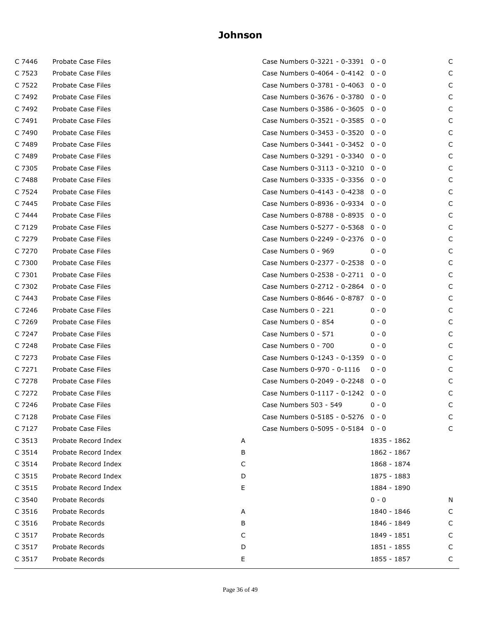| C 7523<br>Case Numbers 0-4064 - 0-4142 0 - 0<br>Probate Case Files<br>C 7522<br>Probate Case Files<br>Case Numbers 0-3781 - 0-4063 0 - 0<br>C 7492<br>Probate Case Files<br>Case Numbers 0-3676 - 0-3780 0 - 0<br>C 7492<br>Probate Case Files<br>Case Numbers 0-3586 - 0-3605 0 - 0<br>Probate Case Files<br>Case Numbers 0-3521 - 0-3585 0 - 0<br>C 7491<br>C 7490<br>Probate Case Files<br>Case Numbers 0-3453 - 0-3520 0 - 0<br>Case Numbers 0-3441 - 0-3452 0 - 0<br>C 7489<br>Probate Case Files<br>C 7489<br><b>Probate Case Files</b><br>Case Numbers 0-3291 - 0-3340 0 - 0<br>C 7305<br>Case Numbers 0-3113 - 0-3210 0 - 0<br>Probate Case Files<br>Probate Case Files<br>Case Numbers 0-3335 - 0-3356 0 - 0<br>C 7488<br>C 7524<br>Case Numbers 0-4143 - 0-4238 0 - 0<br>Probate Case Files<br>Probate Case Files<br>Case Numbers 0-8936 - 0-9334 0 - 0<br>C 7445<br>Case Numbers 0-8788 - 0-8935 0 - 0<br>C 7444<br>Probate Case Files<br>Probate Case Files<br>Case Numbers 0-5277 - 0-5368 0 - 0<br>C 7129<br>Case Numbers 0-2249 - 0-2376 0 - 0<br>C 7279<br>Probate Case Files<br>Probate Case Files<br>Case Numbers 0 - 969<br>C 7270<br>$0 - 0$<br>Case Numbers 0-2377 - 0-2538 0 - 0<br>C 7300<br>Probate Case Files<br>Probate Case Files<br>Case Numbers 0-2538 - 0-2711 0 - 0<br>C 7301<br>Case Numbers 0-2712 - 0-2864 0 - 0<br>C 7302<br>Probate Case Files<br>Probate Case Files<br>Case Numbers 0-8646 - 0-8787 0 - 0<br>C 7443<br>C 7246<br>Probate Case Files<br>Case Numbers 0 - 221<br>$0 - 0$<br>Probate Case Files<br>Case Numbers 0 - 854<br>C 7269<br>$0 - 0$<br>Case Numbers 0 - 571<br>C 7247<br>Probate Case Files<br>$0 - 0$<br>Probate Case Files<br>Case Numbers 0 - 700<br>C 7248<br>$0 - 0$<br>Case Numbers 0-1243 - 0-1359<br>C 7273<br>Probate Case Files<br>$0 - 0$<br><b>Probate Case Files</b><br>Case Numbers 0-970 - 0-1116<br>C 7271<br>$0 - 0$<br>Case Numbers 0-2049 - 0-2248 0 - 0<br>C 7278<br>Probate Case Files<br>C 7272<br>Probate Case Files<br>Case Numbers 0-1117 - 0-1242 0 - 0<br>C 7246<br>Probate Case Files<br>Case Numbers 503 - 549<br>$0 - 0$<br>C 7128<br>Probate Case Files<br>Case Numbers 0-5185 - 0-5276 0 - 0<br>C 7127<br>Probate Case Files<br>Case Numbers 0-5095 - 0-5184 0 - 0<br>C 3513<br>Probate Record Index<br>Α<br>C 3514<br>Probate Record Index<br>В<br>C 3514<br>Probate Record Index<br>С<br>C 3515<br>Probate Record Index<br>D<br>Е<br>C 3515<br>Probate Record Index<br>$0 - 0$<br>C 3540<br>Probate Records | Case Numbers 0-3221 - 0-3391 0 - 0 | C |
|----------------------------------------------------------------------------------------------------------------------------------------------------------------------------------------------------------------------------------------------------------------------------------------------------------------------------------------------------------------------------------------------------------------------------------------------------------------------------------------------------------------------------------------------------------------------------------------------------------------------------------------------------------------------------------------------------------------------------------------------------------------------------------------------------------------------------------------------------------------------------------------------------------------------------------------------------------------------------------------------------------------------------------------------------------------------------------------------------------------------------------------------------------------------------------------------------------------------------------------------------------------------------------------------------------------------------------------------------------------------------------------------------------------------------------------------------------------------------------------------------------------------------------------------------------------------------------------------------------------------------------------------------------------------------------------------------------------------------------------------------------------------------------------------------------------------------------------------------------------------------------------------------------------------------------------------------------------------------------------------------------------------------------------------------------------------------------------------------------------------------------------------------------------------------------------------------------------------------------------------------------------------------------------------------------------------------------------------------------------------------------------------------------------------------------------------------------------------------------------------------------|------------------------------------|---|
|                                                                                                                                                                                                                                                                                                                                                                                                                                                                                                                                                                                                                                                                                                                                                                                                                                                                                                                                                                                                                                                                                                                                                                                                                                                                                                                                                                                                                                                                                                                                                                                                                                                                                                                                                                                                                                                                                                                                                                                                                                                                                                                                                                                                                                                                                                                                                                                                                                                                                                          |                                    | C |
|                                                                                                                                                                                                                                                                                                                                                                                                                                                                                                                                                                                                                                                                                                                                                                                                                                                                                                                                                                                                                                                                                                                                                                                                                                                                                                                                                                                                                                                                                                                                                                                                                                                                                                                                                                                                                                                                                                                                                                                                                                                                                                                                                                                                                                                                                                                                                                                                                                                                                                          |                                    | C |
|                                                                                                                                                                                                                                                                                                                                                                                                                                                                                                                                                                                                                                                                                                                                                                                                                                                                                                                                                                                                                                                                                                                                                                                                                                                                                                                                                                                                                                                                                                                                                                                                                                                                                                                                                                                                                                                                                                                                                                                                                                                                                                                                                                                                                                                                                                                                                                                                                                                                                                          |                                    | C |
|                                                                                                                                                                                                                                                                                                                                                                                                                                                                                                                                                                                                                                                                                                                                                                                                                                                                                                                                                                                                                                                                                                                                                                                                                                                                                                                                                                                                                                                                                                                                                                                                                                                                                                                                                                                                                                                                                                                                                                                                                                                                                                                                                                                                                                                                                                                                                                                                                                                                                                          |                                    | C |
|                                                                                                                                                                                                                                                                                                                                                                                                                                                                                                                                                                                                                                                                                                                                                                                                                                                                                                                                                                                                                                                                                                                                                                                                                                                                                                                                                                                                                                                                                                                                                                                                                                                                                                                                                                                                                                                                                                                                                                                                                                                                                                                                                                                                                                                                                                                                                                                                                                                                                                          |                                    | C |
|                                                                                                                                                                                                                                                                                                                                                                                                                                                                                                                                                                                                                                                                                                                                                                                                                                                                                                                                                                                                                                                                                                                                                                                                                                                                                                                                                                                                                                                                                                                                                                                                                                                                                                                                                                                                                                                                                                                                                                                                                                                                                                                                                                                                                                                                                                                                                                                                                                                                                                          |                                    | C |
|                                                                                                                                                                                                                                                                                                                                                                                                                                                                                                                                                                                                                                                                                                                                                                                                                                                                                                                                                                                                                                                                                                                                                                                                                                                                                                                                                                                                                                                                                                                                                                                                                                                                                                                                                                                                                                                                                                                                                                                                                                                                                                                                                                                                                                                                                                                                                                                                                                                                                                          |                                    | C |
|                                                                                                                                                                                                                                                                                                                                                                                                                                                                                                                                                                                                                                                                                                                                                                                                                                                                                                                                                                                                                                                                                                                                                                                                                                                                                                                                                                                                                                                                                                                                                                                                                                                                                                                                                                                                                                                                                                                                                                                                                                                                                                                                                                                                                                                                                                                                                                                                                                                                                                          |                                    | C |
|                                                                                                                                                                                                                                                                                                                                                                                                                                                                                                                                                                                                                                                                                                                                                                                                                                                                                                                                                                                                                                                                                                                                                                                                                                                                                                                                                                                                                                                                                                                                                                                                                                                                                                                                                                                                                                                                                                                                                                                                                                                                                                                                                                                                                                                                                                                                                                                                                                                                                                          |                                    | C |
|                                                                                                                                                                                                                                                                                                                                                                                                                                                                                                                                                                                                                                                                                                                                                                                                                                                                                                                                                                                                                                                                                                                                                                                                                                                                                                                                                                                                                                                                                                                                                                                                                                                                                                                                                                                                                                                                                                                                                                                                                                                                                                                                                                                                                                                                                                                                                                                                                                                                                                          |                                    | C |
|                                                                                                                                                                                                                                                                                                                                                                                                                                                                                                                                                                                                                                                                                                                                                                                                                                                                                                                                                                                                                                                                                                                                                                                                                                                                                                                                                                                                                                                                                                                                                                                                                                                                                                                                                                                                                                                                                                                                                                                                                                                                                                                                                                                                                                                                                                                                                                                                                                                                                                          |                                    | C |
|                                                                                                                                                                                                                                                                                                                                                                                                                                                                                                                                                                                                                                                                                                                                                                                                                                                                                                                                                                                                                                                                                                                                                                                                                                                                                                                                                                                                                                                                                                                                                                                                                                                                                                                                                                                                                                                                                                                                                                                                                                                                                                                                                                                                                                                                                                                                                                                                                                                                                                          |                                    | C |
|                                                                                                                                                                                                                                                                                                                                                                                                                                                                                                                                                                                                                                                                                                                                                                                                                                                                                                                                                                                                                                                                                                                                                                                                                                                                                                                                                                                                                                                                                                                                                                                                                                                                                                                                                                                                                                                                                                                                                                                                                                                                                                                                                                                                                                                                                                                                                                                                                                                                                                          |                                    | C |
|                                                                                                                                                                                                                                                                                                                                                                                                                                                                                                                                                                                                                                                                                                                                                                                                                                                                                                                                                                                                                                                                                                                                                                                                                                                                                                                                                                                                                                                                                                                                                                                                                                                                                                                                                                                                                                                                                                                                                                                                                                                                                                                                                                                                                                                                                                                                                                                                                                                                                                          |                                    | C |
|                                                                                                                                                                                                                                                                                                                                                                                                                                                                                                                                                                                                                                                                                                                                                                                                                                                                                                                                                                                                                                                                                                                                                                                                                                                                                                                                                                                                                                                                                                                                                                                                                                                                                                                                                                                                                                                                                                                                                                                                                                                                                                                                                                                                                                                                                                                                                                                                                                                                                                          |                                    | C |
|                                                                                                                                                                                                                                                                                                                                                                                                                                                                                                                                                                                                                                                                                                                                                                                                                                                                                                                                                                                                                                                                                                                                                                                                                                                                                                                                                                                                                                                                                                                                                                                                                                                                                                                                                                                                                                                                                                                                                                                                                                                                                                                                                                                                                                                                                                                                                                                                                                                                                                          |                                    | C |
|                                                                                                                                                                                                                                                                                                                                                                                                                                                                                                                                                                                                                                                                                                                                                                                                                                                                                                                                                                                                                                                                                                                                                                                                                                                                                                                                                                                                                                                                                                                                                                                                                                                                                                                                                                                                                                                                                                                                                                                                                                                                                                                                                                                                                                                                                                                                                                                                                                                                                                          |                                    | C |
|                                                                                                                                                                                                                                                                                                                                                                                                                                                                                                                                                                                                                                                                                                                                                                                                                                                                                                                                                                                                                                                                                                                                                                                                                                                                                                                                                                                                                                                                                                                                                                                                                                                                                                                                                                                                                                                                                                                                                                                                                                                                                                                                                                                                                                                                                                                                                                                                                                                                                                          |                                    | C |
|                                                                                                                                                                                                                                                                                                                                                                                                                                                                                                                                                                                                                                                                                                                                                                                                                                                                                                                                                                                                                                                                                                                                                                                                                                                                                                                                                                                                                                                                                                                                                                                                                                                                                                                                                                                                                                                                                                                                                                                                                                                                                                                                                                                                                                                                                                                                                                                                                                                                                                          |                                    | C |
|                                                                                                                                                                                                                                                                                                                                                                                                                                                                                                                                                                                                                                                                                                                                                                                                                                                                                                                                                                                                                                                                                                                                                                                                                                                                                                                                                                                                                                                                                                                                                                                                                                                                                                                                                                                                                                                                                                                                                                                                                                                                                                                                                                                                                                                                                                                                                                                                                                                                                                          |                                    | C |
|                                                                                                                                                                                                                                                                                                                                                                                                                                                                                                                                                                                                                                                                                                                                                                                                                                                                                                                                                                                                                                                                                                                                                                                                                                                                                                                                                                                                                                                                                                                                                                                                                                                                                                                                                                                                                                                                                                                                                                                                                                                                                                                                                                                                                                                                                                                                                                                                                                                                                                          |                                    | C |
|                                                                                                                                                                                                                                                                                                                                                                                                                                                                                                                                                                                                                                                                                                                                                                                                                                                                                                                                                                                                                                                                                                                                                                                                                                                                                                                                                                                                                                                                                                                                                                                                                                                                                                                                                                                                                                                                                                                                                                                                                                                                                                                                                                                                                                                                                                                                                                                                                                                                                                          |                                    | C |
|                                                                                                                                                                                                                                                                                                                                                                                                                                                                                                                                                                                                                                                                                                                                                                                                                                                                                                                                                                                                                                                                                                                                                                                                                                                                                                                                                                                                                                                                                                                                                                                                                                                                                                                                                                                                                                                                                                                                                                                                                                                                                                                                                                                                                                                                                                                                                                                                                                                                                                          |                                    | C |
|                                                                                                                                                                                                                                                                                                                                                                                                                                                                                                                                                                                                                                                                                                                                                                                                                                                                                                                                                                                                                                                                                                                                                                                                                                                                                                                                                                                                                                                                                                                                                                                                                                                                                                                                                                                                                                                                                                                                                                                                                                                                                                                                                                                                                                                                                                                                                                                                                                                                                                          |                                    | C |
|                                                                                                                                                                                                                                                                                                                                                                                                                                                                                                                                                                                                                                                                                                                                                                                                                                                                                                                                                                                                                                                                                                                                                                                                                                                                                                                                                                                                                                                                                                                                                                                                                                                                                                                                                                                                                                                                                                                                                                                                                                                                                                                                                                                                                                                                                                                                                                                                                                                                                                          |                                    | C |
|                                                                                                                                                                                                                                                                                                                                                                                                                                                                                                                                                                                                                                                                                                                                                                                                                                                                                                                                                                                                                                                                                                                                                                                                                                                                                                                                                                                                                                                                                                                                                                                                                                                                                                                                                                                                                                                                                                                                                                                                                                                                                                                                                                                                                                                                                                                                                                                                                                                                                                          |                                    | C |
|                                                                                                                                                                                                                                                                                                                                                                                                                                                                                                                                                                                                                                                                                                                                                                                                                                                                                                                                                                                                                                                                                                                                                                                                                                                                                                                                                                                                                                                                                                                                                                                                                                                                                                                                                                                                                                                                                                                                                                                                                                                                                                                                                                                                                                                                                                                                                                                                                                                                                                          |                                    | C |
|                                                                                                                                                                                                                                                                                                                                                                                                                                                                                                                                                                                                                                                                                                                                                                                                                                                                                                                                                                                                                                                                                                                                                                                                                                                                                                                                                                                                                                                                                                                                                                                                                                                                                                                                                                                                                                                                                                                                                                                                                                                                                                                                                                                                                                                                                                                                                                                                                                                                                                          |                                    | C |
|                                                                                                                                                                                                                                                                                                                                                                                                                                                                                                                                                                                                                                                                                                                                                                                                                                                                                                                                                                                                                                                                                                                                                                                                                                                                                                                                                                                                                                                                                                                                                                                                                                                                                                                                                                                                                                                                                                                                                                                                                                                                                                                                                                                                                                                                                                                                                                                                                                                                                                          |                                    | C |
|                                                                                                                                                                                                                                                                                                                                                                                                                                                                                                                                                                                                                                                                                                                                                                                                                                                                                                                                                                                                                                                                                                                                                                                                                                                                                                                                                                                                                                                                                                                                                                                                                                                                                                                                                                                                                                                                                                                                                                                                                                                                                                                                                                                                                                                                                                                                                                                                                                                                                                          |                                    | C |
|                                                                                                                                                                                                                                                                                                                                                                                                                                                                                                                                                                                                                                                                                                                                                                                                                                                                                                                                                                                                                                                                                                                                                                                                                                                                                                                                                                                                                                                                                                                                                                                                                                                                                                                                                                                                                                                                                                                                                                                                                                                                                                                                                                                                                                                                                                                                                                                                                                                                                                          |                                    | C |
|                                                                                                                                                                                                                                                                                                                                                                                                                                                                                                                                                                                                                                                                                                                                                                                                                                                                                                                                                                                                                                                                                                                                                                                                                                                                                                                                                                                                                                                                                                                                                                                                                                                                                                                                                                                                                                                                                                                                                                                                                                                                                                                                                                                                                                                                                                                                                                                                                                                                                                          | 1835 - 1862                        |   |
|                                                                                                                                                                                                                                                                                                                                                                                                                                                                                                                                                                                                                                                                                                                                                                                                                                                                                                                                                                                                                                                                                                                                                                                                                                                                                                                                                                                                                                                                                                                                                                                                                                                                                                                                                                                                                                                                                                                                                                                                                                                                                                                                                                                                                                                                                                                                                                                                                                                                                                          | 1862 - 1867                        |   |
|                                                                                                                                                                                                                                                                                                                                                                                                                                                                                                                                                                                                                                                                                                                                                                                                                                                                                                                                                                                                                                                                                                                                                                                                                                                                                                                                                                                                                                                                                                                                                                                                                                                                                                                                                                                                                                                                                                                                                                                                                                                                                                                                                                                                                                                                                                                                                                                                                                                                                                          | 1868 - 1874                        |   |
|                                                                                                                                                                                                                                                                                                                                                                                                                                                                                                                                                                                                                                                                                                                                                                                                                                                                                                                                                                                                                                                                                                                                                                                                                                                                                                                                                                                                                                                                                                                                                                                                                                                                                                                                                                                                                                                                                                                                                                                                                                                                                                                                                                                                                                                                                                                                                                                                                                                                                                          | 1875 - 1883                        |   |
|                                                                                                                                                                                                                                                                                                                                                                                                                                                                                                                                                                                                                                                                                                                                                                                                                                                                                                                                                                                                                                                                                                                                                                                                                                                                                                                                                                                                                                                                                                                                                                                                                                                                                                                                                                                                                                                                                                                                                                                                                                                                                                                                                                                                                                                                                                                                                                                                                                                                                                          | 1884 - 1890                        |   |
|                                                                                                                                                                                                                                                                                                                                                                                                                                                                                                                                                                                                                                                                                                                                                                                                                                                                                                                                                                                                                                                                                                                                                                                                                                                                                                                                                                                                                                                                                                                                                                                                                                                                                                                                                                                                                                                                                                                                                                                                                                                                                                                                                                                                                                                                                                                                                                                                                                                                                                          |                                    | N |
| C 3516<br>Probate Records<br>Α                                                                                                                                                                                                                                                                                                                                                                                                                                                                                                                                                                                                                                                                                                                                                                                                                                                                                                                                                                                                                                                                                                                                                                                                                                                                                                                                                                                                                                                                                                                                                                                                                                                                                                                                                                                                                                                                                                                                                                                                                                                                                                                                                                                                                                                                                                                                                                                                                                                                           | 1840 - 1846                        | C |
| C 3516<br>Probate Records<br>В                                                                                                                                                                                                                                                                                                                                                                                                                                                                                                                                                                                                                                                                                                                                                                                                                                                                                                                                                                                                                                                                                                                                                                                                                                                                                                                                                                                                                                                                                                                                                                                                                                                                                                                                                                                                                                                                                                                                                                                                                                                                                                                                                                                                                                                                                                                                                                                                                                                                           | 1846 - 1849                        |   |
| C 3517<br>Probate Records<br>C                                                                                                                                                                                                                                                                                                                                                                                                                                                                                                                                                                                                                                                                                                                                                                                                                                                                                                                                                                                                                                                                                                                                                                                                                                                                                                                                                                                                                                                                                                                                                                                                                                                                                                                                                                                                                                                                                                                                                                                                                                                                                                                                                                                                                                                                                                                                                                                                                                                                           | 1849 - 1851                        | C |
| C 3517<br>Probate Records<br>D                                                                                                                                                                                                                                                                                                                                                                                                                                                                                                                                                                                                                                                                                                                                                                                                                                                                                                                                                                                                                                                                                                                                                                                                                                                                                                                                                                                                                                                                                                                                                                                                                                                                                                                                                                                                                                                                                                                                                                                                                                                                                                                                                                                                                                                                                                                                                                                                                                                                           | 1851 - 1855                        | C |
| C 3517<br>Probate Records<br>Е                                                                                                                                                                                                                                                                                                                                                                                                                                                                                                                                                                                                                                                                                                                                                                                                                                                                                                                                                                                                                                                                                                                                                                                                                                                                                                                                                                                                                                                                                                                                                                                                                                                                                                                                                                                                                                                                                                                                                                                                                                                                                                                                                                                                                                                                                                                                                                                                                                                                           | 1855 - 1857                        | C |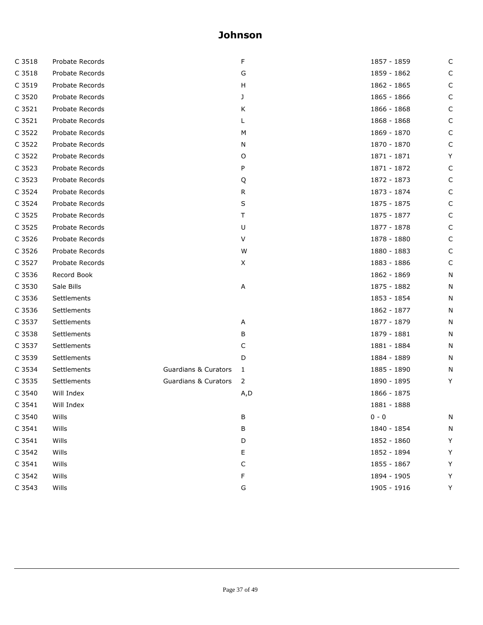| C 3518 | Probate Records |                                 | F   | 1857 - 1859 | С |
|--------|-----------------|---------------------------------|-----|-------------|---|
| C 3518 | Probate Records |                                 | G   | 1859 - 1862 | C |
| C 3519 | Probate Records |                                 | H   | 1862 - 1865 | C |
| C 3520 | Probate Records |                                 | J   | 1865 - 1866 | C |
| C 3521 | Probate Records |                                 | Κ   | 1866 - 1868 | C |
| C 3521 | Probate Records |                                 |     | 1868 - 1868 | С |
| C 3522 | Probate Records |                                 | M   | 1869 - 1870 | C |
| C 3522 | Probate Records |                                 | N   | 1870 - 1870 | С |
| C 3522 | Probate Records |                                 | 0   | 1871 - 1871 | Y |
| C 3523 | Probate Records |                                 | P   | 1871 - 1872 | C |
| C 3523 | Probate Records |                                 | Q   | 1872 - 1873 | C |
| C 3524 | Probate Records |                                 | R   | 1873 - 1874 | C |
| C 3524 | Probate Records |                                 | S   | 1875 - 1875 | C |
| C 3525 | Probate Records |                                 | Τ   | 1875 - 1877 | С |
| C 3525 | Probate Records |                                 | U   | 1877 - 1878 | C |
| C 3526 | Probate Records |                                 | V   | 1878 - 1880 | C |
| C 3526 | Probate Records |                                 | W   | 1880 - 1883 | C |
| C 3527 | Probate Records |                                 | X   | 1883 - 1886 | C |
| C 3536 | Record Book     |                                 |     | 1862 - 1869 | Ν |
| C 3530 | Sale Bills      |                                 | Α   | 1875 - 1882 | N |
| C 3536 | Settlements     |                                 |     | 1853 - 1854 | N |
| C 3536 | Settlements     |                                 |     | 1862 - 1877 | N |
| C 3537 | Settlements     |                                 | Α   | 1877 - 1879 | N |
| C 3538 | Settlements     |                                 | В   | 1879 - 1881 | N |
| C 3537 | Settlements     |                                 | C   | 1881 - 1884 | N |
| C 3539 | Settlements     |                                 | D   | 1884 - 1889 | N |
| C 3534 | Settlements     | <b>Guardians &amp; Curators</b> | 1   | 1885 - 1890 | N |
| C 3535 | Settlements     | <b>Guardians &amp; Curators</b> | 2   | 1890 - 1895 | Y |
| C 3540 | Will Index      |                                 | A,D | 1866 - 1875 |   |
| C 3541 | Will Index      |                                 |     | 1881 - 1888 |   |
| C 3540 | Wills           |                                 | В   | $0 - 0$     | Ν |
| C 3541 | Wills           |                                 | В   | 1840 - 1854 | N |
| C 3541 | Wills           |                                 | D   | 1852 - 1860 | Υ |
| C 3542 | Wills           |                                 | Ε   | 1852 - 1894 | Υ |
| C 3541 | Wills           |                                 | C   | 1855 - 1867 | Υ |
| C 3542 | Wills           |                                 | F   | 1894 - 1905 | Υ |
| C 3543 | Wills           |                                 | G   | 1905 - 1916 | Y |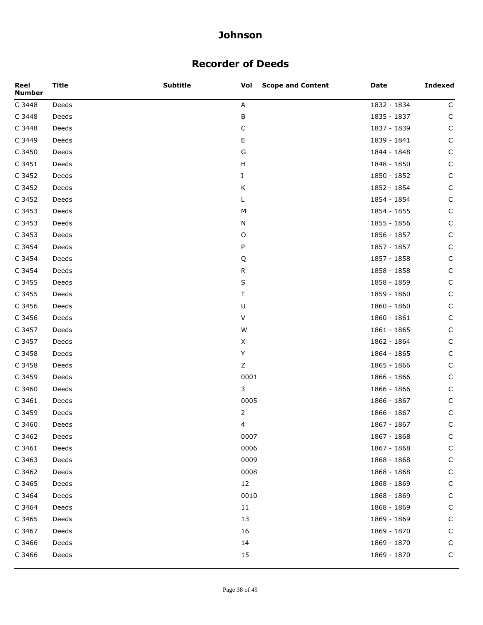### **Recorder of Deeds**

| Reel<br><b>Number</b> | <b>Title</b> | <b>Subtitle</b> | Vol<br><b>Scope and Content</b> | Date        | <b>Indexed</b> |
|-----------------------|--------------|-----------------|---------------------------------|-------------|----------------|
| C 3448                | Deeds        |                 | Α                               | 1832 - 1834 | C              |
| C 3448                | Deeds        |                 | В                               | 1835 - 1837 | $\mathsf C$    |
| C 3448                | Deeds        |                 | $\mathsf C$                     | 1837 - 1839 | C              |
| C 3449                | Deeds        |                 | Е                               | 1839 - 1841 | C              |
| C 3450                | Deeds        |                 | G                               | 1844 - 1848 | C              |
| C 3451                | Deeds        |                 | H                               | 1848 - 1850 | C              |
| C 3452                | Deeds        |                 | Ι.                              | 1850 - 1852 | C              |
| C 3452                | Deeds        |                 | Κ                               | 1852 - 1854 | C              |
| C 3452                | Deeds        |                 | L                               | 1854 - 1854 | C              |
| C 3453                | Deeds        |                 | M                               | 1854 - 1855 | C              |
| C 3453                | Deeds        |                 | N                               | 1855 - 1856 | C              |
| C 3453                | Deeds        |                 | O                               | 1856 - 1857 | C              |
| C 3454                | Deeds        |                 | P                               | 1857 - 1857 | C              |
| C 3454                | Deeds        |                 | Q                               | 1857 - 1858 | C              |
| C 3454                | Deeds        |                 | R                               | 1858 - 1858 | C              |
| C 3455                | Deeds        |                 | S                               | 1858 - 1859 | C              |
| C 3455                | Deeds        |                 | Τ                               | 1859 - 1860 | C              |
| C 3456                | Deeds        |                 | U                               | 1860 - 1860 | C              |
| C 3456                | Deeds        |                 | V                               | 1860 - 1861 | C              |
| C 3457                | Deeds        |                 | W                               | 1861 - 1865 | C              |
| C 3457                | Deeds        |                 | X                               | 1862 - 1864 | C              |
| C 3458                | Deeds        |                 | Υ                               | 1864 - 1865 | C              |
| C 3458                | Deeds        |                 | Ζ                               | 1865 - 1866 | C              |
| C 3459                | Deeds        |                 | 0001                            | 1866 - 1866 | C              |
| C 3460                | Deeds        |                 | 3                               | 1866 - 1866 | C              |
| C 3461                | Deeds        |                 | 0005                            | 1866 - 1867 | $\mathsf{C}$   |
| C 3459                | Deeds        |                 | 2                               | 1866 - 1867 | C              |
| C 3460                | Deeds        |                 | 4                               | 1867 - 1867 | $\mathsf C$    |
| C 3462                | Deeds        |                 | 0007                            | 1867 - 1868 | C              |
| C 3461                | Deeds        |                 | 0006                            | 1867 - 1868 | C              |
| C 3463                | Deeds        |                 | 0009                            | 1868 - 1868 | $\mathsf C$    |
| C 3462                | Deeds        |                 | 0008                            | 1868 - 1868 | C              |
| C 3465                | Deeds        |                 | 12                              | 1868 - 1869 | $\mathsf C$    |
| C 3464                | Deeds        |                 | 0010                            | 1868 - 1869 | C              |
| C 3464                | Deeds        |                 | 11                              | 1868 - 1869 | C              |
| C 3465                | Deeds        |                 | 13                              | 1869 - 1869 | $\mathsf{C}$   |
| C 3467                | Deeds        |                 | 16                              | 1869 - 1870 | $\mathsf{C}$   |
| C 3466                | Deeds        |                 | 14                              | 1869 - 1870 | $\mathsf C$    |
| C 3466                | Deeds        |                 | 15                              | 1869 - 1870 | $\mathsf C$    |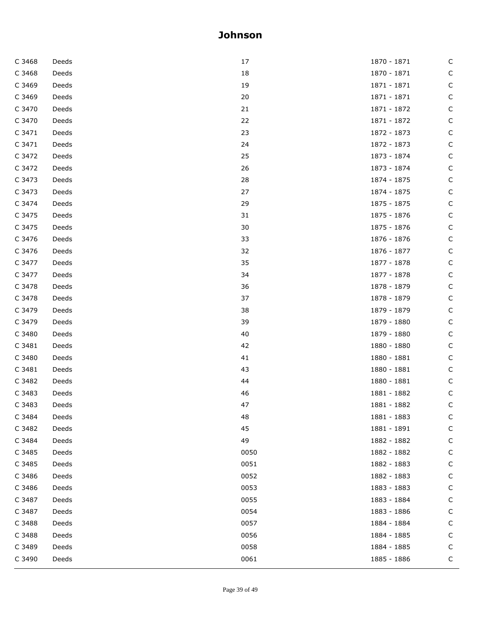| C 3468 | Deeds | 17   | 1870 - 1871 | C            |
|--------|-------|------|-------------|--------------|
| C 3468 | Deeds | 18   | 1870 - 1871 | $\mathsf{C}$ |
| C 3469 | Deeds | 19   | 1871 - 1871 | C            |
| C 3469 | Deeds | 20   | 1871 - 1871 | C            |
| C 3470 | Deeds | 21   | 1871 - 1872 | C            |
| C 3470 | Deeds | 22   | 1871 - 1872 | $\mathsf{C}$ |
| C 3471 | Deeds | 23   | 1872 - 1873 | C            |
| C 3471 | Deeds | 24   | 1872 - 1873 | $\mathsf C$  |
| C 3472 | Deeds | 25   | 1873 - 1874 | C            |
| C 3472 | Deeds | 26   | 1873 - 1874 | $\mathsf C$  |
| C 3473 | Deeds | 28   | 1874 - 1875 | C            |
| C 3473 | Deeds | 27   | 1874 - 1875 | C            |
| C 3474 | Deeds | 29   | 1875 - 1875 | C            |
| C 3475 | Deeds | 31   | 1875 - 1876 | С            |
| C 3475 | Deeds | 30   | 1875 - 1876 | C            |
| C 3476 | Deeds | 33   | 1876 - 1876 | C            |
| C 3476 | Deeds | 32   | 1876 - 1877 | C            |
| C 3477 | Deeds | 35   | 1877 - 1878 | $\mathsf C$  |
| C 3477 | Deeds | 34   | 1877 - 1878 | C            |
| C 3478 | Deeds | 36   | 1878 - 1879 | C            |
| C 3478 | Deeds | 37   | 1878 - 1879 | С            |
| C 3479 | Deeds | 38   | 1879 - 1879 | $\mathsf C$  |
| C 3479 | Deeds | 39   | 1879 - 1880 | C            |
| C 3480 | Deeds | 40   | 1879 - 1880 | C            |
| C 3481 | Deeds | 42   | 1880 - 1880 | С            |
| C 3480 | Deeds | 41   | 1880 - 1881 | С            |
| C 3481 | Deeds | 43   | 1880 - 1881 | C            |
| C 3482 | Deeds | 44   | 1880 - 1881 | C            |
| C 3483 | Deeds | 46   | 1881 - 1882 | C            |
| C 3483 | Deeds | 47   | 1881 - 1882 | С            |
| C 3484 | Deeds | 48   | 1881 - 1883 | С            |
| C 3482 | Deeds | 45   | 1881 - 1891 | С            |
| C 3484 | Deeds | 49   | 1882 - 1882 | С            |
| C 3485 | Deeds | 0050 | 1882 - 1882 | С            |
| C 3485 | Deeds | 0051 | 1882 - 1883 | С            |
| C 3486 | Deeds | 0052 | 1882 - 1883 | С            |
| C 3486 | Deeds | 0053 | 1883 - 1883 | С            |
| C 3487 | Deeds | 0055 | 1883 - 1884 | C            |
| C 3487 | Deeds | 0054 | 1883 - 1886 | С            |
| C 3488 | Deeds | 0057 | 1884 - 1884 | С            |
| C 3488 | Deeds | 0056 | 1884 - 1885 | С            |
| C 3489 | Deeds | 0058 | 1884 - 1885 | С            |
| C 3490 | Deeds | 0061 | 1885 - 1886 | C            |
|        |       |      |             |              |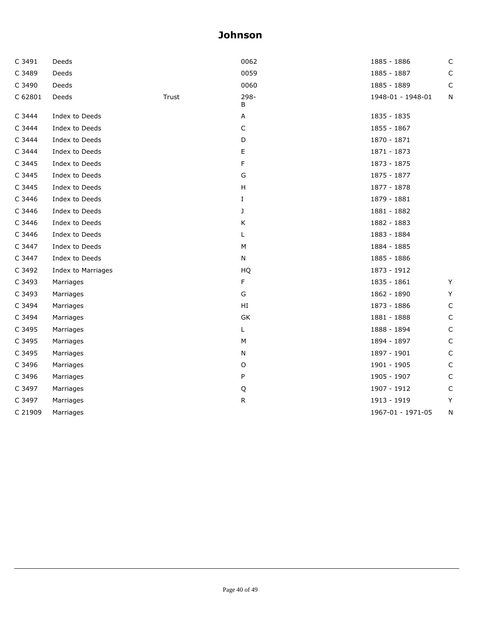| C 3491  | Deeds              |       | 0062                      | 1885 - 1886       | C           |
|---------|--------------------|-------|---------------------------|-------------------|-------------|
| C 3489  | Deeds              |       | 0059                      | 1885 - 1887       | C           |
| C 3490  | Deeds              |       | 0060                      | 1885 - 1889       | C           |
| C 62801 | Deeds              | Trust | 298-<br>В                 | 1948-01 - 1948-01 | N           |
| C 3444  | Index to Deeds     |       | Α                         | 1835 - 1835       |             |
| C 3444  | Index to Deeds     |       | С                         | 1855 - 1867       |             |
| C 3444  | Index to Deeds     |       | D                         | 1870 - 1871       |             |
| C 3444  | Index to Deeds     |       | E                         | 1871 - 1873       |             |
| C 3445  | Index to Deeds     |       | F                         | 1873 - 1875       |             |
| C 3445  | Index to Deeds     |       | G                         | 1875 - 1877       |             |
| C 3445  | Index to Deeds     |       | $\boldsymbol{\mathsf{H}}$ | 1877 - 1878       |             |
| C 3446  | Index to Deeds     |       | $\mathbf I$               | 1879 - 1881       |             |
| C 3446  | Index to Deeds     |       | J                         | 1881 - 1882       |             |
| C 3446  | Index to Deeds     |       | K                         | 1882 - 1883       |             |
| C 3446  | Index to Deeds     |       | L                         | 1883 - 1884       |             |
| C 3447  | Index to Deeds     |       | М                         | 1884 - 1885       |             |
| C 3447  | Index to Deeds     |       | N                         | 1885 - 1886       |             |
| C 3492  | Index to Marriages |       | HQ                        | 1873 - 1912       |             |
| C 3493  | Marriages          |       | F                         | 1835 - 1861       | Y           |
| C 3493  | Marriages          |       | G                         | 1862 - 1890       | Y           |
| C 3494  | Marriages          |       | HI                        | 1873 - 1886       | C           |
| C 3494  | Marriages          |       | GK                        | 1881 - 1888       | $\mathsf C$ |
| C 3495  | Marriages          |       | Г                         | 1888 - 1894       | C           |
| C 3495  | Marriages          |       | M                         | 1894 - 1897       | C           |
| C 3495  | Marriages          |       | N                         | 1897 - 1901       | C           |
| C 3496  | Marriages          |       | O                         | 1901 - 1905       | C           |
| C 3496  | Marriages          |       | P                         | 1905 - 1907       | C           |
| C 3497  | Marriages          |       | Q                         | 1907 - 1912       | С           |
| C 3497  | Marriages          |       | ${\sf R}$                 | 1913 - 1919       | Y           |
| C 21909 | Marriages          |       |                           | 1967-01 - 1971-05 | N           |
|         |                    |       |                           |                   |             |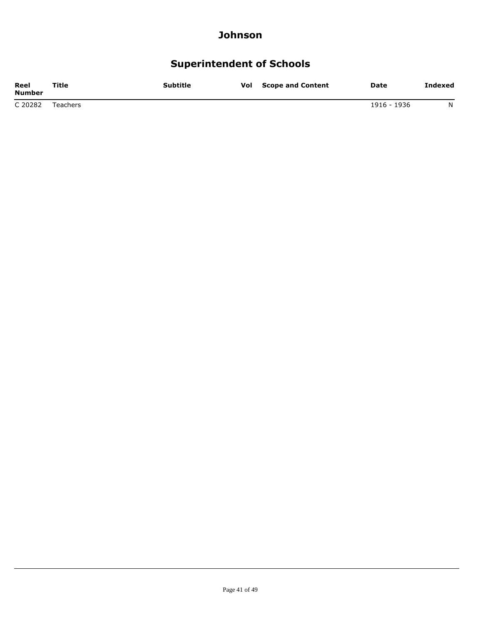## **Superintendent of Schools**

| Reel<br><b>Number</b> | Title    | <b>Subtitle</b> | Vol | <b>Scope and Content</b> | <b>Date</b> | Indexed |
|-----------------------|----------|-----------------|-----|--------------------------|-------------|---------|
| C 20282               | Teachers |                 |     |                          | 1916 - 1936 | N       |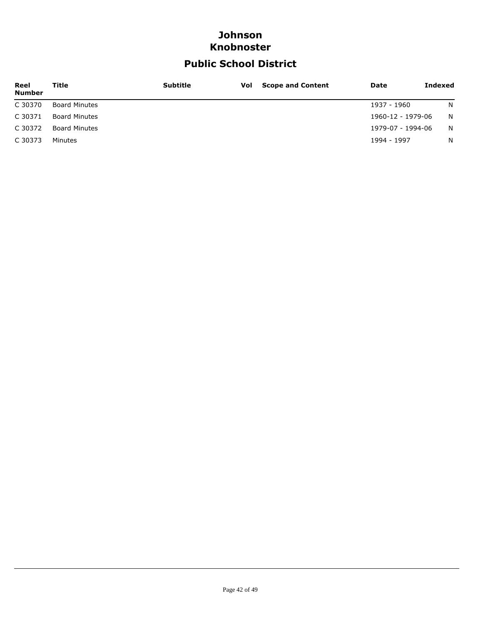### **Johnson Knobnoster**

## **Public School District**

| Reel<br><b>Number</b> | Title                | <b>Subtitle</b> | <b>Vol</b> Scope and Content | Date              | Indexed      |
|-----------------------|----------------------|-----------------|------------------------------|-------------------|--------------|
| C 30370               | <b>Board Minutes</b> |                 |                              | 1937 - 1960       | <sup>N</sup> |
| C 30371               | <b>Board Minutes</b> |                 |                              | 1960-12 - 1979-06 | - N          |
| C 30372               | <b>Board Minutes</b> |                 |                              | 1979-07 - 1994-06 | <sup>N</sup> |
| C 30373               | Minutes              |                 |                              | 1994 - 1997       | N            |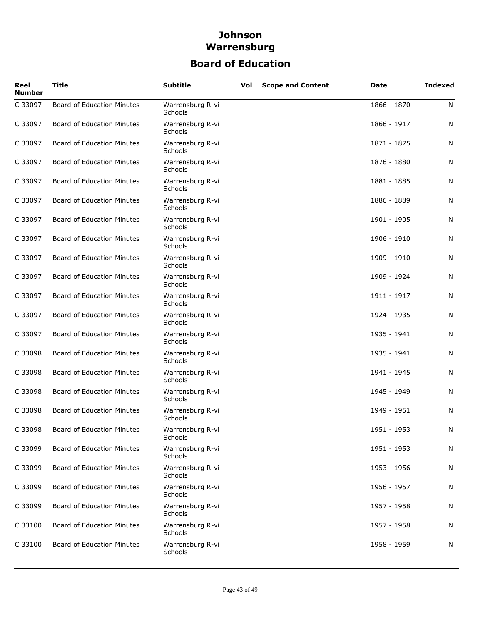## **Board of Education**

| Reel<br><b>Number</b> | <b>Title</b>                      | <b>Subtitle</b>                    | Vol | <b>Scope and Content</b> | Date        | <b>Indexed</b> |
|-----------------------|-----------------------------------|------------------------------------|-----|--------------------------|-------------|----------------|
| C 33097               | Board of Education Minutes        | Warrensburg R-vi<br><b>Schools</b> |     |                          | 1866 - 1870 | N              |
| C 33097               | <b>Board of Education Minutes</b> | Warrensburg R-vi<br>Schools        |     |                          | 1866 - 1917 | N              |
| C 33097               | Board of Education Minutes        | Warrensburg R-vi<br>Schools        |     |                          | 1871 - 1875 | N              |
| C 33097               | Board of Education Minutes        | Warrensburg R-vi<br>Schools        |     |                          | 1876 - 1880 | N              |
| C 33097               | <b>Board of Education Minutes</b> | Warrensburg R-vi<br>Schools        |     |                          | 1881 - 1885 | N              |
| C 33097               | Board of Education Minutes        | Warrensburg R-vi<br>Schools        |     |                          | 1886 - 1889 | N              |
| C 33097               | Board of Education Minutes        | Warrensburg R-vi<br>Schools        |     |                          | 1901 - 1905 | N              |
| C 33097               | Board of Education Minutes        | Warrensburg R-vi<br><b>Schools</b> |     |                          | 1906 - 1910 | N              |
| C 33097               | Board of Education Minutes        | Warrensburg R-vi<br>Schools        |     |                          | 1909 - 1910 | N              |
| C 33097               | Board of Education Minutes        | Warrensburg R-vi<br>Schools        |     |                          | 1909 - 1924 | N              |
| C 33097               | Board of Education Minutes        | Warrensburg R-vi<br>Schools        |     |                          | 1911 - 1917 | N              |
| C 33097               | Board of Education Minutes        | Warrensburg R-vi<br><b>Schools</b> |     |                          | 1924 - 1935 | N              |
| C 33097               | Board of Education Minutes        | Warrensburg R-vi<br><b>Schools</b> |     |                          | 1935 - 1941 | N              |
| C 33098               | Board of Education Minutes        | Warrensburg R-vi<br><b>Schools</b> |     |                          | 1935 - 1941 | N              |
| C 33098               | Board of Education Minutes        | Warrensburg R-vi<br><b>Schools</b> |     |                          | 1941 - 1945 | N              |
| C 33098               | Board of Education Minutes        | Warrensburg R-vi<br><b>Schools</b> |     |                          | 1945 - 1949 | N              |
| C 33098               | <b>Board of Education Minutes</b> | Warrensburg R-vi<br>Schools        |     |                          | 1949 - 1951 | N              |
| C 33098               | <b>Board of Education Minutes</b> | Warrensburg R-vi<br>Schools        |     |                          | 1951 - 1953 | N              |
| C 33099               | <b>Board of Education Minutes</b> | Warrensburg R-vi<br>Schools        |     |                          | 1951 - 1953 | N              |
| C 33099               | <b>Board of Education Minutes</b> | Warrensburg R-vi<br><b>Schools</b> |     |                          | 1953 - 1956 | N              |
| C 33099               | <b>Board of Education Minutes</b> | Warrensburg R-vi<br><b>Schools</b> |     |                          | 1956 - 1957 | N              |
| C 33099               | Board of Education Minutes        | Warrensburg R-vi<br>Schools        |     |                          | 1957 - 1958 | N              |
| C 33100               | Board of Education Minutes        | Warrensburg R-vi<br>Schools        |     |                          | 1957 - 1958 | N              |
| C 33100               | Board of Education Minutes        | Warrensburg R-vi<br>Schools        |     |                          | 1958 - 1959 | N              |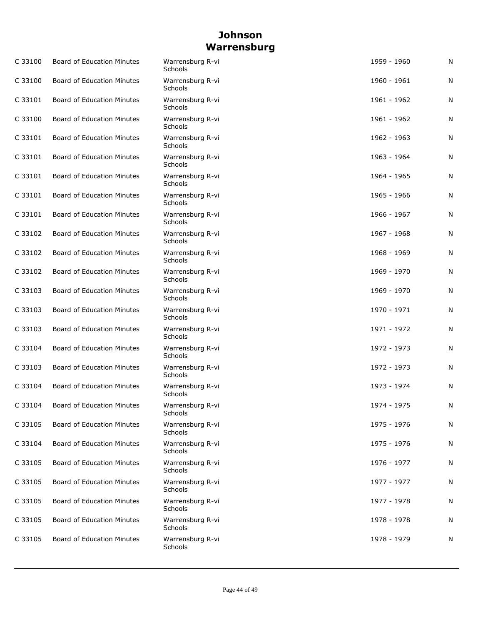| C 33100 | <b>Board of Education Minutes</b> | Warrensburg R-vi<br><b>Schools</b> | 1959 - 1960 | N |
|---------|-----------------------------------|------------------------------------|-------------|---|
| C 33100 | Board of Education Minutes        | Warrensburg R-vi<br><b>Schools</b> | 1960 - 1961 | N |
| C 33101 | Board of Education Minutes        | Warrensburg R-vi<br>Schools        | 1961 - 1962 | N |
| C 33100 | Board of Education Minutes        | Warrensburg R-vi<br><b>Schools</b> | 1961 - 1962 | N |
| C 33101 | Board of Education Minutes        | Warrensburg R-vi<br><b>Schools</b> | 1962 - 1963 | N |
| C 33101 | <b>Board of Education Minutes</b> | Warrensburg R-vi<br>Schools        | 1963 - 1964 | N |
| C 33101 | Board of Education Minutes        | Warrensburg R-vi<br>Schools        | 1964 - 1965 | N |
| C 33101 | Board of Education Minutes        | Warrensburg R-vi<br>Schools        | 1965 - 1966 | N |
| C 33101 | Board of Education Minutes        | Warrensburg R-vi<br><b>Schools</b> | 1966 - 1967 | N |
| C 33102 | Board of Education Minutes        | Warrensburg R-vi<br>Schools        | 1967 - 1968 | N |
| C 33102 | Board of Education Minutes        | Warrensburg R-vi<br><b>Schools</b> | 1968 - 1969 | N |
| C 33102 | Board of Education Minutes        | Warrensburg R-vi<br>Schools        | 1969 - 1970 | N |
| C 33103 | Board of Education Minutes        | Warrensburg R-vi<br><b>Schools</b> | 1969 - 1970 | N |
| C 33103 | <b>Board of Education Minutes</b> | Warrensburg R-vi<br><b>Schools</b> | 1970 - 1971 | N |
| C 33103 | Board of Education Minutes        | Warrensburg R-vi<br><b>Schools</b> | 1971 - 1972 | N |
| C 33104 | Board of Education Minutes        | Warrensburg R-vi<br><b>Schools</b> | 1972 - 1973 | N |
| C 33103 | Board of Education Minutes        | Warrensburg R-vi<br><b>Schools</b> | 1972 - 1973 | N |
| C 33104 | <b>Board of Education Minutes</b> | Warrensburg R-vi<br><b>Schools</b> | 1973 - 1974 | N |
| C 33104 | <b>Board of Education Minutes</b> | Warrensburg R-vi<br>Schools        | 1974 - 1975 | N |
| C 33105 | Board of Education Minutes        | Warrensburg R-vi<br>Schools        | 1975 - 1976 | N |
| C 33104 | Board of Education Minutes        | Warrensburg R-vi<br><b>Schools</b> | 1975 - 1976 | N |
| C 33105 | Board of Education Minutes        | Warrensburg R-vi<br>Schools        | 1976 - 1977 | N |
| C 33105 | Board of Education Minutes        | Warrensburg R-vi<br><b>Schools</b> | 1977 - 1977 | N |
| C 33105 | <b>Board of Education Minutes</b> | Warrensburg R-vi<br>Schools        | 1977 - 1978 | N |
| C 33105 | Board of Education Minutes        | Warrensburg R-vi<br>Schools        | 1978 - 1978 | N |
| C 33105 | Board of Education Minutes        | Warrensburg R-vi<br>Schools        | 1978 - 1979 | N |
|         |                                   |                                    |             |   |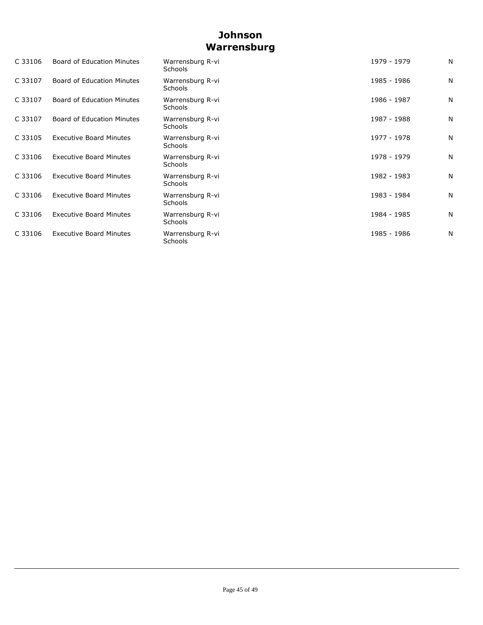| C 33106 | <b>Board of Education Minutes</b> | Warrensburg R-vi<br>Schools        | 1979 - 1979 | N |
|---------|-----------------------------------|------------------------------------|-------------|---|
| C 33107 | Board of Education Minutes        | Warrensburg R-vi<br>Schools        | 1985 - 1986 | N |
| C 33107 | <b>Board of Education Minutes</b> | Warrensburg R-vi<br><b>Schools</b> | 1986 - 1987 | N |
| C 33107 | Board of Education Minutes        | Warrensburg R-vi<br><b>Schools</b> | 1987 - 1988 | N |
| C 33105 | <b>Executive Board Minutes</b>    | Warrensburg R-vi<br><b>Schools</b> | 1977 - 1978 | N |
| C 33106 | <b>Executive Board Minutes</b>    | Warrensburg R-vi<br>Schools        | 1978 - 1979 | N |
| C 33106 | <b>Executive Board Minutes</b>    | Warrensburg R-vi<br>Schools        | 1982 - 1983 | N |
| C 33106 | <b>Executive Board Minutes</b>    | Warrensburg R-vi<br>Schools        | 1983 - 1984 | N |
| C 33106 | <b>Executive Board Minutes</b>    | Warrensburg R-vi<br>Schools        | 1984 - 1985 | N |
| C 33106 | <b>Executive Board Minutes</b>    | Warrensburg R-vi<br>Schools        | 1985 - 1986 | N |
|         |                                   |                                    |             |   |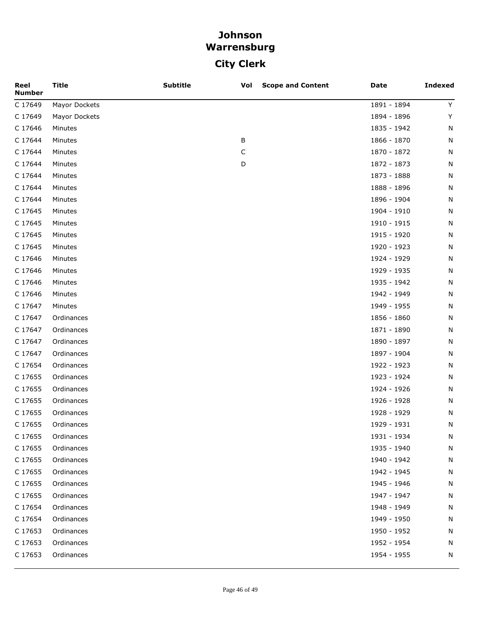## **City Clerk**

| Reel<br><b>Number</b> | <b>Title</b>  | <b>Subtitle</b> | <b>Scope and Content</b><br>Vol | <b>Date</b> | <b>Indexed</b> |
|-----------------------|---------------|-----------------|---------------------------------|-------------|----------------|
| C 17649               | Mayor Dockets |                 |                                 | 1891 - 1894 | Y              |
| C 17649               | Mayor Dockets |                 |                                 | 1894 - 1896 | Υ              |
| C 17646               | Minutes       |                 |                                 | 1835 - 1942 | N              |
| C 17644               | Minutes       |                 | В                               | 1866 - 1870 | N              |
| C 17644               | Minutes       |                 | C                               | 1870 - 1872 | N              |
| C 17644               | Minutes       |                 | D                               | 1872 - 1873 | N              |
| C 17644               | Minutes       |                 |                                 | 1873 - 1888 | N              |
| C 17644               | Minutes       |                 |                                 | 1888 - 1896 | N              |
| C 17644               | Minutes       |                 |                                 | 1896 - 1904 | N              |
| C 17645               | Minutes       |                 |                                 | 1904 - 1910 | N              |
| C 17645               | Minutes       |                 |                                 | 1910 - 1915 | N              |
| C 17645               | Minutes       |                 |                                 | 1915 - 1920 | N              |
| C 17645               | Minutes       |                 |                                 | 1920 - 1923 | N              |
| C 17646               | Minutes       |                 |                                 | 1924 - 1929 | N              |
| C 17646               | Minutes       |                 |                                 | 1929 - 1935 | N              |
| C 17646               | Minutes       |                 |                                 | 1935 - 1942 | N              |
| C 17646               | Minutes       |                 |                                 | 1942 - 1949 | N              |
| C 17647               | Minutes       |                 |                                 | 1949 - 1955 | N              |
| C 17647               | Ordinances    |                 |                                 | 1856 - 1860 | N              |
| C 17647               | Ordinances    |                 |                                 | 1871 - 1890 | N              |
| C 17647               | Ordinances    |                 |                                 | 1890 - 1897 | N              |
| C 17647               | Ordinances    |                 |                                 | 1897 - 1904 | N              |
| C 17654               | Ordinances    |                 |                                 | 1922 - 1923 | N              |
| C 17655               | Ordinances    |                 |                                 | 1923 - 1924 | N              |
| C 17655               | Ordinances    |                 |                                 | 1924 - 1926 | N              |
| C 17655               | Ordinances    |                 |                                 | 1926 - 1928 | N              |
| C 17655               | Ordinances    |                 |                                 | 1928 - 1929 | N              |
| C 17655               | Ordinances    |                 |                                 | 1929 - 1931 | N              |
| C 17655               | Ordinances    |                 |                                 | 1931 - 1934 | N              |
| C 17655               | Ordinances    |                 |                                 | 1935 - 1940 | N              |
| C 17655               | Ordinances    |                 |                                 | 1940 - 1942 | N              |
| C 17655               | Ordinances    |                 |                                 | 1942 - 1945 | N              |
| C 17655               | Ordinances    |                 |                                 | 1945 - 1946 | N              |
| C 17655               | Ordinances    |                 |                                 | 1947 - 1947 | N              |
| C 17654               | Ordinances    |                 |                                 | 1948 - 1949 | N              |
| C 17654               | Ordinances    |                 |                                 | 1949 - 1950 | N              |
| C 17653               | Ordinances    |                 |                                 | 1950 - 1952 | N              |
| C 17653               | Ordinances    |                 |                                 | 1952 - 1954 | N              |
| C 17653               | Ordinances    |                 |                                 | 1954 - 1955 | N              |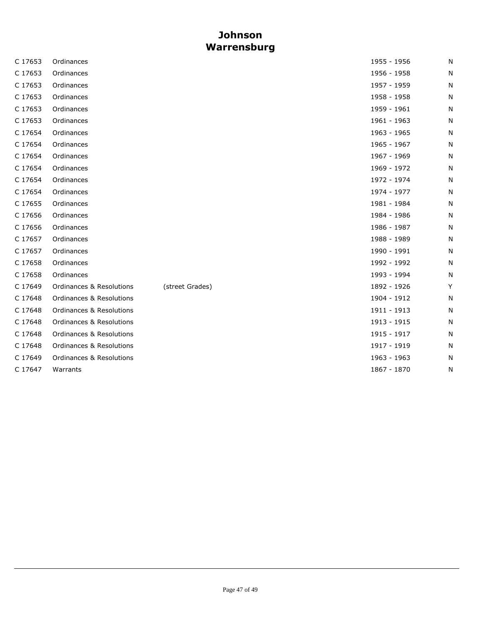| C 17653 | Ordinances                          |                 | 1955 - 1956 | N |
|---------|-------------------------------------|-----------------|-------------|---|
| C 17653 | Ordinances                          |                 | 1956 - 1958 | N |
| C 17653 | Ordinances                          |                 | 1957 - 1959 | N |
| C 17653 | Ordinances                          |                 | 1958 - 1958 | Ν |
| C 17653 | Ordinances                          |                 | 1959 - 1961 | N |
| C 17653 | Ordinances                          |                 | 1961 - 1963 | N |
| C 17654 | Ordinances                          |                 | 1963 - 1965 | N |
| C 17654 | Ordinances                          |                 | 1965 - 1967 | N |
| C 17654 | Ordinances                          |                 | 1967 - 1969 | N |
| C 17654 | Ordinances                          |                 | 1969 - 1972 | N |
| C 17654 | Ordinances                          |                 | 1972 - 1974 | N |
| C 17654 | Ordinances                          |                 | 1974 - 1977 | N |
| C 17655 | Ordinances                          |                 | 1981 - 1984 | N |
| C 17656 | Ordinances                          |                 | 1984 - 1986 | N |
| C 17656 | Ordinances                          |                 | 1986 - 1987 | N |
| C 17657 | Ordinances                          |                 | 1988 - 1989 | N |
| C 17657 | Ordinances                          |                 | 1990 - 1991 | N |
| C 17658 | Ordinances                          |                 | 1992 - 1992 | N |
| C 17658 | Ordinances                          |                 | 1993 - 1994 | N |
| C 17649 | <b>Ordinances &amp; Resolutions</b> | (street Grades) | 1892 - 1926 | Y |
| C 17648 | <b>Ordinances &amp; Resolutions</b> |                 | 1904 - 1912 | N |
| C 17648 | <b>Ordinances &amp; Resolutions</b> |                 | 1911 - 1913 | N |
| C 17648 | Ordinances & Resolutions            |                 | 1913 - 1915 | N |
| C 17648 | <b>Ordinances &amp; Resolutions</b> |                 | 1915 - 1917 | N |
| C 17648 | <b>Ordinances &amp; Resolutions</b> |                 | 1917 - 1919 | N |
| C 17649 | <b>Ordinances &amp; Resolutions</b> |                 | 1963 - 1963 | N |
| C 17647 | Warrants                            |                 | 1867 - 1870 | Ν |
|         |                                     |                 |             |   |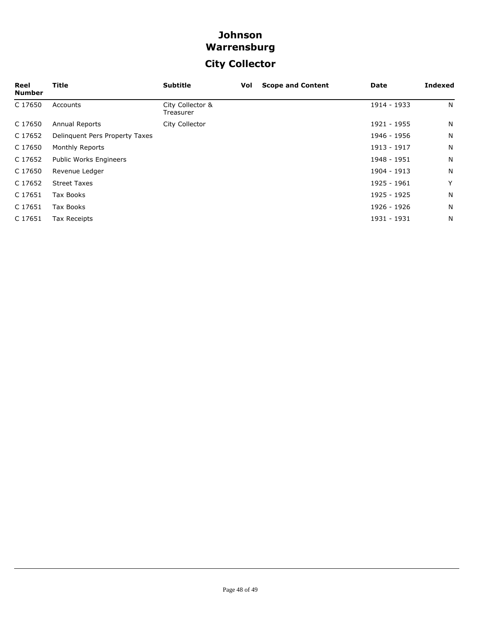## **City Collector**

| Reel<br><b>Number</b> | Title                          | <b>Subtitle</b>               | Vol | <b>Scope and Content</b> | Date        | <b>Indexed</b> |
|-----------------------|--------------------------------|-------------------------------|-----|--------------------------|-------------|----------------|
| C 17650               | Accounts                       | City Collector &<br>Treasurer |     |                          | 1914 - 1933 | N              |
| C 17650               | Annual Reports                 | City Collector                |     |                          | 1921 - 1955 | N              |
| C 17652               | Delinquent Pers Property Taxes |                               |     |                          | 1946 - 1956 | N              |
| C 17650               | Monthly Reports                |                               |     |                          | 1913 - 1917 | N              |
| C 17652               | <b>Public Works Engineers</b>  |                               |     |                          | 1948 - 1951 | N              |
| C 17650               | Revenue Ledger                 |                               |     |                          | 1904 - 1913 | N              |
| C 17652               | <b>Street Taxes</b>            |                               |     |                          | 1925 - 1961 | Y              |
| C 17651               | Tax Books                      |                               |     |                          | 1925 - 1925 | N              |
| C 17651               | Tax Books                      |                               |     |                          | 1926 - 1926 | N              |
| C 17651               | Tax Receipts                   |                               |     |                          | 1931 - 1931 | N              |